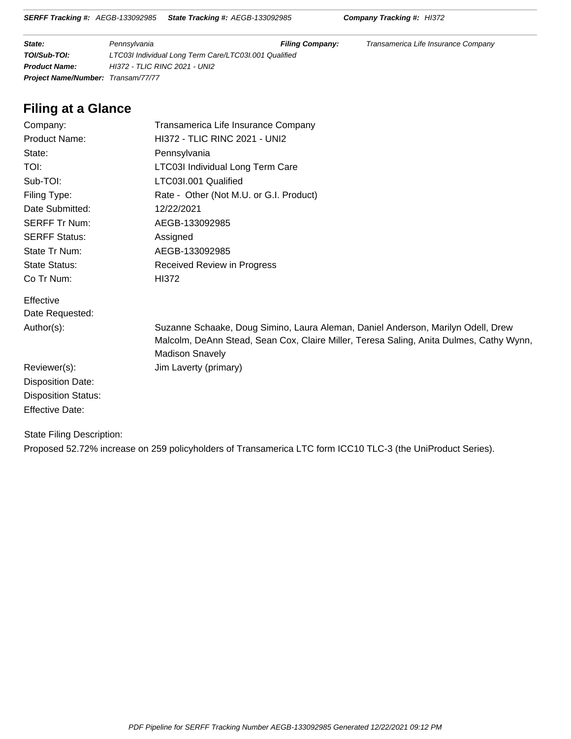**State: Filing Company: Fransylvania Filing Company: Filing Company:** Transamerica Life Insurance Company **TOI/Sub-TOI:** LTC03I Individual Long Term Care/LTC03I.001 Qualified **Product Name:** HI372 - TLIC RINC 2021 - UNI2 **Project Name/Number:** Transam/77/77

# **Filing at a Glance**

| Company:                   | Transamerica Life Insurance Company                                                                                                                                                                   |
|----------------------------|-------------------------------------------------------------------------------------------------------------------------------------------------------------------------------------------------------|
| Product Name:              | <b>HI372 - TLIC RINC 2021 - UNI2</b>                                                                                                                                                                  |
| State:                     | Pennsylvania                                                                                                                                                                                          |
| TOI:                       | <b>LTC03I Individual Long Term Care</b>                                                                                                                                                               |
| Sub-TOI:                   | LTC03I.001 Qualified                                                                                                                                                                                  |
| Filing Type:               | Rate - Other (Not M.U. or G.I. Product)                                                                                                                                                               |
| Date Submitted:            | 12/22/2021                                                                                                                                                                                            |
| <b>SERFF Tr Num:</b>       | AEGB-133092985                                                                                                                                                                                        |
| <b>SERFF Status:</b>       | Assigned                                                                                                                                                                                              |
| State Tr Num:              | AEGB-133092985                                                                                                                                                                                        |
| <b>State Status:</b>       | Received Review in Progress                                                                                                                                                                           |
| Co Tr Num:                 | <b>HI372</b>                                                                                                                                                                                          |
| Effective                  |                                                                                                                                                                                                       |
| Date Requested:            |                                                                                                                                                                                                       |
| Author(s):                 | Suzanne Schaake, Doug Simino, Laura Aleman, Daniel Anderson, Marilyn Odell, Drew<br>Malcolm, DeAnn Stead, Sean Cox, Claire Miller, Teresa Saling, Anita Dulmes, Cathy Wynn,<br><b>Madison Snavely</b> |
| Reviewer(s):               | Jim Laverty (primary)                                                                                                                                                                                 |
| Disposition Date:          |                                                                                                                                                                                                       |
| <b>Disposition Status:</b> |                                                                                                                                                                                                       |
| <b>Effective Date:</b>     |                                                                                                                                                                                                       |

State Filing Description: Proposed 52.72% increase on 259 policyholders of Transamerica LTC form ICC10 TLC-3 (the UniProduct Series).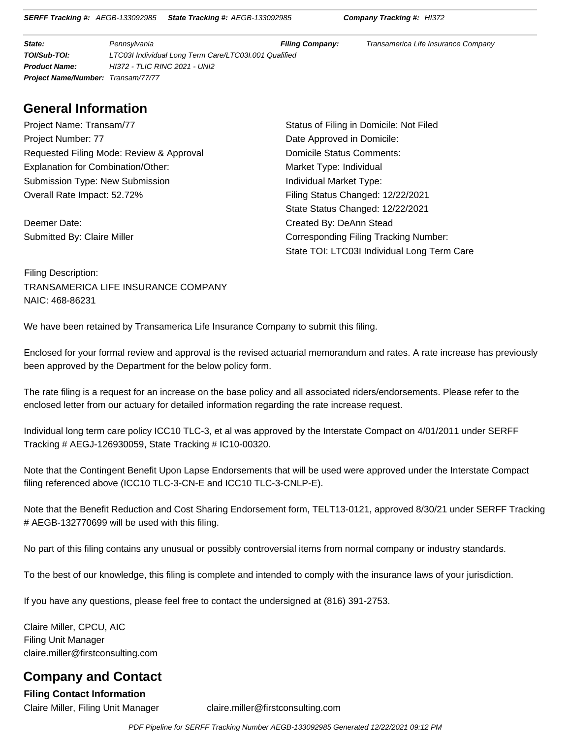**SERFF Tracking #:** AEGB-133092985 **State Tracking #:** AEGB-133092985 **Company Tracking #:** HI372

**State: Filing Company: Fransamerica Life Insurance Company: Filing Company:** Transamerica Life Insurance Company **TOI/Sub-TOI:** LTC03I Individual Long Term Care/LTC03I.001 Qualified **Product Name:** HI372 - TLIC RINC 2021 - UNI2 **Project Name/Number:** Transam/77/77

# **General Information**

Project Name: Transam/77 **Status of Filing in Domicile: Not Filed** Project Number: 77 **Date Approved in Domicile:** Requested Filing Mode: Review & Approval **Domicile Status Comments:** Explanation for Combination/Other: Market Type: Individual Submission Type: New Submission **Individual Market Type:** Individual Market Type: Overall Rate Impact: 52.72% Filing Status Changed: 12/22/2021

Deemer Date: Created By: DeAnn Stead

State Status Changed: 12/22/2021 Submitted By: Claire Miller Corresponding Filing Tracking Number: State TOI: LTC03I Individual Long Term Care

Filing Description: TRANSAMERICA LIFE INSURANCE COMPANY NAIC: 468-86231

We have been retained by Transamerica Life Insurance Company to submit this filing.

Enclosed for your formal review and approval is the revised actuarial memorandum and rates. A rate increase has previously been approved by the Department for the below policy form.

The rate filing is a request for an increase on the base policy and all associated riders/endorsements. Please refer to the enclosed letter from our actuary for detailed information regarding the rate increase request.

Individual long term care policy ICC10 TLC-3, et al was approved by the Interstate Compact on 4/01/2011 under SERFF Tracking # AEGJ-126930059, State Tracking # IC10-00320.

Note that the Contingent Benefit Upon Lapse Endorsements that will be used were approved under the Interstate Compact filing referenced above (ICC10 TLC-3-CN-E and ICC10 TLC-3-CNLP-E).

Note that the Benefit Reduction and Cost Sharing Endorsement form, TELT13-0121, approved 8/30/21 under SERFF Tracking # AEGB-132770699 will be used with this filing.

No part of this filing contains any unusual or possibly controversial items from normal company or industry standards.

To the best of our knowledge, this filing is complete and intended to comply with the insurance laws of your jurisdiction.

If you have any questions, please feel free to contact the undersigned at (816) 391-2753.

Claire Miller, CPCU, AIC Filing Unit Manager claire.miller@firstconsulting.com

# **Company and Contact**

**Filing Contact Information**

Claire Miller, Filing Unit Manager claire.miller@firstconsulting.com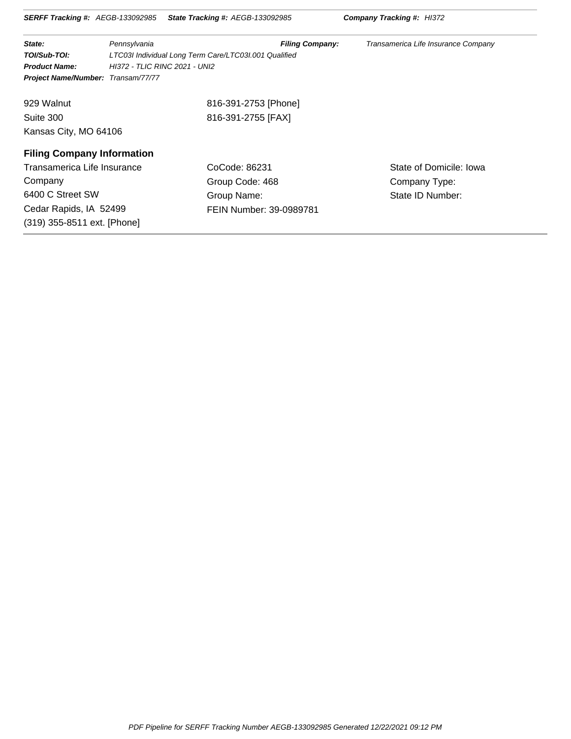| <b>SERFF Tracking #:</b> AEGB-133092985 |                               | <b>State Tracking #: AEGB-133092985</b>               | <b>Company Tracking #: HI372</b>    |
|-----------------------------------------|-------------------------------|-------------------------------------------------------|-------------------------------------|
| State:                                  | Pennsylvania                  | <b>Filing Company:</b>                                | Transamerica Life Insurance Company |
| TOI/Sub-TOI:                            |                               | LTC03I Individual Long Term Care/LTC03I.001 Qualified |                                     |
| <b>Product Name:</b>                    | HI372 - TLIC RINC 2021 - UNI2 |                                                       |                                     |
| Project Name/Number: Transam/77/77      |                               |                                                       |                                     |
| 929 Walnut                              |                               | 816-391-2753 [Phone]                                  |                                     |
| Suite 300                               |                               | 816-391-2755 [FAX]                                    |                                     |
| Kansas City, MO 64106                   |                               |                                                       |                                     |
| <b>Filing Company Information</b>       |                               |                                                       |                                     |
| Transamerica Life Insurance             |                               | CoCode: 86231                                         | State of Domicile: Iowa             |
| Company                                 |                               | Group Code: 468                                       | Company Type:                       |
| 6400 C Street SW                        |                               | Group Name:                                           | State ID Number:                    |
| Cedar Rapids, IA 52499                  |                               | FEIN Number: 39-0989781                               |                                     |
| (319) 355-8511 ext. [Phone]             |                               |                                                       |                                     |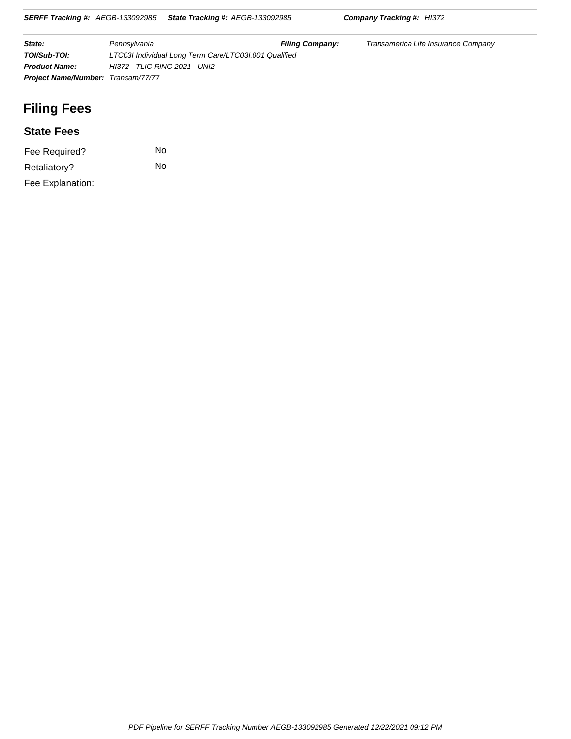**SERFF Tracking #:** AEGB-133092985 **State Tracking #:** AEGB-133092985 **Company Tracking #:** HI372

| State:                                    | Pennsylvania                                          | <b>Filing Company:</b> | Transamerica Life Insurance Company |
|-------------------------------------------|-------------------------------------------------------|------------------------|-------------------------------------|
| TOI/Sub-TOI:                              | LTC03I Individual Long Term Care/LTC03I.001 Qualified |                        |                                     |
| <b>Product Name:</b>                      | HI372 - TLIC RINC 2021 - UNI2                         |                        |                                     |
| <b>Project Name/Number: Transam/77/77</b> |                                                       |                        |                                     |

# **Filing Fees**

### **State Fees**

| Fee Required?    | N٥ |
|------------------|----|
| Retaliatory?     | No |
| Fee Explanation: |    |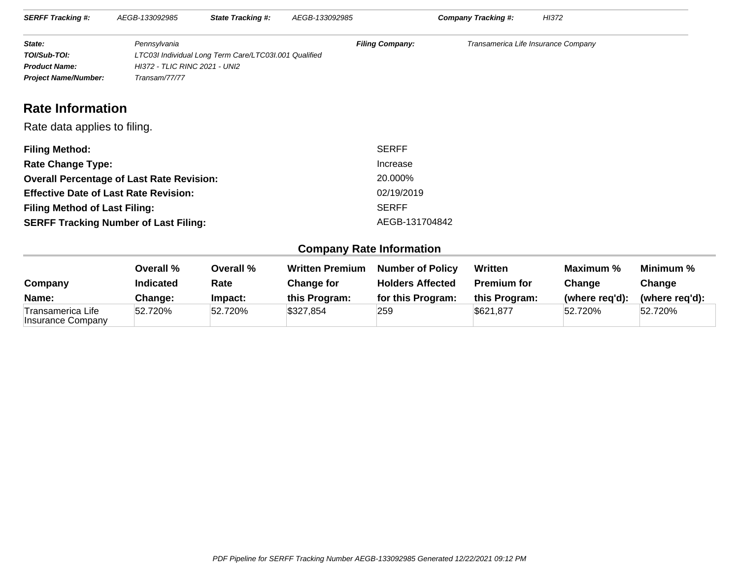| <b>SERFF Tracking #:</b>    | AEGB-133092985                | <b>State Tracking #:</b>                              | AEGB-133092985         | Company Tracking #:                 | HI372 |
|-----------------------------|-------------------------------|-------------------------------------------------------|------------------------|-------------------------------------|-------|
| State:                      | Pennsylvania                  |                                                       | <b>Filing Company:</b> | Transamerica Life Insurance Company |       |
| TOI/Sub-TOI:                |                               | LTC03I Individual Long Term Care/LTC03I.001 Qualified |                        |                                     |       |
| <b>Product Name:</b>        | HI372 - TLIC RINC 2021 - UNI2 |                                                       |                        |                                     |       |
| <b>Project Name/Number:</b> | Transam/77/77                 |                                                       |                        |                                     |       |

# **Rate Information**

#### Rate data applies to filing.

| <b>Filing Method:</b>                            | <b>SERFF</b>   |
|--------------------------------------------------|----------------|
| <b>Rate Change Type:</b>                         | Increase       |
| <b>Overall Percentage of Last Rate Revision:</b> | 20.000%        |
| <b>Effective Date of Last Rate Revision:</b>     | 02/19/2019     |
| <b>Filing Method of Last Filing:</b>             | <b>SERFF</b>   |
| <b>SERFF Tracking Number of Last Filing:</b>     | AEGB-131704842 |

### **Company Rate Information**

| Company                                | Overall %<br><b>Indicated</b> | Overall %<br>Rate | <b>Written Premium</b><br><b>Change for</b> | <b>Number of Policy</b><br><b>Holders Affected</b> | Written<br><b>Premium for</b> | Maximum %<br>Change | Minimum %<br>Change |
|----------------------------------------|-------------------------------|-------------------|---------------------------------------------|----------------------------------------------------|-------------------------------|---------------------|---------------------|
| Name:                                  | Change:                       | lmpact:           | this Program:                               | for this Program:                                  | this Program:                 | (where reg'd):      | (where reg'd):      |
| Transamerica Life<br>Insurance Company | 52.720%                       | 52.720%           | \$327,854                                   | 259                                                | \$621.877                     | 52.720%             | 52.720%             |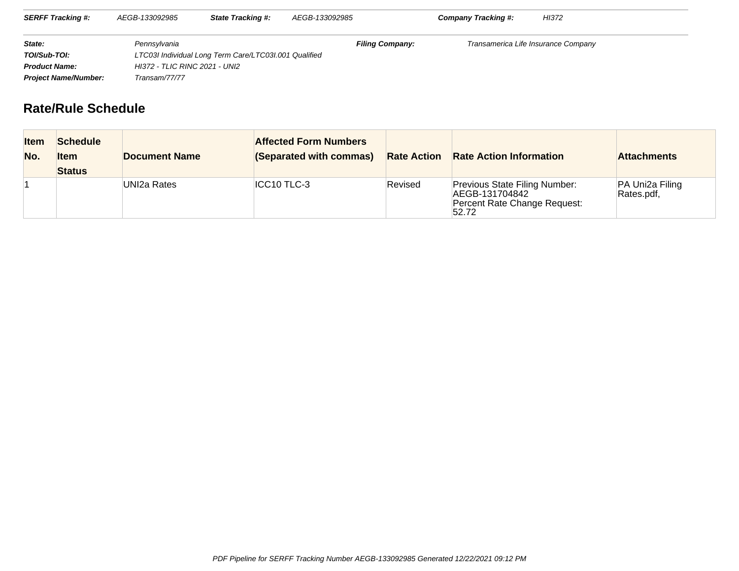| <b>SERFF Tracking #:</b>    | AEGB-133092985                | <b>State Tracking #:</b>                              | AEGB-133092985         | Company Tracking #:                 | HI372 |
|-----------------------------|-------------------------------|-------------------------------------------------------|------------------------|-------------------------------------|-------|
| State:                      | Pennsylvania                  |                                                       | <b>Filing Company:</b> | Transamerica Life Insurance Company |       |
| TOI/Sub-TOI:                |                               | LTC03I Individual Long Term Care/LTC03I.001 Qualified |                        |                                     |       |
| <b>Product Name:</b>        | HI372 - TLIC RINC 2021 - UNI2 |                                                       |                        |                                     |       |
| <b>Project Name/Number:</b> | Transam/77/77                 |                                                       |                        |                                     |       |

# **Rate/Rule Schedule**

| <b>Item</b><br>No. | <b>Schedule</b><br><b>Item</b><br><b>Status</b> | Document Name | <b>Affected Form Numbers</b><br>(Separated with commas) |         | <b>Rate Action Rate Action Information</b>                                               | <b>Attachments</b>            |
|--------------------|-------------------------------------------------|---------------|---------------------------------------------------------|---------|------------------------------------------------------------------------------------------|-------------------------------|
|                    |                                                 | UNI2a Rates   | ICC10 TLC-3                                             | Revised | Previous State Filing Number:<br>AEGB-131704842<br>Percent Rate Change Request:<br>52.72 | PA Uni2a Filing<br>Rates.pdf, |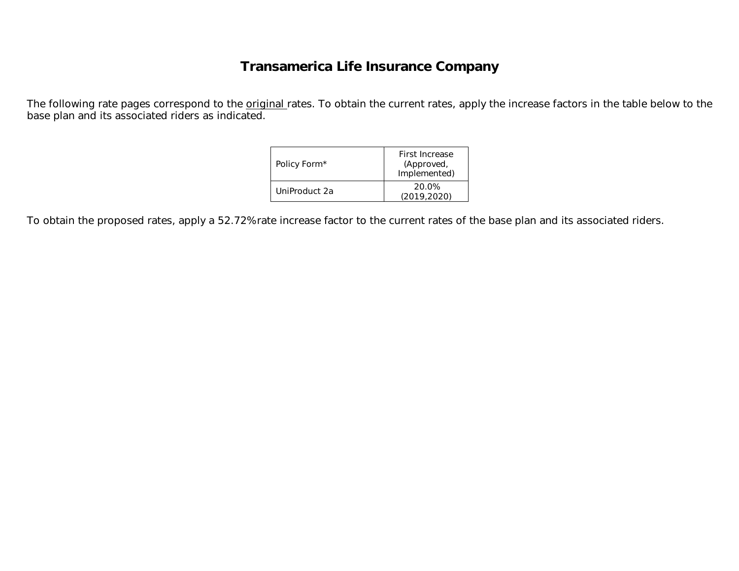# **Transamerica Life Insurance Company**

The following rate pages correspond to the **original** rates. To obtain the current rates, apply the increase factors in the table below to the base plan and its associated riders as indicated.

| Policy Form*  | First Increase<br>(Approved,<br>Implemented) |
|---------------|----------------------------------------------|
| UniProduct 2a | 20.0%<br>(2019.2020)                         |

To obtain the proposed rates, apply a 52.72% rate increase factor to the current rates of the base plan and its associated riders.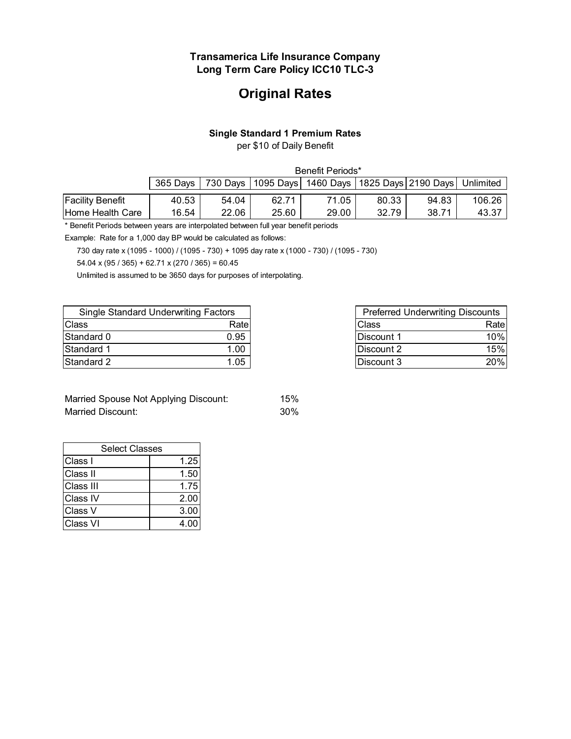# **Original Rates**

#### **Single Standard 1 Premium Rates**

per \$10 of Daily Benefit

|                         | Benefit Periods* |       |       |                                                                      |       |       |        |
|-------------------------|------------------|-------|-------|----------------------------------------------------------------------|-------|-------|--------|
|                         | 365 Days         |       |       | 730 Days   1095 Days   1460 Days   1825 Days   2190 Days   Unlimited |       |       |        |
| <b>Facility Benefit</b> | 40.53            | 54.04 | 62.71 | 71.05                                                                | 80.33 | 94.83 | 106.26 |
| Home Health Care        | 16.54            | 22.06 | 25.60 | 29.00                                                                | 32.79 | 38.71 | 43.37  |

\* Benefit Periods between years are interpolated between full year benefit periods

Example: Rate for a 1,000 day BP would be calculated as follows:

730 day rate x (1095 - 1000) / (1095 - 730) + 1095 day rate x (1000 - 730) / (1095 - 730)

54.04 x (95 / 365) + 62.71 x (270 / 365) = 60.45

Unlimited is assumed to be 3650 days for purposes of interpolating.

| <b>Single Standard Underwriting Factors</b> |      |            | <b>Preferred Underwriting Discounts</b> |
|---------------------------------------------|------|------------|-----------------------------------------|
| Class                                       | Rate | Class      | Rate                                    |
| Standard 0                                  | 0.95 | Discount 1 | 10%                                     |
| Standard 1                                  | 1.00 | Discount 2 | 15%                                     |
| Standard 2                                  | 1.05 | Discount 3 | 20%                                     |

| Married Spouse Not Applying Discount: | 15% |
|---------------------------------------|-----|
| Married Discount:                     | 30% |

| <b>Select Classes</b> |      |  |  |  |  |
|-----------------------|------|--|--|--|--|
| Class I               | 1.25 |  |  |  |  |
| Class II              | 1.50 |  |  |  |  |
| Class III             | 1.75 |  |  |  |  |
| Class IV              | 2.00 |  |  |  |  |
| Class V               | 3.00 |  |  |  |  |
| Class VI              | 4.0( |  |  |  |  |

| <b>Preferred Underwriting Discounts</b> |      |  |  |  |  |
|-----------------------------------------|------|--|--|--|--|
| <b>Class</b>                            | Rate |  |  |  |  |
| Discount 1                              | 10%  |  |  |  |  |
| Discount 2                              | 15%  |  |  |  |  |
| Discount 3                              | 20%  |  |  |  |  |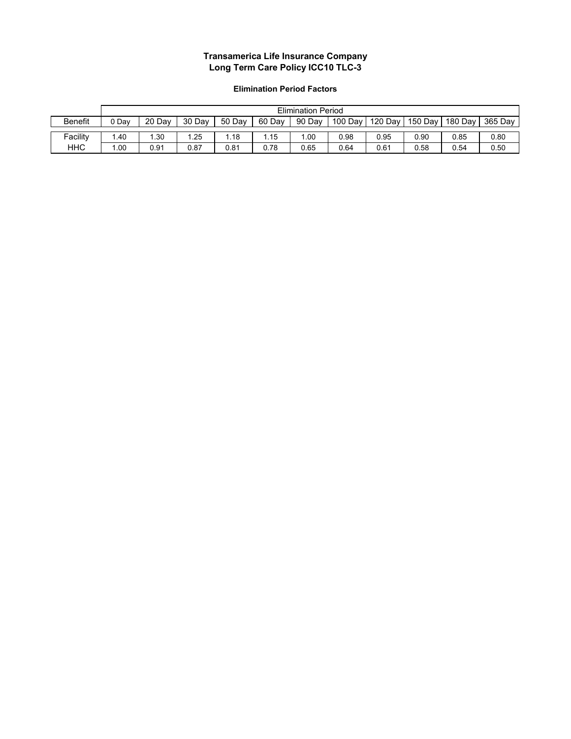#### **Elimination Period Factors**

|                | <b>Elimination Period</b> |        |        |        |        |        |         |         |         |         |         |
|----------------|---------------------------|--------|--------|--------|--------|--------|---------|---------|---------|---------|---------|
| <b>Benefit</b> | ን Dav                     | 20 Dav | 30 Day | 50 Dav | 60 Dav | 90 Day | 100 Day | 120 Day | 150 Day | 180 Day | 365 Day |
|                |                           |        |        |        |        |        |         |         |         |         |         |
| Facility       | .40                       | .30    | .25    | .18    | .15    | .00    | 0.98    | 0.95    | 0.90    | 0.85    | 0.80    |
| <b>HHC</b>     | .00                       | 0.91   | 0.87   | 0.81   | 0.78   | 0.65   | 0.64    | 0.61    | 0.58    | 0.54    | 0.50    |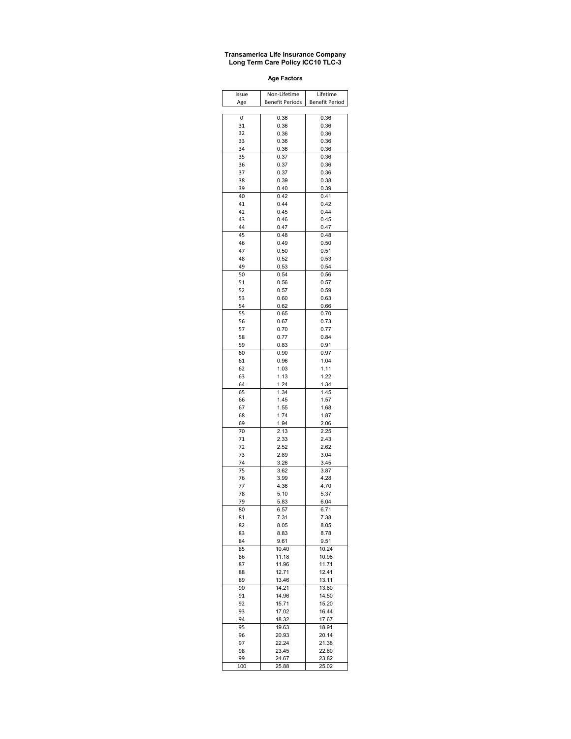**Age Factors**

| Issue    | Non-Lifetime           | Lifetime              |
|----------|------------------------|-----------------------|
| Age      | <b>Benefit Periods</b> | <b>Benefit Period</b> |
|          |                        |                       |
| 0<br>31  | 0.36<br>0.36           | 0.36<br>0.36          |
| 32       | 0.36                   | 0.36                  |
| 33       | 0.36                   | 0.36                  |
| 34       | 0.36                   | 0.36                  |
| 35       | 0.37                   | 0.36                  |
| 36       | 0.37                   | 0.36                  |
| 37       | 0.37                   | 0.36                  |
| 38       | 0.39                   | 0.38                  |
| 39<br>40 | 0.40<br>0.42           | 0.39<br>0.41          |
| 41       | 0.44                   | 0.42                  |
| 42       | 0.45                   | 0.44                  |
| 43       | 0.46                   | 0.45                  |
| 44       | 0.47                   | 0.47                  |
| 45       | 0.48                   | 0.48                  |
| 46       | 0.49                   | 0.50                  |
| 47       | 0.50                   | 0.51                  |
| 48       | 0.52                   | 0.53                  |
| 49<br>50 | 0.53<br>0.54           | 0.54<br>0.56          |
| 51       | 0.56                   | 0.57                  |
| 52       | 0.57                   | 0.59                  |
| 53       | 0.60                   | 0.63                  |
| 54       | 0.62                   | 0.66                  |
| 55       | 0.65                   | 0.70                  |
| 56       | 0.67                   | 0.73                  |
| 57       | 0.70                   | 0.77                  |
| 58<br>59 | 0.77<br>0.83           | 0.84<br>0.91          |
| 60       | 0.90                   | 0.97                  |
| 61       | 0.96                   | 1.04                  |
| 62       | 1.03                   | 1.11                  |
| 63       | 1.13                   | 1.22                  |
| 64       | 1.24                   | 1.34                  |
| 65       | 1.34                   | 1.45                  |
| 66<br>67 | 1.45<br>1.55           | 1.57<br>1.68          |
| 68       | 1.74                   | 1.87                  |
| 69       | 1.94                   | 2.06                  |
| 70       | 2.13                   | 2.25                  |
| 71       | 2.33                   | 2.43                  |
| 72       | 2.52                   | 2.62                  |
| 73       | 2.89                   | 3.04                  |
| 74<br>75 | 3.26<br>3.62           | 3.45<br>3.87          |
| 76       | 3.99                   | 4.28                  |
| 77       | 4.36                   | 4.70                  |
| 78       | 5.10                   | 5.37                  |
| 79       | 5.83                   | 6.04                  |
| ŏU       | 6.57                   | 0.71                  |
| 81       | 7.31                   | 7.38                  |
| 82       | 8.05                   | 8.05                  |
| 83<br>84 | 8.83<br>9.61           | 8.78<br>9.51          |
| 85       | 10.40                  | 10.24                 |
| 86       | 11.18                  | 10.98                 |
| 87       | 11.96                  | 11.71                 |
| 88       | 12.71                  | 12.41                 |
| 89       | 13.46                  | 13.11                 |
| 90       | 14.21                  | 13.80                 |
| 91<br>92 | 14.96<br>15.71         | 14.50<br>15.20        |
| 93       | 17.02                  | 16.44                 |
| 94       | 18.32                  | 17.67                 |
| 95       | 19.63                  | 18.91                 |
| 96       | 20.93                  | 20.14                 |
| 97       | 22.24                  | 21.38                 |
| 98       | 23.45                  | 22.60                 |
| 99       | 24.67                  | 23.82                 |
| 100      | 25.88                  | 25.02                 |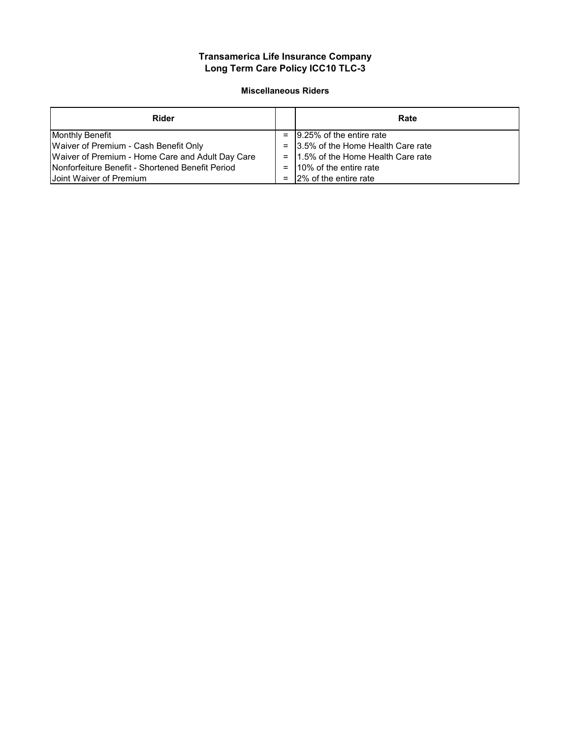#### **Miscellaneous Riders**

| Rider                                                    | Rate                                  |
|----------------------------------------------------------|---------------------------------------|
| <b>Monthly Benefit</b>                                   | $=$ 19.25% of the entire rate         |
| Waiver of Premium - Cash Benefit Only                    | $=$ 3.5% of the Home Health Care rate |
| Waiver of Premium - Home Care and Adult Day Care         | $=$ 1.5% of the Home Health Care rate |
| <b>INonforfeiture Benefit - Shortened Benefit Period</b> | $=$ 10% of the entire rate            |
| Joint Waiver of Premium                                  | $=$ 12% of the entire rate            |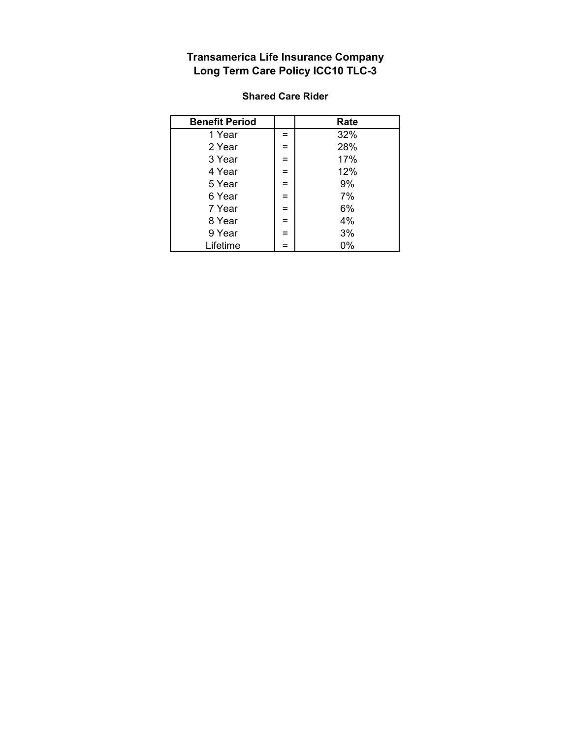| <b>Benefit Period</b> |     | Rate |
|-----------------------|-----|------|
| 1 Year                | $=$ | 32%  |
| 2 Year                | $=$ | 28%  |
| 3 Year                | $=$ | 17%  |
| 4 Year                | $=$ | 12%  |
| 5 Year                | $=$ | 9%   |
| 6 Year                | $=$ | 7%   |
| 7 Year                | $=$ | 6%   |
| 8 Year                | $=$ | 4%   |
| 9 Year                | $=$ | 3%   |
| Lifetime              |     | 0%   |

#### **Shared Care Rider**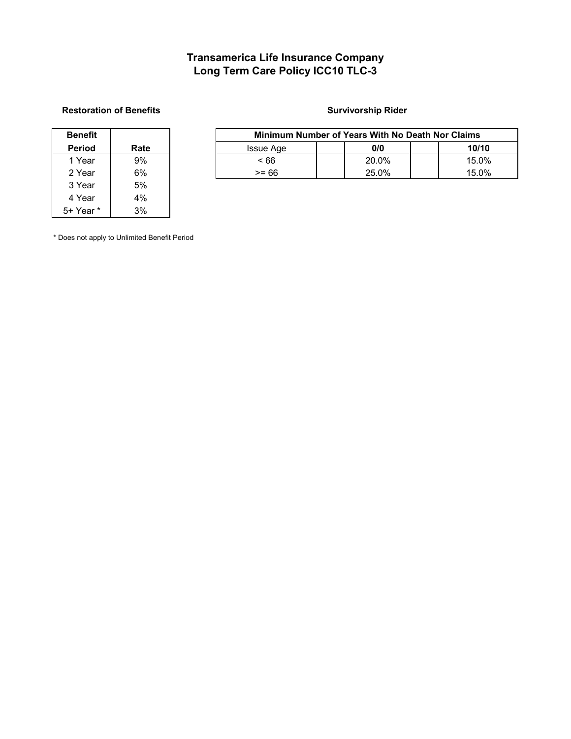#### **Restoration of Benefits Survivorship Rider Survivorship Rider**

| Benefit   |      |
|-----------|------|
| Period    | Rate |
| 1 Year    | 9%   |
| 2 Year    | 6%   |
| 3 Year    | 5%   |
| 4 Year    | 4%   |
| 5+ Year * | 3%   |

| Benefit       |      | Minimum Number of Years With No Death Nor Claims |  |       |  |       |  |
|---------------|------|--------------------------------------------------|--|-------|--|-------|--|
| <b>Period</b> | Rate | <b>Issue Age</b>                                 |  | 0/0   |  | 10/10 |  |
| 1 Year        | 9%   | - 66                                             |  | 20.0% |  | 15.0% |  |
| 2 Year        | 6%   | >= 66                                            |  | 25.0% |  | 15.0% |  |

\* Does not apply to Unlimited Benefit Period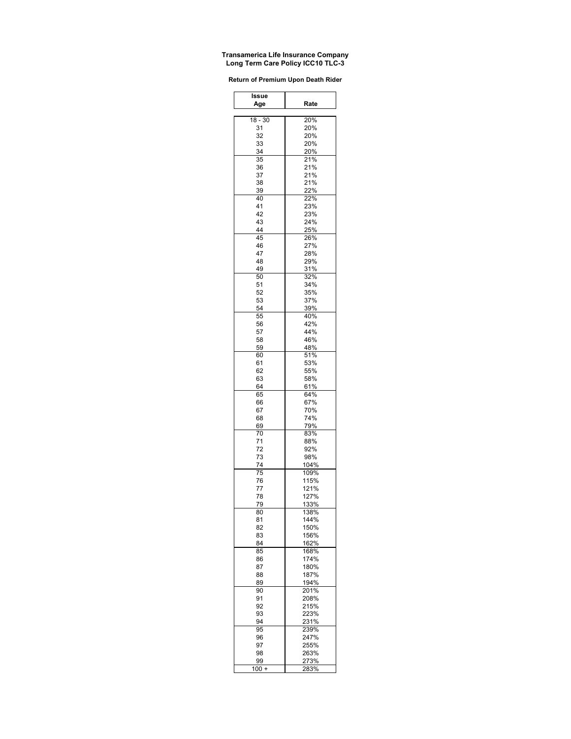| <b>Return of Premium Upon Death Rider</b> |  |  |  |  |
|-------------------------------------------|--|--|--|--|
|-------------------------------------------|--|--|--|--|

| Issue     |              |
|-----------|--------------|
| Age       | Rate         |
| $18 - 30$ | 20%          |
| 31        | 20%          |
| 32        | 20%          |
| 33        | 20%          |
| 34        | 20%          |
| 35        | 21%          |
| 36        | 21%          |
| 37        | 21%          |
| 38<br>39  | 21%<br>22%   |
| 40        | 22%          |
| 41        | 23%          |
| 42        | 23%          |
| 43        | 24%          |
| 44        | 25%          |
| 45        | 26%          |
| 46        | 27%          |
| 47<br>48  | 28%<br>29%   |
| 49        | 31%          |
| 50        | 32%          |
| 51        | 34%          |
| 52        | 35%          |
| 53        | 37%          |
| 54        | 39%          |
| 55        | 40%          |
| 56        | 42%          |
| 57        | 44%<br>46%   |
| 58<br>59  | 48%          |
| 60        | 51%          |
| 61        | 53%          |
| 62        | 55%          |
| 63        | 58%          |
| 64        | 61%          |
| 65        | 64%          |
| 66        | 67%          |
| 67        | 70%          |
| 68        | 74%<br>79%   |
| 69<br>70  | 83%          |
| 71        | 88%          |
| 72        | 92%          |
| 73        | 98%          |
| 74        | 104%         |
| 75        | 109%         |
| 76        | 115%         |
| 77        | 121%         |
| 78        | 127%         |
| 79        | 133%         |
| 80<br>81  | 138%<br>144% |
| 82        | 150%         |
| 83        | 156%         |
| 84        | 162%         |
| 85        | 168%         |
| 86        | 174%         |
| 87        | 180%         |
| 88        | 187%         |
| 89        | 194%         |
| 90        | 201%         |
| 91<br>92  | 208%<br>215% |
| 93        | 223%         |
| 94        | 231%         |
| 95        | 239%         |
| 96        | 247%         |
| 97        | 255%         |
| 98        | 263%         |
| 99        | 273%         |
| 100 +     | 283%         |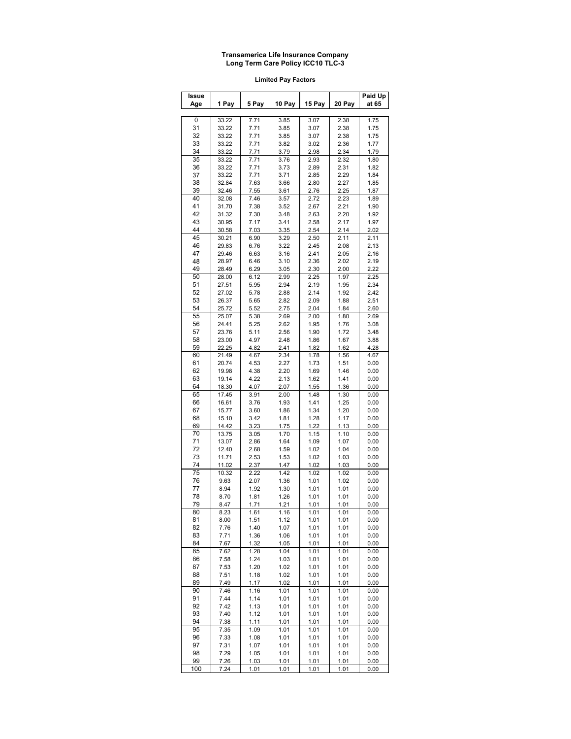**Limited Pay Factors**

| Issue    |                |              |              |              |              | Paid Up      |
|----------|----------------|--------------|--------------|--------------|--------------|--------------|
| Age      | 1 Pay          | 5 Pay        | 10 Pay       | 15 Pay       | 20 Pay       | at 65        |
| 0        | 33.22          | 7.71         | 3.85         | 3.07         | 2.38         | 1.75         |
| 31       | 33.22          | 7.71         | 3.85         | 3.07         | 2.38         | 1.75         |
| 32       | 33.22          | 7.71         | 3.85         | 3.07         | 2.38         | 1.75         |
| 33       | 33.22          | 7.71         | 3.82         | 3.02         | 2.36         | 1.77         |
| 34       | 33.22          | 7.71         | 3.79         | 2.98         | 2.34         | 1.79         |
| 35       | 33.22          | 7.71         | 3.76         | 2.93         | 2.32         | 1.80         |
| 36       | 33.22          | 7.71         | 3.73         | 2.89         | 2.31         | 1.82         |
| 37       | 33.22          | 7.71         | 3.71         | 2.85         | 2.29         | 1.84         |
| 38       | 32.84          | 7.63         | 3.66         | 2.80         | 2.27         | 1.85         |
| 39       | 32.46          | 7.55         | 3.61         | 2.76         | 2.25         | 1.87         |
| 40       | 32.08          | 7.46         | 3.57         | 2.72         | 2.23         | 1.89         |
| 41       | 31.70          | 7.38         | 3.52         | 2.67         | 2.21         | 1.90         |
| 42       | 31.32          | 7.30         | 3.48         | 2.63         | 2.20         | 1.92         |
| 43       | 30.95          | 7.17         | 3.41         | 2.58         | 2.17         | 1.97         |
| 44       | 30.58          | 7.03         | 3.35         | 2.54         | 2.14         | 2.02         |
| 45       | 30.21          | 6.90         | 3.29         | 2.50         | 2.11         | 2.11         |
| 46       | 29.83          | 6.76         | 3.22         | 2.45         | 2.08         | 2.13         |
| 47       | 29.46          | 6.63         | 3.16         | 2.41         | 2.05         | 2.16         |
| 48       | 28.97          | 6.46         | 3.10         | 2.36         | 2.02         | 2.19         |
| 49       | 28.49          | 6.29         | 3.05         | 2.30         | 2.00         | 2.22         |
| 50       | 28.00          | 6.12         | 2.99         | 2.25         | 1.97         | 2.25         |
| 51       | 27.51          | 5.95         | 2.94         | 2.19         | 1.95         | 2.34         |
| 52       | 27.02          | 5.78         | 2.88         | 2.14         | 1.92         | 2.42         |
| 53       | 26.37          | 5.65         | 2.82         | 2.09         | 1.88         | 2.51         |
| 54       | 25.72          | 5.52         | 2.75         | 2.04         | 1.84         | 2.60         |
| 55       | 25.07          | 5.38         | 2.69         | 2.00         | 1.80         | 2.69         |
| 56       | 24.41          | 5.25         | 2.62         | 1.95         | 1.76         | 3.08         |
| 57       | 23.76          | 5.11         | 2.56         | 1.90         | 1.72         | 3.48         |
| 58       | 23.00          | 4.97         | 2.48         | 1.86         | 1.67         | 3.88         |
| 59       | 22.25          | 4.82         | 2.41         | 1.82         | 1.62         | 4.28         |
| 60       | 21.49          | 4.67         | 2.34         | 1.78         | 1.56         | 4.67         |
| 61       | 20.74          | 4.53         | 2.27         | 1.73         | 1.51         | 0.00         |
| 62       | 19.98          | 4.38         | 2.20         | 1.69         | 1.46         | 0.00         |
| 63<br>64 | 19.14          | 4.22         | 2.13         | 1.62         | 1.41         | 0.00         |
| 65       | 18.30<br>17.45 | 4.07<br>3.91 | 2.07<br>2.00 | 1.55<br>1.48 | 1.36<br>1.30 | 0.00<br>0.00 |
| 66       | 16.61          | 3.76         | 1.93         | 1.41         | 1.25         | 0.00         |
| 67       | 15.77          | 3.60         | 1.86         | 1.34         | 1.20         | 0.00         |
| 68       | 15.10          | 3.42         | 1.81         | 1.28         | 1.17         | 0.00         |
| 69       | 14.42          | 3.23         | 1.75         | 1.22         | 1.13         | 0.00         |
| 70       | 13.75          | 3.05         | 1.70         | 1.15         | 1.10         | 0.00         |
| 71       | 13.07          | 2.86         | 1.64         | 1.09         | 1.07         | 0.00         |
| 72       | 12.40          | 2.68         | 1.59         | 1.02         | 1.04         | 0.00         |
| 73       | 11.71          | 2.53         | 1.53         | 1.02         | 1.03         | 0.00         |
| 74       | 11.02          | 2.37         | 1.47         | 1.02         | 1.03         | 0.00         |
| 75       | 10.32          | 2.22         | 1.42         | 1.02         | 1.02         | 0.00         |
| 76       | 9.63           | 2.07         | 1.36         | 1.01         | 1.02         | 0.00         |
| 77       | 8.94           | 1.92         | 1.30         | 1.01         | 1.01         | 0.00         |
| 78       | 8.70           | 1.81         | 1.26         | 1.01         | 1.01         | 0.00         |
| 79       | 8.47           | 1.71         | 1.21         | 1.01         | 1.01         | 0.00         |
| 80       | 8.23           | 1.61         | 1.16         | 1.01         | 1.01         | 0.00         |
| 81       | 8.00           | 1.51         | 1.12         | 1.01         | 1.01         | 0.00         |
| 82       | 7.76           | 1.40         | 1.07         | 1.01         | 1.01         | 0.00         |
| 83       | 7.71           | 1.36         | 1.06         | 1.01         | 1.01         | 0.00         |
| 84       | 7.67           | 1.32         | 1.05         | 1.01         | 1.01         | 0.00         |
| 85       | 7.62           | 1.28         | 1.04         | 1.01         | 1.01         | 0.00         |
| 86       | 7.58           | 1.24         | 1.03         | 1.01         | 1.01         | 0.00         |
| 87       | 7.53           | 1.20         | 1.02         | 1.01         | 1.01         | 0.00         |
| 88       | 7.51           | 1.18         | 1.02         | 1.01         | 1.01         | 0.00         |
| 89<br>90 | 7.49           | 1.17         | 1.02         | 1.01         | 1.01         | 0.00         |
| 91       | 7.46<br>7.44   | 1.16<br>1.14 | 1.01<br>1.01 | 1.01<br>1.01 | 1.01<br>1.01 | 0.00<br>0.00 |
| 92       | 7.42           | 1.13         | 1.01         | 1.01         | 1.01         | 0.00         |
| 93       | 7.40           | 1.12         | 1.01         | 1.01         | 1.01         | 0.00         |
| 94       | 7.38           | 1.11         | 1.01         | 1.01         | 1.01         | 0.00         |
| 95       | 7.35           | 1.09         | 1.01         | 1.01         | 1.01         | 0.00         |
| 96       | 7.33           | 1.08         | 1.01         | 1.01         | 1.01         | 0.00         |
| 97       | 7.31           | 1.07         | 1.01         | 1.01         | 1.01         | 0.00         |
| 98       | 7.29           | 1.05         | 1.01         | 1.01         | 1.01         | 0.00         |
| 99       | 7.26           | 1.03         | 1.01         | 1.01         | 1.01         | 0.00         |
| 100      | 7.24           | 1.01         | 1.01         | 1.01         | 1.01         | 0.00         |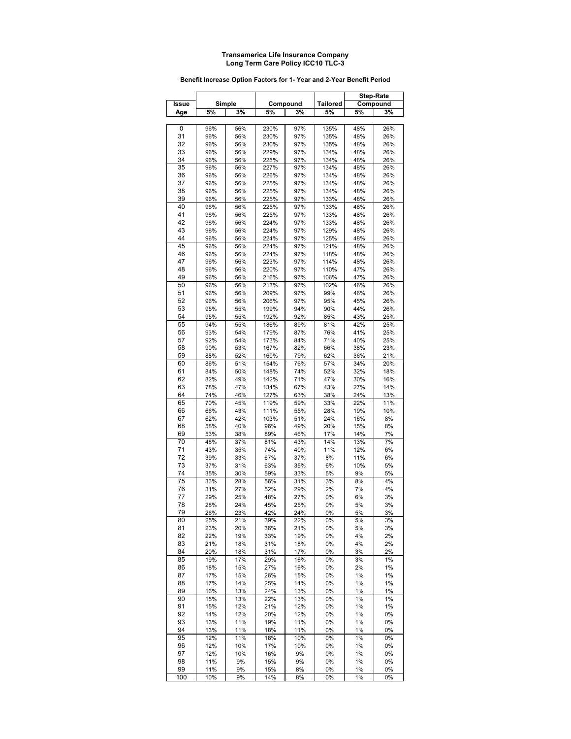|          |            |            |              |            |                 | <b>Step-Rate</b> |            |
|----------|------------|------------|--------------|------------|-----------------|------------------|------------|
| Issue    |            | Simple     |              | Compound   | <b>Tailored</b> |                  | Compound   |
| Age      | 5%         | 3%         | 5%           | 3%         | 5%              | 5%               | 3%         |
|          | 96%        |            |              | 97%        |                 |                  |            |
| 0<br>31  | 96%        | 56%<br>56% | 230%<br>230% | 97%        | 135%<br>135%    | 48%<br>48%       | 26%<br>26% |
| 32       | 96%        | 56%        | 230%         | 97%        | 135%            | 48%              | 26%        |
| 33       | 96%        | 56%        | 229%         | 97%        | 134%            | 48%              | 26%        |
| 34       | 96%        | 56%        | 228%         | 97%        | 134%            | 48%              | 26%        |
| 35       | 96%        | 56%        | 227%         | 97%        | 134%            | 48%              | 26%        |
| 36       | 96%        | 56%        | 226%         | 97%        | 134%            | 48%              | 26%        |
| 37       | 96%        | 56%        | 225%         | 97%        | 134%            | 48%              | 26%        |
| 38       | 96%        | 56%        | 225%         | 97%        | 134%            | 48%              | 26%        |
| 39<br>40 | 96%<br>96% | 56%        | 225%<br>225% | 97%<br>97% | 133%<br>133%    | 48%<br>48%       | 26%        |
| 41       | 96%        | 56%<br>56% | 225%         | 97%        | 133%            | 48%              | 26%<br>26% |
| 42       | 96%        | 56%        | 224%         | 97%        | 133%            | 48%              | 26%        |
| 43       | 96%        | 56%        | 224%         | 97%        | 129%            | 48%              | 26%        |
| 44       | 96%        | 56%        | 224%         | 97%        | 125%            | 48%              | 26%        |
| 45       | 96%        | 56%        | 224%         | 97%        | 121%            | 48%              | 26%        |
| 46       | 96%        | 56%        | 224%         | 97%        | 118%            | 48%              | 26%        |
| 47       | 96%        | 56%        | 223%         | 97%        | 114%            | 48%              | 26%        |
| 48       | 96%        | 56%        | 220%         | 97%        | 110%            | 47%              | 26%        |
| 49       | 96%        | 56%        | 216%         | 97%        | 106%            | 47%              | 26%        |
| 50<br>51 | 96%<br>96% | 56%<br>56% | 213%<br>209% | 97%<br>97% | 102%<br>99%     | 46%<br>46%       | 26%<br>26% |
| 52       | 96%        | 56%        | 206%         | 97%        | 95%             | 45%              | 26%        |
| 53       | 95%        | 55%        | 199%         | 94%        | 90%             | 44%              | 26%        |
| 54       | 95%        | 55%        | 192%         | 92%        | 85%             | 43%              | 25%        |
| 55       | 94%        | 55%        | 186%         | 89%        | 81%             | 42%              | 25%        |
| 56       | 93%        | 54%        | 179%         | 87%        | 76%             | 41%              | 25%        |
| 57       | 92%        | 54%        | 173%         | 84%        | 71%             | 40%              | 25%        |
| 58       | 90%        | 53%        | 167%         | 82%        | 66%             | 38%              | 23%        |
| 59       | 88%        | 52%        | 160%         | 79%        | 62%             | 36%              | 21%        |
| 60       | 86%        | 51%        | 154%         | 76%        | 57%             | 34%              | 20%        |
| 61       | 84%        | 50%        | 148%         | 74%        | 52%             | 32%              | 18%        |
| 62       | 82%        | 49%        | 142%         | 71%        | 47%             | 30%              | 16%        |
| 63       | 78%        | 47%        | 134%         | 67%        | 43%             | 27%              | 14%        |
| 64       | 74%        | 46%        | 127%         | 63%        | 38%             | 24%              | 13%        |
| 65       | 70%<br>66% | 45%        | 119%<br>111% | 59%<br>55% | 33%             | 22%<br>19%       | 11%<br>10% |
| 66<br>67 | 62%        | 43%<br>42% | 103%         | 51%        | 28%<br>24%      | 16%              | 8%         |
| 68       | 58%        | 40%        | 96%          | 49%        | 20%             | 15%              | 8%         |
| 69       | 53%        | 38%        | 89%          | 46%        | 17%             | 14%              | 7%         |
| 70       | 48%        | 37%        | 81%          | 43%        | 14%             | 13%              | 7%         |
| 71       | 43%        | 35%        | 74%          | 40%        | 11%             | 12%              | 6%         |
| 72       | 39%        | 33%        | 67%          | 37%        | 8%              | 11%              | 6%         |
| 73       | 37%        | 31%        | 63%          | 35%        | 6%              | 10%              | 5%         |
| 74       | 35%        | 30%        | 59%          | 33%        | 5%              | 9%               | 5%         |
| 75       | 33%        | 28%        | 56%          | 31%        | 3%              | 8%               | 4%         |
| 76       | 31%        | 27%        | 52%          | 29%        | 2%              | 7%               | 4%         |
| 77<br>78 | 29%        | 25%        | 48%          | 27%        | 0%              | 6%               | 3%         |
| 79       | 28%<br>26% | 24%<br>23% | 45%<br>42%   | 25%<br>24% | 0%<br>0%        | $5%$<br>5%       | 3%<br>3%   |
| 80       | 25%        | 21%        | 39%          | 22%        | 0%              | 5%               | 3%         |
| 81       | 23%        | 20%        | 36%          | 21%        | 0%              | 5%               | 3%         |
| 82       | 22%        | 19%        | 33%          | 19%        | 0%              | 4%               | 2%         |
| 83       | 21%        | 18%        | 31%          | 18%        | 0%              | 4%               | 2%         |
| 84       | 20%        | 18%        | 31%          | 17%        | 0%              | 3%               | 2%         |
| 85       | 19%        | 17%        | 29%          | 16%        | 0%              | 3%               | 1%         |
| 86       | 18%        | 15%        | 27%          | 16%        | 0%              | 2%               | 1%         |
| 87       | 17%        | 15%        | 26%          | 15%        | 0%              | 1%               | 1%         |
| 88       | 17%        | 14%        | 25%          | 14%        | 0%              | 1%               | 1%         |
| 89       | 16%        | 13%        | 24%          | 13%        | 0%              | 1%               | 1%         |
| 90<br>91 | 15%<br>15% | 13%<br>12% | 22%<br>21%   | 13%<br>12% | 0%<br>0%        | 1%<br>1%         | 1%<br>1%   |
| 92       | 14%        | 12%        | 20%          | 12%        | 0%              | 1%               | 0%         |
| 93       | 13%        | 11%        | 19%          | 11%        | 0%              | 1%               | 0%         |
| 94       | 13%        | 11%        | 18%          | 11%        | 0%              | 1%               | 0%         |
| 95       | 12%        | 11%        | 18%          | 10%        | 0%              | 1%               | 0%         |
| 96       | 12%        | 10%        | 17%          | 10%        | 0%              | 1%               | 0%         |
| 97       | 12%        | 10%        | 16%          | 9%         | 0%              | 1%               | 0%         |
| 98       | 11%        | 9%         | 15%          | 9%         | 0%              | 1%               | 0%         |
| 99       | 11%        | 9%         | 15%          | 8%         | 0%              | 1%               | 0%         |
| 100      | 10%        | 9%         | 14%          | 8%         | 0%              | 1%               | 0%         |

#### **Benefit Increase Option Factors for 1- Year and 2-Year Benefit Period**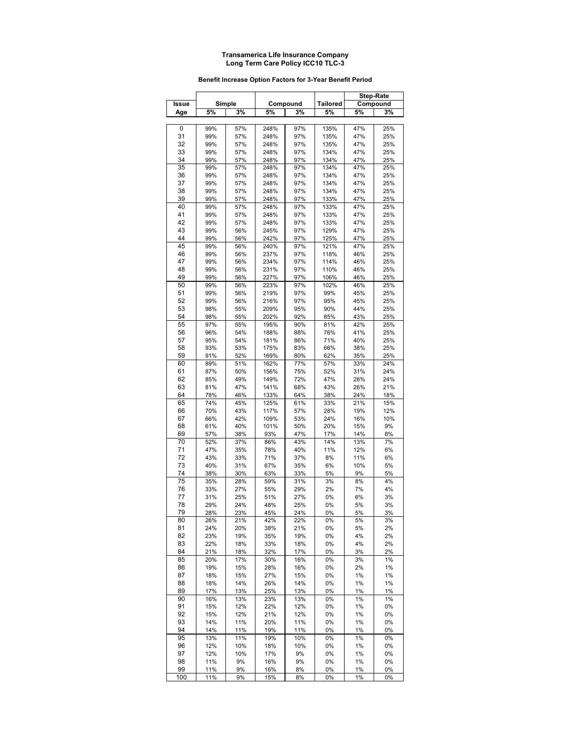#### **Benefit Increase Option Factors for 3-Year Benefit Period**

|       |     |        |      |          |          |     | Step-Rate |
|-------|-----|--------|------|----------|----------|-----|-----------|
| Issue |     | Simple |      | Compound | Tailored |     | Compound  |
| Age   | 5%  | 3%     | 5%   | 3%       | 5%       | 5%  | 3%        |
|       |     |        |      |          |          |     |           |
| 0     | 99% | 57%    | 248% | 97%      | 135%     | 47% | 25%       |
| 31    | 99% | 57%    | 248% | 97%      | 135%     | 47% | 25%       |
| 32    | 99% | 57%    | 248% | 97%      | 135%     | 47% | 25%       |
| 33    | 99% | 57%    | 248% | 97%      | 134%     | 47% | 25%       |
| 34    | 99% | 57%    | 248% | 97%      | 134%     | 47% | 25%       |
| 35    | 99% | 57%    | 248% | 97%      | 134%     | 47% | 25%       |
| 36    | 99% | 57%    | 248% | 97%      | 134%     | 47% | 25%       |
| 37    | 99% | 57%    | 248% | 97%      | 134%     | 47% | 25%       |
| 38    | 99% | 57%    | 248% | 97%      | 134%     | 47% | 25%       |
| 39    | 99% | 57%    | 248% | 97%      | 133%     | 47% | 25%       |
| 40    | 99% | 57%    | 248% | 97%      | 133%     | 47% | 25%       |
| 41    | 99% | 57%    | 248% | 97%      | 133%     | 47% | 25%       |
| 42    | 99% | 57%    | 248% | 97%      | 133%     | 47% | 25%       |
| 43    | 99% | 56%    | 245% | 97%      | 129%     | 47% | 25%       |
| 44    | 99% | 56%    | 242% | 97%      | 125%     | 47% | 25%       |
| 45    | 99% | 56%    | 240% | 97%      | 121%     | 47% | 25%       |
| 46    | 99% | 56%    | 237% | 97%      | 118%     | 46% | 25%       |
| 47    | 99% | 56%    | 234% | 97%      | 114%     | 46% | 25%       |
| 48    | 99% | 56%    | 231% | 97%      | 110%     | 46% | 25%       |
| 49    | 99% | 56%    | 227% | 97%      | 106%     | 46% | 25%       |
| 50    | 99% | 56%    | 223% | 97%      | 102%     | 46% | 25%       |
| 51    | 99% | 56%    | 219% | 97%      | 99%      | 45% | 25%       |
| 52    | 99% | 56%    | 216% | 97%      | 95%      | 45% | 25%       |
| 53    | 98% | 55%    | 209% | 95%      | 90%      | 44% | 25%       |
| 54    | 98% | 55%    | 202% | 92%      | 85%      | 43% | 25%       |
| 55    | 97% | 55%    | 195% | 90%      | 81%      | 42% | 25%       |
| 56    | 96% | 54%    | 188% | 88%      | 76%      | 41% | 25%       |
| 57    | 95% | 54%    | 181% | 86%      | 71%      | 40% | 25%       |
| 58    | 93% | 53%    | 175% | 83%      | 66%      | 38% | 25%       |
| 59    | 91% | 52%    | 169% | 80%      | 62%      | 35% | 25%       |
| 60    | 89% | 51%    | 162% | 77%      | 57%      | 33% | 24%       |
| 61    | 87% | 50%    | 156% | 75%      | 52%      | 31% | 24%       |
| 62    | 85% | 49%    | 149% | 72%      | 47%      | 28% | 24%       |
| 63    | 81% | 47%    | 141% | 68%      | 43%      | 26% | 21%       |
| 64    | 78% | 46%    | 133% | 64%      | 38%      | 24% | 18%       |
| 65    | 74% | 45%    | 125% | 61%      | 33%      | 21% | 15%       |
| 66    | 70% | 43%    | 117% | 57%      | 28%      | 19% | 12%       |
| 67    | 66% | 42%    | 109% | 53%      | 24%      | 16% | 10%       |
| 68    | 61% | 40%    | 101% | 50%      | 20%      | 15% | 9%        |
| 69    | 57% | 38%    | 93%  | 47%      | 17%      | 14% | 8%        |
| 70    | 52% | 37%    | 86%  | 43%      | 14%      | 13% | 7%        |
| 71    | 47% | 35%    | 78%  | 40%      | 11%      | 12% | 6%        |
| 72    | 43% | 33%    | 71%  | 37%      | 8%       | 11% | 6%        |
| 73    | 40% | 31%    | 67%  | 35%      | 6%       | 10% | 5%        |
| 74    | 38% | 30%    | 63%  | 33%      | 5%       | 9%  | 5%        |
| 75    | 35% | 28%    | 59%  | 31%      | 3%       | 8%  | 4%        |
| 76    | 33% | 27%    | 55%  | 29%      | 2%       | 7%  | 4%        |
| 77    | 31% | 25%    | 51%  | 27%      | 0%       | 6%  | 3%        |
| 78    | 29% | 24%    | 48%  | 25%      | 0%       | 5%  | 3%        |
| 79    | 28% | 23%    | 45%  | 24%      | 0%       | 5%  | 3%        |
| 80    | 26% | 21%    | 42%  | 22%      | 0%       | 5%  | 3%        |
| 81    | 24% | 20%    | 38%  | 21%      | 0%       | 5%  | 2%        |
| 82    | 23% | 19%    | 35%  | 19%      | 0%       | 4%  | 2%        |
| 83    | 22% | 18%    | 33%  | 18%      | 0%       | 4%  | 2%        |
| 84    | 21% | 18%    | 32%  | 17%      | 0%       | 3%  | 2%        |
| 85    | 20% | 17%    | 30%  | 16%      | 0%       | 3%  | 1%        |
| 86    | 19% | 15%    | 28%  | 16%      | 0%       | 2%  | 1%        |
| 87    | 18% | 15%    | 27%  | 15%      | 0%       | 1%  | 1%        |
| 88    | 18% | 14%    | 26%  | 14%      | 0%       | 1%  | 1%        |
| 89    | 17% | 13%    | 25%  | 13%      | 0%       | 1%  | 1%        |
| 90    | 16% | 13%    | 23%  | 13%      | 0%       | 1%  | 1%        |
| 91    | 15% | 12%    | 22%  | 12%      | 0%       | 1%  | 0%        |
| 92    | 15% | 12%    | 21%  | 12%      | 0%       | 1%  | 0%        |
| 93    | 14% | 11%    | 20%  | 11%      | 0%       | 1%  | 0%        |
| 94    | 14% | 11%    | 19%  | 11%      | 0%       | 1%  | 0%        |
| 95    | 13% | 11%    | 19%  | 10%      | 0%       | 1%  | 0%        |
| 96    | 12% | 10%    | 18%  | 10%      | 0%       | 1%  | 0%        |
| 97    | 12% | 10%    | 17%  | 9%       | 0%       | 1%  | 0%        |
| 98    | 11% | 9%     | 16%  | 9%       | 0%       | 1%  | 0%        |
| 99    | 11% | 9%     | 16%  | 8%       | 0%       | 1%  | 0%        |
| 100   | 11% | 9%     | 15%  | 8%       | 0%       | 1%  | 0%        |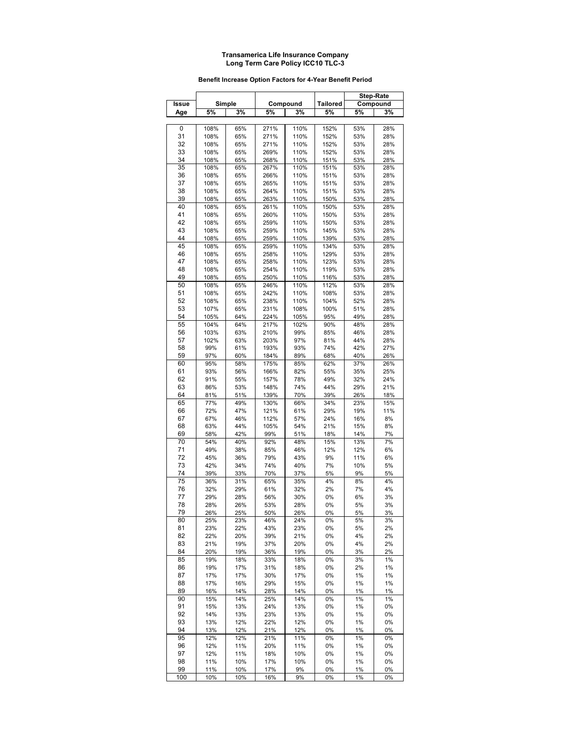#### **Benefit Increase Option Factors for 4-Year Benefit Period**

|          |              |            |              |              |              |            | <b>Step-Rate</b> |
|----------|--------------|------------|--------------|--------------|--------------|------------|------------------|
| Issue    |              | Simple     |              | Compound     | Tailored     |            | Compound         |
| Age      | 5%           | 3%         | 5%           | 3%           | 5%           | 5%         | 3%               |
|          |              |            |              |              |              |            |                  |
| 0        | 108%         | 65%        | 271%         | 110%         | 152%         | 53%        | 28%              |
| 31       | 108%         | 65%        | 271%         | 110%         | 152%         | 53%        | 28%              |
| 32       | 108%         | 65%        | 271%         | 110%         | 152%         | 53%        | 28%              |
| 33       | 108%         | 65%        | 269%         | 110%         | 152%         | 53%        | 28%              |
| 34       | 108%         | 65%        | 268%         | 110%         | 151%         | 53%        | 28%              |
| 35       | 108%         | 65%        | 267%         | 110%         | 151%         | 53%        | 28%              |
| 36<br>37 | 108%<br>108% | 65%<br>65% | 266%<br>265% | 110%<br>110% | 151%<br>151% | 53%<br>53% | 28%<br>28%       |
| 38       | 108%         | 65%        | 264%         | 110%         | 151%         | 53%        | 28%              |
| 39       | 108%         | 65%        | 263%         | 110%         | 150%         | 53%        | 28%              |
| 40       | 108%         | 65%        | 261%         | 110%         | 150%         | 53%        | 28%              |
| 41       | 108%         | 65%        | 260%         | 110%         | 150%         | 53%        | 28%              |
| 42       | 108%         | 65%        | 259%         | 110%         | 150%         | 53%        | 28%              |
| 43       | 108%         | 65%        | 259%         | 110%         | 145%         | 53%        | 28%              |
| 44       | 108%         | 65%        | 259%         | 110%         | 139%         | 53%        | 28%              |
| 45       | 108%         | 65%        | 259%         | 110%         | 134%         | 53%        | 28%              |
| 46       | 108%         | 65%        | 258%         | 110%         | 129%         | 53%        | 28%              |
| 47       | 108%         | 65%        | 258%         | 110%         | 123%         | 53%        | 28%              |
| 48       | 108%         | 65%        | 254%         | 110%         | 119%         | 53%        | 28%              |
| 49       | 108%         | 65%        | 250%         | 110%         | 116%         | 53%        | 28%              |
| 50       | 108%         | 65%        | 246%         | 110%         | 112%         | 53%        | 28%              |
| 51       | 108%         | 65%        | 242%         | 110%         | 108%         | 53%        | 28%              |
| 52       | 108%         | 65%        | 238%         | 110%         | 104%         | 52%        | 28%              |
| 53       | 107%         | 65%        | 231%         | 108%         | 100%         | 51%        | 28%              |
| 54       | 105%         | 64%        | 224%         | 105%         | 95%          | 49%        | 28%              |
| 55       | 104%         | 64%        | 217%         | 102%         | 90%          | 48%        | 28%              |
| 56       | 103%         | 63%        | 210%         | 99%          | 85%          | 46%        | 28%              |
| 57<br>58 | 102%<br>99%  | 63%<br>61% | 203%<br>193% | 97%<br>93%   | 81%<br>74%   | 44%<br>42% | 28%<br>27%       |
| 59       | 97%          | 60%        | 184%         | 89%          | 68%          | 40%        | 26%              |
| 60       | 95%          | 58%        | 175%         | 85%          | 62%          | 37%        | 26%              |
| 61       | 93%          | 56%        | 166%         | 82%          | 55%          | 35%        | 25%              |
| 62       | 91%          | 55%        | 157%         | 78%          | 49%          | 32%        | 24%              |
| 63       | 86%          | 53%        | 148%         | 74%          | 44%          | 29%        | 21%              |
| 64       | 81%          | 51%        | 139%         | 70%          | 39%          | 26%        | 18%              |
| 65       | 77%          | 49%        | 130%         | 66%          | 34%          | 23%        | 15%              |
| 66       | 72%          | 47%        | 121%         | 61%          | 29%          | 19%        | 11%              |
| 67       | 67%          | 46%        | 112%         | 57%          | 24%          | 16%        | 8%               |
| 68       | 63%          | 44%        | 105%         | 54%          | 21%          | 15%        | 8%               |
| 69       | 58%          | 42%        | 99%          | 51%          | 18%          | 14%        | 7%               |
| 70       | 54%          | 40%        | 92%          | 48%          | 15%          | 13%        | 7%               |
| 71       | 49%          | 38%        | 85%          | 46%          | 12%          | 12%        | 6%               |
| 72       | 45%          | 36%        | 79%          | 43%          | 9%           | 11%        | 6%               |
| 73       | 42%          | 34%        | 74%          | 40%          | 7%           | 10%        | 5%               |
| 74       | 39%          | 33%        | 70%          | 37%          | 5%           | 9%         | 5%               |
| 75       | 36%          | 31%        | 65%          | 35%          | 4%           | 8%         | 4%               |
| 76<br>77 | 32%<br>29%   | 29%<br>28% | 61%<br>56%   | 32%<br>30%   | 2%<br>0%     | 7%<br>6%   | 4%<br>3%         |
| 78       | 28%          | 26%        | 53%          | 28%          | 0%           | 5%         | 3%               |
| 79       | 26%          | 25%        | 50%          | 26%          | 0%           | 5%         | 3%               |
| 80       | 25%          | 23%        | 46%          | 24%          | 0%           | 5%         | 3%               |
| 81       | 23%          | 22%        | 43%          | 23%          | 0%           | 5%         | 2%               |
| 82       | 22%          | 20%        | 39%          | 21%          | 0%           | 4%         | 2%               |
| 83       | 21%          | 19%        | 37%          | 20%          | 0%           | 4%         | 2%               |
| 84       | 20%          | 19%        | 36%          | 19%          | 0%           | 3%         | 2%               |
| 85       | 19%          | 18%        | 33%          | 18%          | 0%           | 3%         | 1%               |
| 86       | 19%          | 17%        | 31%          | 18%          | 0%           | 2%         | 1%               |
| 87       | 17%          | 17%        | 30%          | 17%          | 0%           | 1%         | 1%               |
| 88       | 17%          | 16%        | 29%          | 15%          | 0%           | 1%         | 1%               |
| 89       | 16%          | 14%        | 28%          | 14%          | 0%           | 1%         | 1%               |
| 90       | 15%          | 14%        | 25%          | 14%          | 0%           | 1%         | 1%               |
| 91       | 15%          | 13%        | 24%          | 13%          | 0%           | 1%         | 0%               |
| 92       | 14%          | 13%        | 23%          | 13%          | 0%           | 1%         | 0%               |
| 93<br>94 | 13%<br>13%   | 12%<br>12% | 22%<br>21%   | 12%<br>12%   | 0%<br>0%     | 1%<br>1%   | 0%<br>0%         |
| 95       | 12%          | 12%        | 21%          | 11%          | 0%           | 1%         | 0%               |
| 96       | 12%          | 11%        | 20%          | 11%          | 0%           | 1%         | 0%               |
| 97       | 12%          | 11%        | 18%          | 10%          | 0%           | 1%         | 0%               |
| 98       | 11%          | 10%        | 17%          | 10%          | 0%           | 1%         | 0%               |
| 99       | 11%          | 10%        | 17%          | 9%           | 0%           | 1%         | 0%               |
| 100      | 10%          | 10%        | 16%          | 9%           | 0%           | 1%         | 0%               |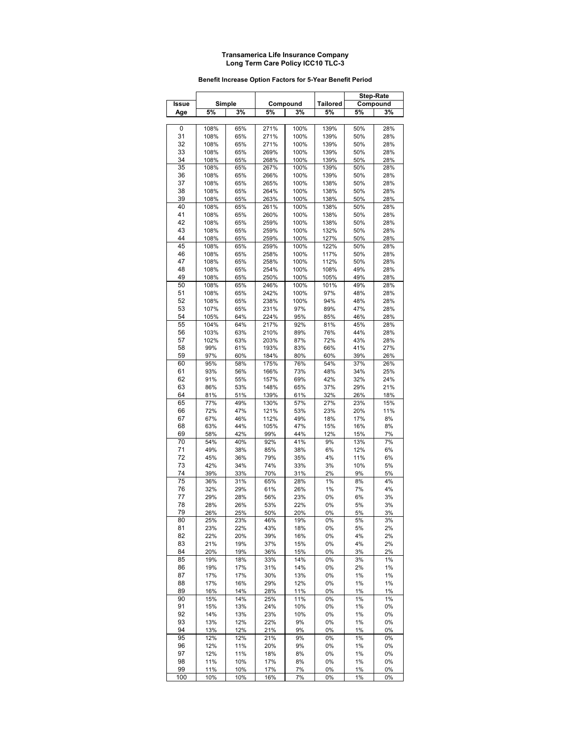#### **Benefit Increase Option Factors for 5-Year Benefit Period**

|       |            |        |      |          |                 |          | <b>Step-Rate</b> |
|-------|------------|--------|------|----------|-----------------|----------|------------------|
| Issue |            | Simple |      | Compound | <b>Tailored</b> |          | Compound         |
| Age   | 5%         | 3%     | 5%   | 3%       | 5%              | 5%       | 3%               |
|       |            |        |      |          |                 |          |                  |
| 0     | 108%       | 65%    | 271% | 100%     | 139%            | 50%      | 28%              |
| 31    | 108%       | 65%    | 271% | 100%     | 139%            | 50%      | 28%              |
| 32    | 108%       | 65%    | 271% | 100%     | 139%            | 50%      | 28%              |
| 33    | 108%       | 65%    | 269% | 100%     | 139%            | 50%      | 28%              |
| 34    | 108%       | 65%    | 268% | 100%     | 139%            | 50%      | 28%              |
| 35    | 108%       | 65%    | 267% | 100%     | 139%            | 50%      | 28%              |
| 36    |            |        |      |          |                 |          |                  |
|       | 108%       | 65%    | 266% | 100%     | 139%            | 50%      | 28%              |
| 37    | 108%       | 65%    | 265% | 100%     | 138%            | 50%      | 28%              |
| 38    | 108%       | 65%    | 264% | 100%     | 138%            | 50%      | 28%              |
| 39    | 108%       | 65%    | 263% | 100%     | 138%            | 50%      | 28%              |
| 40    | 108%       | 65%    | 261% | 100%     | 138%            | 50%      | 28%              |
| 41    | 108%       | 65%    | 260% | 100%     | 138%            | 50%      | 28%              |
| 42    | 108%       | 65%    | 259% | 100%     | 138%            | 50%      | 28%              |
| 43    | 108%       | 65%    | 259% | 100%     | 132%            | 50%      | 28%              |
| 44    | 108%       | 65%    | 259% | 100%     | 127%            | 50%      | 28%              |
| 45    | 108%       | 65%    | 259% | 100%     | 122%            | 50%      | 28%              |
| 46    | 108%       | 65%    | 258% | 100%     | 117%            | 50%      | 28%              |
| 47    | 108%       | 65%    | 258% | 100%     | 112%            | 50%      | 28%              |
| 48    | 108%       | 65%    | 254% | 100%     | 108%            | 49%      | 28%              |
| 49    | 108%       | 65%    | 250% | 100%     | 105%            | 49%      | 28%              |
| 50    | 108%       | 65%    | 246% | 100%     | 101%            | 49%      | 28%              |
| 51    | 108%       | 65%    | 242% | 100%     | 97%             | 48%      | 28%              |
| 52    | 108%       | 65%    | 238% | 100%     | 94%             | 48%      | 28%              |
| 53    | 107%       | 65%    | 231% | 97%      | 89%             | 47%      | 28%              |
| 54    | 105%       | 64%    | 224% | 95%      | 85%             | 46%      | 28%              |
| 55    | 104%       | 64%    | 217% | 92%      | 81%             | 45%      | 28%              |
| 56    | 103%       | 63%    | 210% | 89%      | 76%             | 44%      | 28%              |
| 57    | 102%       | 63%    | 203% | 87%      | 72%             | 43%      | 28%              |
| 58    | 99%        | 61%    | 193% | 83%      | 66%             | 41%      | 27%              |
| 59    | 97%        | 60%    | 184% | 80%      | 60%             | 39%      | 26%              |
| 60    | 95%        | 58%    | 175% | 76%      | 54%             | 37%      | 26%              |
| 61    | 93%        | 56%    | 166% | 73%      | 48%             | 34%      | 25%              |
| 62    | 91%        | 55%    | 157% | 69%      | 42%             | 32%      | 24%              |
| 63    | 86%        | 53%    | 148% | 65%      | 37%             | 29%      | 21%              |
| 64    | 81%        | 51%    | 139% | 61%      | 32%             | 26%      | 18%              |
| 65    | 77%        | 49%    | 130% | 57%      | 27%             | 23%      | 15%              |
| 66    | 72%        | 47%    | 121% | 53%      | 23%             | 20%      | 11%              |
| 67    | 67%        | 46%    | 112% | 49%      | 18%             | 17%      | 8%               |
| 68    | 63%        | 44%    | 105% | 47%      | 15%             | 16%      | 8%               |
| 69    | 58%        | 42%    | 99%  | 44%      | 12%             | 15%      | 7%               |
| 70    | 54%        | 40%    | 92%  | 41%      | 9%              | 13%      | 7%               |
| 71    | 49%        | 38%    | 85%  | 38%      | 6%              | 12%      | 6%               |
| 72    | 45%        | 36%    | 79%  | 35%      | 4%              | 11%      | 6%               |
| 73    | 42%        | 34%    | 74%  | 33%      | 3%              | 10%      | 5%               |
| 74    | 39%        | 33%    | 70%  | 31%      | 2%              | 9%       | 5%               |
| 75    | 36%        | 31%    | 65%  | 28%      | 1%              | 8%       | 4%               |
| 76    | 32%        | 29%    | 61%  | 26%      | 1%              | 7%       | 4%               |
| 77    | 29%        | 28%    | 56%  | 23%      | 0%              | 6%       | 3%               |
| 78    | 28%        | 26%    | 53%  | 22%      | 0%              | 5%       | 3%               |
| 79    |            |        |      |          | 0%              |          | 3%               |
| 80    | 26%<br>25% | 25%    | 50%  | 20%      |                 | 5%<br>5% |                  |
|       |            | 23%    | 46%  | 19%      | 0%              |          | 3%               |
| 81    | 23%        | 22%    | 43%  | 18%      | 0%              | 5%       | 2%               |
| 82    | 22%        | 20%    | 39%  | 16%      | 0%              | 4%       | 2%               |
| 83    | 21%        | 19%    | 37%  | 15%      | 0%              | 4%       | 2%               |
| 84    | 20%        | 19%    | 36%  | 15%      | 0%              | 3%       | 2%               |
| 85    | 19%        | 18%    | 33%  | 14%      | 0%              | 3%       | 1%               |
| 86    | 19%        | 17%    | 31%  | 14%      | 0%              | 2%       | 1%               |
| 87    | 17%        | 17%    | 30%  | 13%      | 0%              | 1%       | 1%               |
| 88    | 17%        | 16%    | 29%  | 12%      | 0%              | 1%       | 1%               |
| 89    | 16%        | 14%    | 28%  | 11%      | 0%              | 1%       | 1%               |
| 90    | 15%        | 14%    | 25%  | 11%      | 0%              | 1%       | 1%               |
| 91    | 15%        | 13%    | 24%  | 10%      | 0%              | 1%       | 0%               |
| 92    | 14%        | 13%    | 23%  | 10%      | 0%              | 1%       | 0%               |
| 93    | 13%        | 12%    | 22%  | 9%       | 0%              | 1%       | 0%               |
| 94    | 13%        | 12%    | 21%  | 9%       | 0%              | 1%       | 0%               |
| 95    | 12%        | 12%    | 21%  | 9%       | 0%              | 1%       | 0%               |
| 96    | 12%        | 11%    | 20%  | 9%       | 0%              | 1%       | 0%               |
| 97    | 12%        | 11%    | 18%  | 8%       | 0%              | 1%       | 0%               |
| 98    | 11%        | 10%    | 17%  | 8%       | 0%              | 1%       | 0%               |
| 99    | 11%        | 10%    | 17%  | 7%       | 0%              | 1%       | 0%               |
| 100   | 10%        | 10%    | 16%  | 7%       | 0%              | 1%       | 0%               |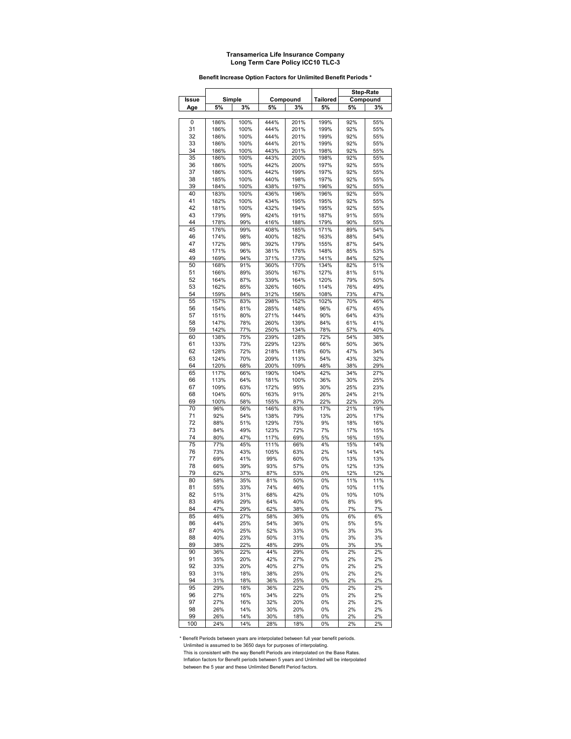#### **Benefit Increase Option Factors for Unlimited Benefit Periods \***

|              |              |            |              |              |                 |            | <b>Step-Rate</b> |
|--------------|--------------|------------|--------------|--------------|-----------------|------------|------------------|
| <b>Issue</b> |              | Simple     |              | Compound     | <b>Tailored</b> |            | Compound         |
| Age          | 5%           | 3%         | 5%           | 3%           | 5%              | 5%         | 3%               |
|              |              |            |              |              |                 |            |                  |
| 0            | 186%         | 100%       | 444%         | 201%         | 199%            | 92%        | 55%              |
| 31           | 186%         | 100%       | 444%         | 201%         | 199%            | 92%        | 55%              |
| 32           | 186%         | 100%       | 444%         | 201%         | 199%            | 92%        | 55%              |
| 33           | 186%         | 100%       | 444%         | 201%         | 199%            | 92%        | 55%              |
| 34           | 186%         | 100%       | 443%         | 201%         | 198%            | 92%        | 55%              |
| 35           | 186%         | 100%       | 443%         | 200%         | 198%            | 92%        | 55%              |
| 36           | 186%         | 100%       | 442%         | 200%         | 197%            | 92%        | 55%              |
| 37           | 186%         | 100%       | 442%         | 199%         | 197%            | 92%        | 55%              |
| 38           | 185%         | 100%       | 440%         | 198%         | 197%            | 92%        | 55%              |
| 39           | 184%         | 100%       | 438%         | 197%         | 196%            | 92%        | 55%              |
| 40           | 183%         | 100%       | 436%         | 196%         | 196%            | 92%        | 55%              |
| 41           | 182%         | 100%       | 434%         | 195%         | 195%            | 92%        | 55%              |
| 42           | 181%         | 100%       | 432%         | 194%         | 195%            | 92%        | 55%              |
| 43           | 179%         | 99%        | 424%         | 191%         | 187%            | 91%        | 55%              |
| 44           | 178%         | 99%        | 416%         | 188%         | 179%            | 90%        | 55%              |
| 45           | 176%         | 99%        | 408%         | 185%         | 171%            | 89%        | 54%              |
| 46           | 174%         | 98%        | 400%         | 182%         | 163%            | 88%        | 54%              |
| 47           | 172%         | 98%        | 392%         | 179%         | 155%            | 87%        | 54%              |
| 48           | 171%         | 96%        | 381%         | 176%         | 148%            | 85%        | 53%              |
| 49           | 169%         | 94%        | 371%         | 173%         | 141%            | 84%        | 52%              |
| 50           | 168%         | 91%        | 360%         | 170%         | 134%            | 82%        | 51%<br>51%       |
| 51           | 166%         | 89%        | 350%         | 167%<br>164% | 127%            | 81%        | 50%              |
| 52           | 164%         | 87%        | 339%         | 160%         | 120%            | 79%        |                  |
| 53<br>54     | 162%<br>159% | 85%<br>84% | 326%<br>312% | 156%         | 114%<br>108%    | 76%<br>73% | 49%<br>47%       |
| 55           | 157%         | 83%        | 298%         | 152%         | 102%            | 70%        | 46%              |
| 56           | 154%         | 81%        | 285%         | 148%         | 96%             | 67%        | 45%              |
| 57           | 151%         | 80%        | 271%         | 144%         | 90%             | 64%        | 43%              |
| 58           | 147%         | 78%        | 260%         | 139%         | 84%             | 61%        | 41%              |
| 59           | 142%         | 77%        | 250%         | 134%         | 78%             | 57%        | 40%              |
| 60           | 138%         | 75%        | 239%         | 128%         | 72%             | 54%        | 38%              |
| 61           | 133%         | 73%        | 229%         | 123%         | 66%             | 50%        | 36%              |
| 62           | 128%         | 72%        | 218%         | 118%         | 60%             | 47%        | 34%              |
| 63           | 124%         | 70%        | 209%         | 113%         | 54%             | 43%        | 32%              |
| 64           | 120%         | 68%        | 200%         | 109%         | 48%             | 38%        | 29%              |
| 65           | 117%         | 66%        | 190%         | 104%         | 42%             | 34%        | 27%              |
| 66           | 113%         | 64%        | 181%         | 100%         | 36%             | 30%        | 25%              |
| 67           | 109%         | 63%        | 172%         | 95%          | 30%             | 25%        | 23%              |
| 68           | 104%         | 60%        | 163%         | 91%          | 26%             | 24%        | 21%              |
| 69           | 100%         | 58%        | 155%         | 87%          | 22%             | 22%        | 20%              |
| 70           | 96%          | 56%        | 146%         | 83%          | 17%             | 21%        | 19%              |
| 71           | 92%          | 54%        | 138%         | 79%          | 13%             | 20%        | 17%              |
| 72           | 88%          | 51%        | 129%         | 75%          | 9%              | 18%        | 16%              |
| 73           | 84%          | 49%        | 123%         | 72%          | 7%              | 17%        | 15%              |
| 74           | 80%          | 47%        | 117%         | 69%          | 5%              | 16%        | 15%              |
| 75           | 77%          | 45%        | 111%         | 66%          | 4%              | 15%        | 14%              |
| 76           | 73%          | 43%        | 105%         | 63%          | 2%              | 14%        | 14%              |
| 77           | 69%          | 41%        | 99%          | 60%          | 0%              | 13%        | 13%              |
| 78           | 66%          | 39%        | 93%          | 57%          | 0%              | 12%        | 13%              |
| 79           | 62%          | 37%        | 87%          | 53%          | 0%              | 12%        | 12%              |
| 80           | 58%          | 35%        | 81%          | 50%          | 0%              | 11%        | 11%              |
| 81           | 55%          | 33%        | 74%          | 46%          | 0%              | 10%        | 11%              |
| 82           | 51%          | 31%        | 68%          | 42%          | 0%              | 10%        | 10%              |
| 83           | 49%          | 29%        | 64%          | 40%          | 0%              | 8%         | 9%               |
| 84           | 47%          | 29%        | 62%          | 38%          | 0%              | 7%         | 7%               |
| 85           | 46%          | 27%        | 58%          | 36%          | 0%              | 6%         | 6%               |
| 86           | 44%          | 25%        | 54%          | 36%          | 0%              | 5%         | 5%               |
| 87           | 40%          | 25%        | 52%          | 33%          | 0%              | 3%         | 3%               |
| 88           | 40%          | 23%        | 50%          | 31%          | 0%              | 3%         | 3%               |
| 89           | 38%          | 22%        | 48%          | 29%          | 0%              | 3%         | 3%               |
| 90           | 36%          | 22%        | 44%          | 29%          | 0%              | 2%         | 2%               |
| 91           | 35%          | 20%        | 42%          | 27%          | 0%              | 2%         | 2%               |
| 92           | 33%          | 20%        | 40%          | 27%          | 0%              | 2%         | 2%               |
| 93           | 31%          | 18%        | 38%          | 25%          | 0%              | 2%         | 2%               |
| 94           | 31%          | 18%        | 36%          | 25%          | 0%              | 2%         | 2%               |
| 95           | 29%          | 18%        | 36%          | 22%          | 0%              | 2%         | 2%               |
| 96<br>97     | 27%<br>27%   | 16%        | 34%          | 22%          | 0%              | 2%         | 2%               |
|              |              | 16%<br>14% | 32%          | 20%          | 0%              | 2%         | 2%               |
| 98<br>99     | 26%<br>26%   | 14%        | 30%<br>30%   | 20%<br>18%   | 0%<br>0%        | 2%<br>2%   | 2%<br>2%         |
| 100          | 24%          | 14%        | 28%          | 18%          | 0%              | 2%         | 2%               |
|              |              |            |              |              |                 |            |                  |

\* Benefit Periods between years are interpolated between full year benefit periods. Unlimited is assumed to be 3650 days for purposes of interpolating.

 This is consistent with the way Benefit Periods are interpolated on the Base Rates. Inflation factors for Benefit periods between 5 years and Unlimited will be interpolated

between the 5 year and these Unlimited Benefit Period factors.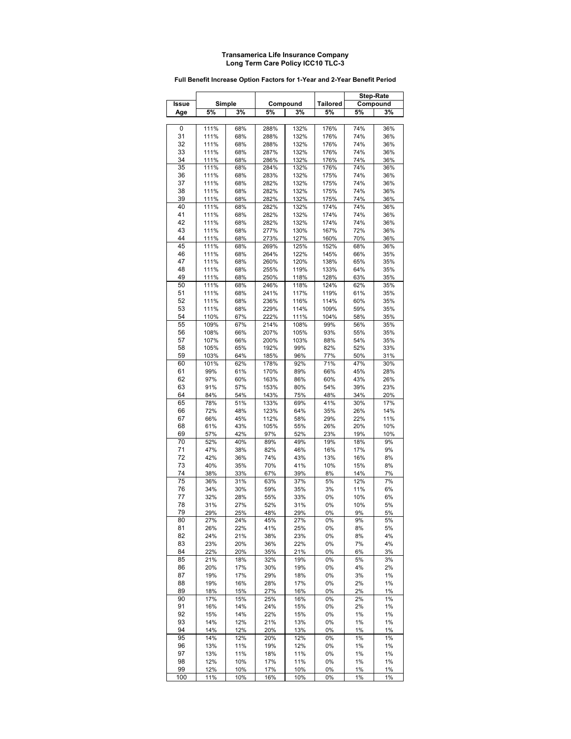|       |      |        |      |          |                 | <b>Step-Rate</b> |          |
|-------|------|--------|------|----------|-----------------|------------------|----------|
| Issue |      | Simple |      | Compound | <b>Tailored</b> |                  | Compound |
| Age   | 5%   | 3%     | 5%   | 3%       | 5%              | 5%               | 3%       |
|       |      |        |      |          |                 |                  |          |
| 0     | 111% | 68%    | 288% | 132%     | 176%            | 74%              | 36%      |
| 31    | 111% | 68%    | 288% | 132%     | 176%            | 74%              | 36%      |
| 32    | 111% | 68%    | 288% | 132%     | 176%            | 74%              | 36%      |
| 33    | 111% | 68%    | 287% | 132%     | 176%            | 74%              | 36%      |
| 34    | 111% | 68%    | 286% | 132%     | 176%            | 74%              | 36%      |
| 35    | 111% | 68%    | 284% | 132%     | 176%            | 74%              | 36%      |
| 36    | 111% | 68%    | 283% | 132%     | 175%            | 74%              | 36%      |
| 37    | 111% | 68%    | 282% | 132%     | 175%            | 74%              | 36%      |
| 38    | 111% | 68%    | 282% | 132%     | 175%            | 74%              | 36%      |
| 39    | 111% | 68%    | 282% | 132%     | 175%            | 74%              | 36%      |
| 40    | 111% | 68%    | 282% | 132%     | 174%            | 74%              | 36%      |
| 41    | 111% | 68%    | 282% | 132%     | 174%            | 74%              | 36%      |
| 42    | 111% | 68%    | 282% | 132%     | 174%            | 74%              | 36%      |
| 43    | 111% | 68%    | 277% | 130%     | 167%            | 72%              | 36%      |
| 44    | 111% | 68%    | 273% | 127%     | 160%            | 70%              | 36%      |
| 45    | 111% | 68%    | 269% | 125%     | 152%            | 68%              | 36%      |
| 46    | 111% | 68%    | 264% | 122%     | 145%            | 66%              | 35%      |
| 47    | 111% | 68%    | 260% | 120%     | 138%            | 65%              | 35%      |
| 48    | 111% | 68%    | 255% | 119%     | 133%            | 64%              | 35%      |
| 49    | 111% | 68%    | 250% | 118%     | 128%            | 63%              | 35%      |
| 50    | 111% | 68%    | 246% | 118%     | 124%            | 62%              | 35%      |
| 51    | 111% | 68%    | 241% | 117%     | 119%            | 61%              | 35%      |
| 52    | 111% | 68%    | 236% | 116%     | 114%            | 60%              | 35%      |
| 53    | 111% | 68%    | 229% | 114%     | 109%            | 59%              | 35%      |
| 54    | 110% | 67%    | 222% | 111%     | 104%            | 58%              | 35%      |
| 55    | 109% | 67%    | 214% | 108%     | 99%             | 56%              | 35%      |
| 56    | 108% | 66%    | 207% | 105%     | 93%             | 55%              | 35%      |
| 57    | 107% | 66%    | 200% | 103%     | 88%             | 54%              | 35%      |
| 58    | 105% | 65%    | 192% | 99%      | 82%             | 52%              | 33%      |
| 59    | 103% | 64%    | 185% | 96%      | 77%             | 50%              | 31%      |
| 60    | 101% | 62%    | 178% | 92%      | 71%             | 47%              | 30%      |
| 61    | 99%  | 61%    | 170% | 89%      | 66%             | 45%              | 28%      |
| 62    | 97%  | 60%    | 163% | 86%      | 60%             | 43%              | 26%      |
| 63    | 91%  | 57%    | 153% | 80%      | 54%             | 39%              | 23%      |
| 64    | 84%  | 54%    | 143% | 75%      | 48%             | 34%              | 20%      |
| 65    | 78%  | 51%    | 133% | 69%      | 41%             | 30%              | 17%      |
| 66    | 72%  | 48%    | 123% | 64%      | 35%             | 26%              | 14%      |
| 67    | 66%  | 45%    | 112% | 58%      | 29%             | 22%              | 11%      |
| 68    | 61%  | 43%    | 105% | 55%      | 26%             | 20%              | 10%      |
| 69    | 57%  | 42%    | 97%  | 52%      | 23%             | 19%              | 10%      |
| 70    | 52%  | 40%    | 89%  | 49%      | 19%             | 18%              | 9%       |
| 71    | 47%  | 38%    | 82%  | 46%      | 16%             | 17%              | 9%       |
| 72    | 42%  | 36%    | 74%  | 43%      | 13%             | 16%              | 8%       |
| 73    | 40%  | 35%    | 70%  | 41%      | 10%             | 15%              | 8%       |
| 74    | 38%  | 33%    | 67%  | 39%      | 8%              | 14%              | 7%       |
| 75    | 36%  | 31%    | 63%  | 37%      | 5%              | 12%              | 7%       |
| 76    | 34%  | 30%    | 59%  | 35%      | 3%              | 11%              | 6%       |
| 77    | 32%  | 28%    | 55%  | 33%      | 0%              | 10%              | 6%       |
| 78    | 31%  | 27%    | 52%  | 31%      | 0%              | 10%              | 5%       |
| 79    | 29%  | 25%    | 48%  | 29%      | 0%              | 9%               | 5%       |
| 80    | 27%  | 24%    | 45%  | 27%      | 0%              | 9%               | 5%       |
| 81    | 26%  | 22%    | 41%  | 25%      | 0%              | 8%               | 5%       |
| 82    | 24%  | 21%    | 38%  | 23%      | 0%              | 8%               | 4%       |
| 83    | 23%  | 20%    | 36%  | 22%      | 0%              | 7%               | 4%       |
| 84    | 22%  | 20%    | 35%  | 21%      | 0%              | 6%               | 3%       |
| 85    | 21%  | 18%    | 32%  | 19%      | 0%              | 5%               | 3%       |
| 86    | 20%  | 17%    | 30%  | 19%      | 0%              | 4%               | 2%       |
| 87    | 19%  | 17%    | 29%  | 18%      | 0%              | 3%               | 1%       |
| 88    | 19%  | 16%    | 28%  | 17%      | 0%              | 2%               | 1%       |
| 89    | 18%  | 15%    | 27%  | 16%      | 0%              | 2%               | 1%       |
| 90    | 17%  | 15%    | 25%  | 16%      | 0%              | 2%               | 1%       |
| 91    | 16%  | 14%    | 24%  | 15%      | 0%              | 2%               | 1%       |
| 92    | 15%  | 14%    | 22%  | 15%      | 0%              | 1%               | 1%       |
| 93    | 14%  | 12%    | 21%  | 13%      | 0%              | 1%               | 1%       |
| 94    | 14%  | 12%    | 20%  | 13%      | 0%              | 1%               | 1%       |
| 95    | 14%  | 12%    | 20%  | 12%      | 0%              | 1%               | 1%       |
| 96    | 13%  | 11%    | 19%  | 12%      | 0%              | 1%               | 1%       |
| 97    | 13%  | 11%    | 18%  | 11%      | 0%              | 1%               | 1%       |
| 98    | 12%  | 10%    | 17%  | 11%      | 0%              | 1%               | 1%       |
| 99    | 12%  | 10%    | 17%  | 10%      | 0%              | 1%               | 1%       |
| 100   | 11%  | 10%    | 16%  | 10%      | 0%              | 1%               | 1%       |

#### **Full Benefit Increase Option Factors for 1-Year and 2-Year Benefit Period**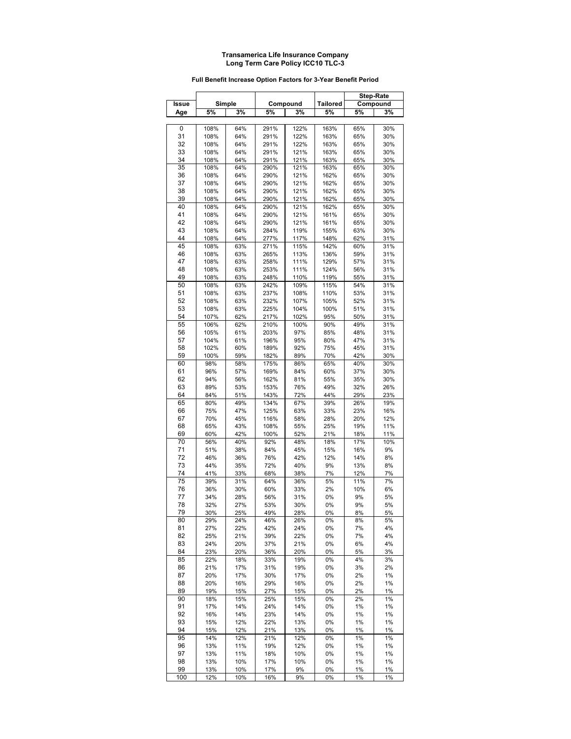#### **Full Benefit Increase Option Factors for 3-Year Benefit Period**

|       |      |        |      |          |                 |     | <b>Step-Rate</b> |
|-------|------|--------|------|----------|-----------------|-----|------------------|
| Issue |      | Simple |      | Compound | <b>Tailored</b> |     | Compound         |
| Age   | 5%   | 3%     | 5%   | 3%       | 5%              | 5%  | 3%               |
|       |      |        |      |          |                 |     |                  |
| 0     | 108% | 64%    | 291% | 122%     | 163%            | 65% | 30%              |
| 31    | 108% | 64%    | 291% | 122%     | 163%            | 65% | 30%              |
| 32    | 108% | 64%    | 291% | 122%     | 163%            | 65% | 30%              |
| 33    | 108% | 64%    | 291% | 121%     | 163%            | 65% | 30%              |
| 34    | 108% | 64%    | 291% | 121%     | 163%            | 65% | 30%              |
| 35    | 108% | 64%    | 290% | 121%     | 163%            | 65% | 30%              |
| 36    | 108% | 64%    | 290% | 121%     | 162%            | 65% | 30%              |
| 37    | 108% | 64%    | 290% | 121%     | 162%            | 65% | 30%              |
| 38    | 108% | 64%    | 290% | 121%     | 162%            | 65% | 30%              |
| 39    | 108% | 64%    | 290% | 121%     | 162%            | 65% | 30%              |
| 40    | 108% | 64%    | 290% | 121%     | 162%            | 65% | 30%              |
| 41    | 108% | 64%    | 290% | 121%     | 161%            | 65% | 30%              |
| 42    | 108% | 64%    | 290% | 121%     | 161%            | 65% | 30%              |
| 43    | 108% | 64%    | 284% | 119%     | 155%            | 63% | 30%              |
| 44    | 108% | 64%    | 277% | 117%     | 148%            | 62% | 31%              |
| 45    | 108% | 63%    | 271% | 115%     | 142%            | 60% | 31%              |
| 46    | 108% | 63%    | 265% | 113%     | 136%            | 59% | 31%              |
| 47    | 108% | 63%    | 258% | 111%     | 129%            | 57% | 31%              |
| 48    | 108% | 63%    | 253% | 111%     | 124%            | 56% | 31%              |
| 49    | 108% | 63%    | 248% | 110%     | 119%            | 55% | 31%              |
| 50    | 108% | 63%    | 242% | 109%     | 115%            | 54% | 31%              |
| 51    | 108% | 63%    | 237% | 108%     | 110%            | 53% | 31%              |
| 52    | 108% | 63%    | 232% | 107%     | 105%            | 52% | 31%              |
| 53    | 108% | 63%    | 225% | 104%     | 100%            | 51% | 31%              |
| 54    | 107% | 62%    | 217% | 102%     | 95%             | 50% | 31%              |
| 55    | 106% | 62%    | 210% | 100%     | 90%             | 49% | 31%              |
| 56    | 105% | 61%    | 203% | 97%      | 85%             | 48% | 31%              |
| 57    | 104% | 61%    | 196% | 95%      | 80%             | 47% | 31%              |
| 58    | 102% | 60%    | 189% | 92%      | 75%             | 45% | 31%              |
| 59    | 100% | 59%    | 182% | 89%      | 70%             | 42% | 30%              |
| 60    | 98%  | 58%    | 175% | 86%      | 65%             | 40% | 30%              |
| 61    | 96%  | 57%    | 169% | 84%      | 60%             | 37% | 30%              |
| 62    | 94%  | 56%    | 162% | 81%      | 55%             | 35% | 30%              |
| 63    | 89%  | 53%    | 153% | 76%      | 49%             | 32% | 26%              |
| 64    | 84%  | 51%    | 143% | 72%      | 44%             | 29% | 23%              |
| 65    | 80%  | 49%    | 134% | 67%      | 39%             | 26% | 19%              |
| 66    | 75%  | 47%    | 125% | 63%      | 33%             | 23% | 16%              |
| 67    | 70%  | 45%    | 116% | 58%      | 28%             | 20% | 12%              |
| 68    | 65%  | 43%    | 108% | 55%      | 25%             | 19% | 11%              |
| 69    | 60%  | 42%    | 100% | 52%      | 21%             | 18% | 11%              |
| 70    | 56%  | 40%    | 92%  | 48%      | 18%             | 17% | 10%              |
| 71    | 51%  | 38%    | 84%  | 45%      | 15%             | 16% | 9%               |
| 72    | 46%  | 36%    | 76%  | 42%      | 12%             | 14% | 8%               |
| 73    | 44%  | 35%    | 72%  | 40%      | 9%              | 13% | 8%               |
| 74    | 41%  | 33%    | 68%  | 38%      | 7%              | 12% | 7%               |
| 75    | 39%  | 31%    | 64%  | 36%      | 5%              | 11% | 7%               |
| 76    | 36%  | 30%    | 60%  | 33%      | 2%              | 10% | 6%               |
| 77    | 34%  | 28%    | 56%  | 31%      | 0%              | 9%  | 5%               |
| 78    | 32%  | 27%    | 53%  | 30%      | 0%              | 9%  | 5%               |
| 79    | 30%  | 25%    | 49%  | 28%      | 0%              | 8%  | 5%               |
| 80    | 29%  | 24%    | 46%  | 26%      | 0%              | 8%  | 5%               |
| 81    | 27%  | 22%    | 42%  | 24%      | 0%              | 7%  | 4%               |
| 82    | 25%  | 21%    | 39%  | 22%      | 0%              | 7%  | 4%               |
| 83    | 24%  | 20%    | 37%  | 21%      | 0%              | 6%  | 4%               |
| 84    | 23%  | 20%    | 36%  | 20%      | 0%              | 5%  | 3%               |
| 85    | 22%  | 18%    | 33%  | 19%      | 0%              | 4%  | 3%               |
| 86    | 21%  | 17%    | 31%  | 19%      | 0%              | 3%  | 2%               |
| 87    | 20%  | 17%    | 30%  | 17%      | 0%              | 2%  | 1%               |
| 88    | 20%  | 16%    | 29%  | 16%      | 0%              | 2%  | 1%               |
| 89    | 19%  | 15%    | 27%  | 15%      | 0%              | 2%  | 1%               |
| 90    | 18%  | 15%    | 25%  | 15%      | 0%              | 2%  | 1%               |
| 91    | 17%  | 14%    | 24%  | 14%      | 0%              | 1%  | 1%               |
| 92    | 16%  | 14%    | 23%  | 14%      | 0%              | 1%  | 1%               |
| 93    | 15%  | 12%    | 22%  | 13%      | 0%              | 1%  | 1%               |
| 94    | 15%  | 12%    | 21%  | 13%      | 0%              | 1%  | 1%               |
| 95    | 14%  | 12%    | 21%  | 12%      | 0%              | 1%  | 1%               |
| 96    | 13%  | 11%    | 19%  | 12%      | 0%              | 1%  | 1%               |
| 97    | 13%  | 11%    | 18%  | 10%      | 0%              | 1%  | 1%               |
| 98    | 13%  | 10%    | 17%  | 10%      | 0%              | 1%  | 1%               |
| 99    | 13%  | 10%    | 17%  | 9%       | 0%              | 1%  | 1%               |
| 100   | 12%  | 10%    | 16%  | 9%       | 0%              | 1%  | 1%               |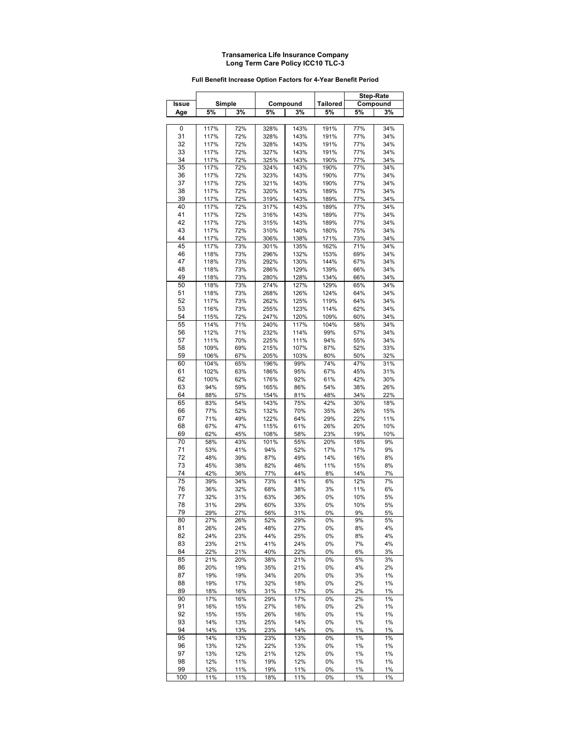#### **Full Benefit Increase Option Factors for 4-Year Benefit Period**

|          |      |            |      |          |                 |     | <b>Step-Rate</b> |
|----------|------|------------|------|----------|-----------------|-----|------------------|
| Issue    |      | Simple     |      | Compound | <b>Tailored</b> |     | Compound         |
| Age      | 5%   | 3%         | 5%   | 3%       | 5%              | 5%  | 3%               |
|          |      |            |      |          |                 |     |                  |
| 0        | 117% | 72%        | 328% | 143%     | 191%            | 77% | 34%              |
| 31       | 117% | 72%        | 328% | 143%     | 191%            | 77% | 34%              |
| 32       | 117% | 72%        | 328% | 143%     | 191%            | 77% | 34%              |
| 33       | 117% | 72%        | 327% | 143%     | 191%            | 77% | 34%              |
| 34       | 117% | 72%        | 325% | 143%     | 190%            | 77% | 34%              |
| 35       | 117% | 72%        | 324% | 143%     | 190%            | 77% | 34%              |
| 36       |      |            |      | 143%     |                 | 77% | 34%              |
|          | 117% | 72%<br>72% | 323% |          | 190%            |     |                  |
| 37       | 117% |            | 321% | 143%     | 190%            | 77% | 34%              |
| 38       | 117% | 72%        | 320% | 143%     | 189%            | 77% | 34%              |
| 39       | 117% | 72%        | 319% | 143%     | 189%            | 77% | 34%              |
| 40       | 117% | 72%        | 317% | 143%     | 189%            | 77% | 34%              |
| 41       | 117% | 72%        | 316% | 143%     | 189%            | 77% | 34%              |
| 42       | 117% | 72%        | 315% | 143%     | 189%            | 77% | 34%              |
| 43       | 117% | 72%        | 310% | 140%     | 180%            | 75% | 34%              |
| 44       | 117% | 72%        | 306% | 138%     | 171%            | 73% | 34%              |
| 45       | 117% | 73%        | 301% | 135%     | 162%            | 71% | 34%              |
| 46       | 118% | 73%        | 296% | 132%     | 153%            | 69% | 34%              |
| 47       | 118% | 73%        | 292% | 130%     | 144%            | 67% | 34%              |
| 48       | 118% | 73%        | 286% | 129%     | 139%            | 66% | 34%              |
| 49       | 118% | 73%        | 280% | 128%     | 134%            | 66% | 34%              |
| 50       | 118% | 73%        | 274% | 127%     | 129%            | 65% | 34%              |
| 51       | 118% | 73%        | 268% | 126%     | 124%            | 64% | 34%              |
| 52       | 117% | 73%        | 262% | 125%     | 119%            | 64% | 34%              |
| 53       | 116% | 73%        | 255% | 123%     | 114%            | 62% | 34%              |
| 54       | 115% | 72%        | 247% | 120%     | 109%            | 60% | 34%              |
| 55       | 114% | 71%        | 240% | 117%     | 104%            | 58% | 34%              |
| 56       | 112% | 71%        | 232% | 114%     | 99%             | 57% | 34%              |
| 57       | 111% | 70%        | 225% | 111%     | 94%             | 55% | 34%              |
| 58       | 109% | 69%        | 215% | 107%     | 87%             | 52% | 33%              |
| 59       | 106% | 67%        | 205% | 103%     | 80%             | 50% | 32%              |
| 60       | 104% | 65%        | 196% | 99%      | 74%             | 47% | 31%              |
| 61       | 102% | 63%        | 186% | 95%      | 67%             | 45% | 31%              |
| 62       | 100% | 62%        | 176% | 92%      | 61%             | 42% | 30%              |
| 63       | 94%  | 59%        | 165% | 86%      | 54%             | 38% | 26%              |
| 64       | 88%  | 57%        | 154% | 81%      | 48%             | 34% | 22%              |
| 65       | 83%  | 54%        | 143% | 75%      | 42%             | 30% | 18%              |
| 66       | 77%  | 52%        | 132% | 70%      | 35%             | 26% | 15%              |
| 67       | 71%  | 49%        | 122% | 64%      | 29%             | 22% | 11%              |
| 68       | 67%  | 47%        | 115% | 61%      | 26%             | 20% | 10%              |
| 69       | 62%  | 45%        | 108% | 58%      | 23%             | 19% | 10%              |
| 70       | 58%  | 43%        | 101% | 55%      | 20%             | 18% | 9%               |
| 71       |      | 41%        | 94%  |          | 17%             |     | 9%               |
|          | 53%  |            |      | 52%      |                 | 17% |                  |
| 72       | 48%  | 39%        | 87%  | 49%      | 14%             | 16% | 8%               |
| 73<br>74 | 45%  | 38%        | 82%  | 46%      | 11%             | 15% | 8%               |
|          | 42%  | 36%        | 77%  | 44%      | 8%              | 14% | 7%               |
| 75       | 39%  | 34%        | 73%  | 41%      | 6%              | 12% | 7%               |
| 76       | 36%  | 32%        | 68%  | 38%      | 3%              | 11% | 6%               |
| 77       | 32%  | 31%        | 63%  | 36%      | 0%              | 10% | 5%               |
| 78       | 31%  | 29%        | 60%  | 33%      | 0%              | 10% | 5%               |
| 79       | 29%  | 27%        | 56%  | 31%      | 0%              | 9%  | 5%               |
| 80       | 27%  | 26%        | 52%  | 29%      | 0%              | 9%  | 5%               |
| 81       | 26%  | 24%        | 48%  | 27%      | 0%              | 8%  | 4%               |
| 82       | 24%  | 23%        | 44%  | 25%      | 0%              | 8%  | 4%               |
| 83       | 23%  | 21%        | 41%  | 24%      | 0%              | 7%  | 4%               |
| 84       | 22%  | 21%        | 40%  | 22%      | 0%              | 6%  | 3%               |
| 85       | 21%  | 20%        | 38%  | 21%      | 0%              | 5%  | 3%               |
| 86       | 20%  | 19%        | 35%  | 21%      | 0%              | 4%  | 2%               |
| 87       | 19%  | 19%        | 34%  | 20%      | 0%              | 3%  | 1%               |
| 88       | 19%  | 17%        | 32%  | 18%      | 0%              | 2%  | 1%               |
| 89       | 18%  | 16%        | 31%  | 17%      | 0%              | 2%  | 1%               |
| 90       | 17%  | 16%        | 29%  | 17%      | 0%              | 2%  | 1%               |
| 91       | 16%  | 15%        | 27%  | 16%      | 0%              | 2%  | 1%               |
| 92       | 15%  | 15%        | 26%  | 16%      | 0%              | 1%  | 1%               |
| 93       | 14%  | 13%        | 25%  | 14%      | 0%              | 1%  | 1%               |
| 94       | 14%  | 13%        | 23%  | 14%      | 0%              | 1%  | 1%               |
| 95       | 14%  | 13%        | 23%  | 13%      | 0%              | 1%  | 1%               |
| 96       | 13%  | 12%        | 22%  | 13%      | 0%              | 1%  | 1%               |
| 97       | 13%  | 12%        | 21%  | 12%      | 0%              | 1%  | 1%               |
| 98       | 12%  | 11%        | 19%  | 12%      | 0%              | 1%  | 1%               |
| 99       | 12%  | 11%        | 19%  | 11%      | 0%              | 1%  | 1%               |
| 100      | 11%  | 11%        | 18%  | 11%      | 0%              | 1%  | 1%               |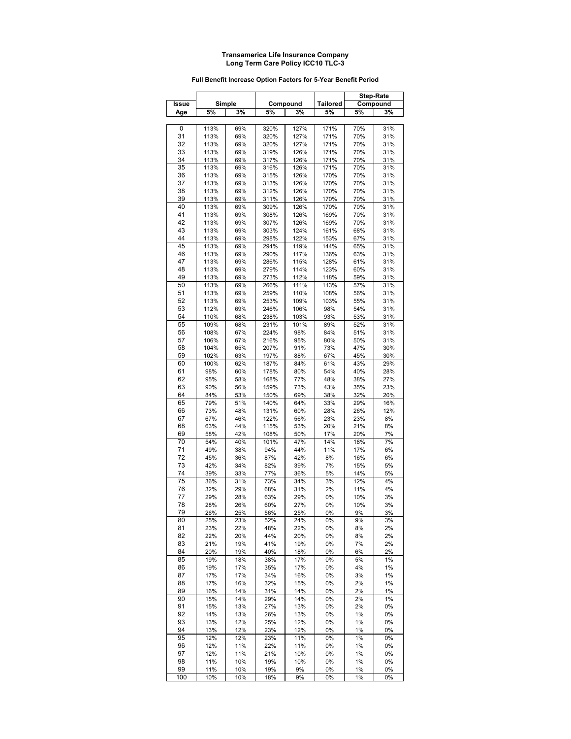#### **Full Benefit Increase Option Factors for 5-Year Benefit Period**

|       |      |        |      |          |                 |     | <b>Step-Rate</b> |
|-------|------|--------|------|----------|-----------------|-----|------------------|
| Issue |      | Simple |      | Compound | <b>Tailored</b> |     | Compound         |
| Age   | 5%   | 3%     | 5%   | 3%       | 5%              | 5%  | 3%               |
|       |      |        |      |          |                 |     |                  |
| 0     | 113% | 69%    | 320% | 127%     | 171%            | 70% | 31%              |
| 31    | 113% | 69%    | 320% | 127%     | 171%            | 70% | 31%              |
| 32    | 113% | 69%    | 320% | 127%     | 171%            | 70% | 31%              |
| 33    | 113% | 69%    | 319% | 126%     | 171%            | 70% | 31%              |
| 34    | 113% | 69%    | 317% | 126%     | 171%            | 70% | 31%              |
| 35    | 113% | 69%    | 316% | 126%     | 171%            | 70% | 31%              |
| 36    | 113% | 69%    | 315% | 126%     | 170%            | 70% | 31%              |
| 37    | 113% | 69%    | 313% | 126%     | 170%            | 70% | 31%              |
| 38    | 113% | 69%    | 312% | 126%     | 170%            | 70% | 31%              |
| 39    | 113% | 69%    | 311% | 126%     | 170%            | 70% | 31%              |
| 40    | 113% | 69%    | 309% | 126%     | 170%            | 70% | 31%              |
| 41    | 113% | 69%    | 308% | 126%     | 169%            | 70% | 31%              |
| 42    | 113% | 69%    | 307% | 126%     | 169%            | 70% | 31%              |
| 43    | 113% | 69%    | 303% | 124%     | 161%            | 68% | 31%              |
| 44    | 113% | 69%    | 298% | 122%     | 153%            | 67% | 31%              |
| 45    | 113% | 69%    | 294% | 119%     | 144%            | 65% | 31%              |
| 46    | 113% | 69%    | 290% | 117%     | 136%            | 63% | 31%              |
| 47    | 113% | 69%    | 286% | 115%     | 128%            | 61% | 31%              |
| 48    | 113% | 69%    | 279% | 114%     | 123%            | 60% | 31%              |
| 49    | 113% | 69%    | 273% | 112%     | 118%            | 59% | 31%              |
| 50    | 113% | 69%    | 266% | 111%     | 113%            | 57% | 31%              |
| 51    | 113% | 69%    | 259% | 110%     | 108%            | 56% | 31%              |
| 52    | 113% | 69%    | 253% | 109%     | 103%            | 55% | 31%              |
| 53    | 112% | 69%    | 246% | 106%     | 98%             | 54% | 31%              |
| 54    | 110% | 68%    | 238% | 103%     | 93%             | 53% | 31%              |
| 55    | 109% | 68%    | 231% | 101%     | 89%             | 52% | 31%              |
| 56    | 108% | 67%    | 224% | 98%      | 84%             | 51% | 31%              |
| 57    | 106% | 67%    | 216% | 95%      | 80%             | 50% | 31%              |
| 58    | 104% | 65%    | 207% | 91%      | 73%             | 47% | 30%              |
| 59    | 102% | 63%    | 197% | 88%      | 67%             | 45% | 30%              |
| 60    | 100% | 62%    | 187% | 84%      | 61%             | 43% | 29%              |
| 61    | 98%  | 60%    | 178% | 80%      | 54%             | 40% | 28%              |
| 62    | 95%  | 58%    | 168% | 77%      | 48%             | 38% | 27%              |
| 63    | 90%  | 56%    | 159% | 73%      | 43%             | 35% | 23%              |
| 64    | 84%  | 53%    | 150% | 69%      | 38%             | 32% | 20%              |
| 65    | 79%  | 51%    | 140% | 64%      | 33%             | 29% | 16%              |
| 66    | 73%  | 48%    | 131% | 60%      | 28%             | 26% | 12%              |
| 67    | 67%  | 46%    | 122% | 56%      | 23%             | 23% | 8%               |
| 68    | 63%  | 44%    | 115% | 53%      | 20%             | 21% | 8%               |
| 69    | 58%  | 42%    | 108% | 50%      | 17%             | 20% | 7%               |
| 70    | 54%  | 40%    | 101% | 47%      | 14%             | 18% | 7%               |
| 71    | 49%  | 38%    | 94%  | 44%      | 11%             | 17% | 6%               |
| 72    | 45%  | 36%    | 87%  | 42%      | 8%              | 16% | 6%               |
| 73    | 42%  | 34%    | 82%  | 39%      | 7%              | 15% | 5%               |
| 74    | 39%  | 33%    | 77%  | 36%      | 5%              | 14% | 5%               |
| 75    | 36%  | 31%    | 73%  | 34%      | 3%              | 12% | 4%               |
| 76    | 32%  | 29%    | 68%  | 31%      | 2%              | 11% | 4%               |
| 77    | 29%  | 28%    | 63%  | 29%      | 0%              | 10% | 3%               |
| 78    | 28%  | 26%    | 60%  | 27%      | 0%              | 10% | 3%               |
| 79    | 26%  | 25%    | 56%  | 25%      | 0%              | 9%  | 3%               |
| 80    | 25%  | 23%    | 52%  | 24%      | 0%              | 9%  | 3%               |
| 81    | 23%  | 22%    | 48%  | 22%      | 0%              | 8%  | 2%               |
| 82    | 22%  | 20%    | 44%  | 20%      | 0%              | 8%  | 2%               |
| 83    | 21%  | 19%    | 41%  | 19%      | 0%              | 7%  | 2%               |
| 84    | 20%  | 19%    | 40%  | 18%      | 0%              | 6%  | 2%               |
| 85    | 19%  | 18%    | 38%  | 17%      | 0%              | 5%  | 1%               |
| 86    | 19%  | 17%    | 35%  | 17%      | 0%              | 4%  | 1%               |
| 87    | 17%  | 17%    | 34%  | 16%      | 0%              | 3%  | 1%               |
| 88    | 17%  | 16%    | 32%  | 15%      | 0%              | 2%  | 1%               |
| 89    | 16%  | 14%    | 31%  | 14%      | 0%              | 2%  | 1%               |
| 90    | 15%  | 14%    | 29%  | 14%      | 0%              | 2%  | 1%               |
| 91    | 15%  | 13%    | 27%  | 13%      | 0%              | 2%  | 0%               |
| 92    | 14%  | 13%    | 26%  | 13%      | 0%              | 1%  | 0%               |
| 93    | 13%  | 12%    | 25%  | 12%      | 0%              | 1%  | 0%               |
| 94    | 13%  | 12%    | 23%  | 12%      | 0%              | 1%  | 0%               |
| 95    | 12%  | 12%    | 23%  | 11%      | 0%              | 1%  | 0%               |
| 96    | 12%  | 11%    | 22%  | 11%      | 0%              | 1%  | 0%               |
| 97    | 12%  | 11%    | 21%  | 10%      | 0%              | 1%  | 0%               |
| 98    | 11%  | 10%    | 19%  | 10%      | 0%              | 1%  | 0%               |
| 99    | 11%  | 10%    | 19%  | 9%       | 0%              | 1%  | 0%               |
| 100   | 10%  | 10%    | 18%  | 9%       | 0%              | 1%  | 0%               |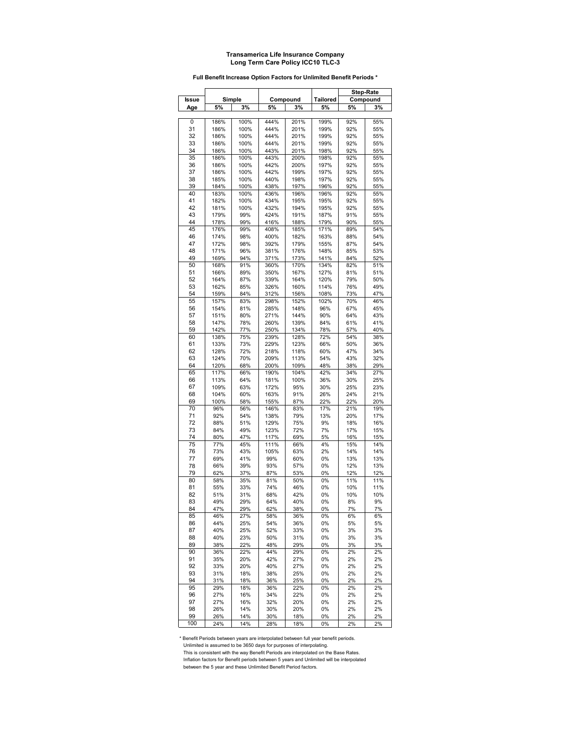#### **Full Benefit Increase Option Factors for Unlimited Benefit Periods \***

|          |              |            |              |              |              |            | <b>Step-Rate</b> |
|----------|--------------|------------|--------------|--------------|--------------|------------|------------------|
| Issue    |              | Simple     |              | Compound     | Tailored     |            | Compound         |
| Age      | 5%           | 3%         | 5%           | 3%           | 5%           | 5%         | 3%               |
|          |              |            |              |              |              |            |                  |
| 0        | 186%         | 100%       | 444%         | 201%         | 199%         | 92%        | 55%              |
| 31       | 186%         | 100%       | 444%         | 201%         | 199%         | 92%        | 55%              |
| 32       | 186%         | 100%       | 444%         | 201%         | 199%         | 92%        | 55%              |
| 33       | 186%         | 100%       | 444%         | 201%         | 199%         | 92%        | 55%              |
| 34       | 186%         | 100%       | 443%         | 201%         | 198%         | 92%        | 55%              |
| 35       | 186%         | 100%       | 443%         | 200%         | 198%         | 92%        | 55%              |
| 36       | 186%         | 100%       | 442%         | 200%         | 197%         | 92%        | 55%              |
| 37       | 186%         | 100%       | 442%         | 199%         | 197%         | 92%        | 55%              |
| 38       | 185%         | 100%       | 440%         | 198%         | 197%         | 92%        | 55%              |
| 39       | 184%         | 100%       | 438%         | 197%         | 196%         | 92%        | 55%              |
| 40       | 183%         | 100%       | 436%         | 196%         | 196%         | 92%        | 55%              |
| 41       | 182%         | 100%       | 434%         | 195%         | 195%         | 92%        | 55%              |
| 42       | 181%         | 100%       | 432%         | 194%         | 195%         | 92%        | 55%              |
| 43       | 179%         | 99%        | 424%         | 191%         | 187%         | 91%        | 55%              |
| 44<br>45 | 178%         | 99%        | 416%         | 188%         | 179%         | 90%        | 55%              |
|          | 176%         | 99%        | 408%         | 185%         | 171%         | 89%        | 54%              |
| 46       | 174%         | 98%        | 400%         | 182%         | 163%         | 88%        | 54%              |
| 47<br>48 | 172%<br>171% | 98%<br>96% | 392%<br>381% | 179%<br>176% | 155%<br>148% | 87%<br>85% | 54%<br>53%       |
| 49       | 169%         | 94%        | 371%         | 173%         | 141%         | 84%        | 52%              |
| 50       | 168%         | 91%        | 360%         | 170%         | 134%         | 82%        | 51%              |
| 51       | 166%         | 89%        | 350%         | 167%         | 127%         | 81%        | 51%              |
| 52       | 164%         | 87%        | 339%         | 164%         | 120%         | 79%        | 50%              |
| 53       | 162%         | 85%        | 326%         | 160%         | 114%         | 76%        | 49%              |
| 54       | 159%         | 84%        | 312%         | 156%         | 108%         | 73%        | 47%              |
| 55       | 157%         | 83%        | 298%         | 152%         | 102%         | 70%        | 46%              |
| 56       | 154%         | 81%        | 285%         | 148%         | 96%          | 67%        | 45%              |
| 57       | 151%         | 80%        | 271%         | 144%         | 90%          | 64%        | 43%              |
| 58       | 147%         | 78%        | 260%         | 139%         | 84%          | 61%        | 41%              |
| 59       | 142%         | 77%        | 250%         | 134%         | 78%          | 57%        | 40%              |
| 60       | 138%         | 75%        | 239%         | 128%         | 72%          | 54%        | 38%              |
| 61       | 133%         | 73%        | 229%         | 123%         | 66%          | 50%        | 36%              |
| 62       | 128%         | 72%        | 218%         | 118%         | 60%          | 47%        | 34%              |
| 63       | 124%         | 70%        | 209%         | 113%         | 54%          | 43%        | 32%              |
| 64       | 120%         | 68%        | 200%         | 109%         | 48%          | 38%        | 29%              |
| 65       | 117%         | 66%        | 190%         | 104%         | 42%          | 34%        | 27%              |
| 66       | 113%         | 64%        | 181%         | 100%         | 36%          | 30%        | 25%              |
| 67       | 109%         | 63%        | 172%         | 95%          | 30%          | 25%        | 23%              |
| 68       | 104%         | 60%        | 163%         | 91%          | 26%          | 24%        | 21%              |
| 69       | 100%         | 58%        | 155%         | 87%          | 22%          | 22%        | 20%              |
| 70       | 96%          | 56%        | 146%         | 83%          | 17%          | 21%        | 19%              |
| 71       | 92%          | 54%        | 138%         | 79%          | 13%          | 20%        | 17%              |
| 72       | 88%          | 51%        | 129%         | 75%          | 9%           | 18%        | 16%              |
| 73       | 84%          | 49%        | 123%         | 72%          | 7%           | 17%        | 15%              |
| 74       | 80%          | 47%        | 117%         | 69%          | 5%           | 16%        | 15%              |
| 75       | 77%          | 45%        | 111%         | 66%          | 4%           | 15%        | 14%              |
| 76       | 73%          | 43%        | 105%         | 63%          | 2%           | 14%<br>13% | 14%              |
| 77<br>78 | 69%          | 41%        | 99%          | 60%          | 0%           |            | 13%              |
| 79       | 66%<br>62%   | 39%<br>37% | 93%<br>87%   | 57%<br>53%   | 0%<br>0%     | 12%<br>12% | 13%<br>12%       |
| 80       | 58%          | 35%        | 81%          | 50%          | 0%           | 11%        | 11%              |
| 81       | 55%          | 33%        | 74%          | 46%          | 0%           | 10%        | 11%              |
| 82       | 51%          | 31%        | 68%          | 42%          | 0%           | 10%        | 10%              |
| 83       | 49%          | 29%        | 64%          | 40%          | 0%           | 8%         | 9%               |
| 84       | 47%          | 29%        | 62%          | 38%          | 0%           | 7%         | 7%               |
| 85       | 46%          | 27%        | 58%          | 36%          | 0%           | 6%         | 6%               |
| 86       | 44%          | 25%        | 54%          | 36%          | 0%           | 5%         | 5%               |
| 87       | 40%          | 25%        | 52%          | 33%          | 0%           | 3%         | 3%               |
| 88       | 40%          | 23%        | 50%          | 31%          | 0%           | 3%         | 3%               |
| 89       | 38%          | 22%        | 48%          | 29%          | 0%           | 3%         | 3%               |
| 90       | 36%          | 22%        | 44%          | 29%          | 0%           | 2%         | 2%               |
| 91       | 35%          | 20%        | 42%          | 27%          | 0%           | 2%         | 2%               |
| 92       | 33%          | 20%        | 40%          | 27%          | 0%           | 2%         | 2%               |
| 93       | 31%          | 18%        | 38%          | 25%          | 0%           | 2%         | 2%               |
| 94       | 31%          | 18%        | 36%          | 25%          | 0%           | 2%         | 2%               |
| 95       | 29%          | 18%        | 36%          | 22%          | 0%           | 2%         | 2%               |
| 96       | 27%          | 16%        | 34%          | 22%          | 0%           | 2%         | 2%               |
| 97       | 27%          | 16%        | 32%          | 20%          | 0%           | 2%         | 2%               |
| 98       | 26%          | 14%        | 30%          | 20%          | 0%           | 2%         | 2%               |
| 99       | 26%          | 14%        | 30%          | 18%          | 0%           | 2%         | 2%               |
| 100      | 24%          | 14%        | 28%          | 18%          | 0%           | 2%         | 2%               |

\* Benefit Periods between years are interpolated between full year benefit periods. Unlimited is assumed to be 3650 days for purposes of interpolating.

 This is consistent with the way Benefit Periods are interpolated on the Base Rates. Inflation factors for Benefit periods between 5 years and Unlimited will be interpolated

between the 5 year and these Unlimited Benefit Period factors.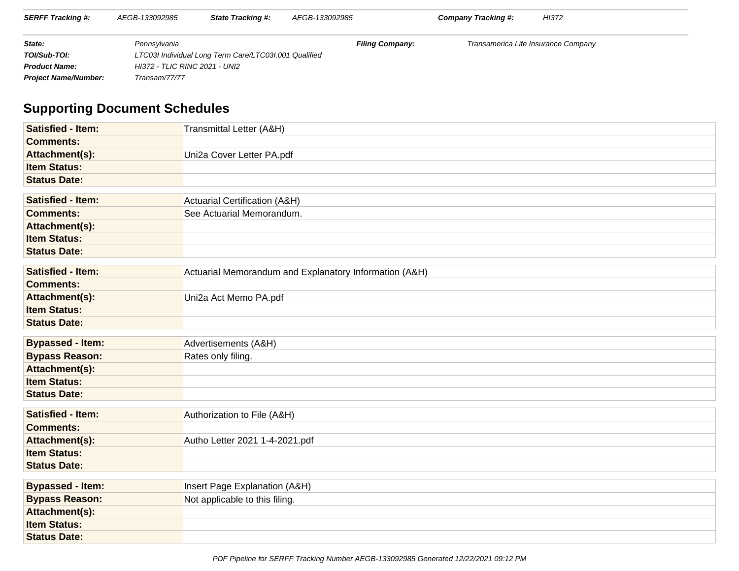| <b>SERFF Tracking #:</b>    | AEGB-133092985 | <b>State Tracking #:</b>                              | AEGB-133092985         | HI372<br>Company Tracking #:        |  |  |
|-----------------------------|----------------|-------------------------------------------------------|------------------------|-------------------------------------|--|--|
| State:                      | Pennsvlvania   |                                                       | <b>Filing Company:</b> | Transamerica Life Insurance Company |  |  |
| TOI/Sub-TOI:                |                | LTC03I Individual Long Term Care/LTC03I.001 Qualified |                        |                                     |  |  |
| <b>Product Name:</b>        |                | HI372 - TLIC RINC 2021 - UNI2                         |                        |                                     |  |  |
| <b>Project Name/Number:</b> | Transam/77/77  |                                                       |                        |                                     |  |  |

# **Supporting Document Schedules**

| <b>Satisfied - Item:</b> | Transmittal Letter (A&H)                               |
|--------------------------|--------------------------------------------------------|
| <b>Comments:</b>         |                                                        |
| Attachment(s):           | Uni2a Cover Letter PA.pdf                              |
| <b>Item Status:</b>      |                                                        |
| <b>Status Date:</b>      |                                                        |
|                          |                                                        |
| <b>Satisfied - Item:</b> | <b>Actuarial Certification (A&amp;H)</b>               |
| <b>Comments:</b>         | See Actuarial Memorandum.                              |
| Attachment(s):           |                                                        |
| <b>Item Status:</b>      |                                                        |
| <b>Status Date:</b>      |                                                        |
|                          |                                                        |
| <b>Satisfied - Item:</b> | Actuarial Memorandum and Explanatory Information (A&H) |
| <b>Comments:</b>         |                                                        |
| Attachment(s):           | Uni2a Act Memo PA.pdf                                  |
| <b>Item Status:</b>      |                                                        |
| <b>Status Date:</b>      |                                                        |
|                          |                                                        |
| <b>Bypassed - Item:</b>  | Advertisements (A&H)                                   |
| <b>Bypass Reason:</b>    | Rates only filing.                                     |
| Attachment(s):           |                                                        |
| <b>Item Status:</b>      |                                                        |
| <b>Status Date:</b>      |                                                        |
|                          |                                                        |
| <b>Satisfied - Item:</b> | Authorization to File (A&H)                            |
| <b>Comments:</b>         |                                                        |
| Attachment(s):           | Autho Letter 2021 1-4-2021.pdf                         |
| <b>Item Status:</b>      |                                                        |
| <b>Status Date:</b>      |                                                        |
|                          |                                                        |
| <b>Bypassed - Item:</b>  | Insert Page Explanation (A&H)                          |
| <b>Bypass Reason:</b>    | Not applicable to this filing.                         |
| Attachment(s):           |                                                        |
| <b>Item Status:</b>      |                                                        |
| <b>Status Date:</b>      |                                                        |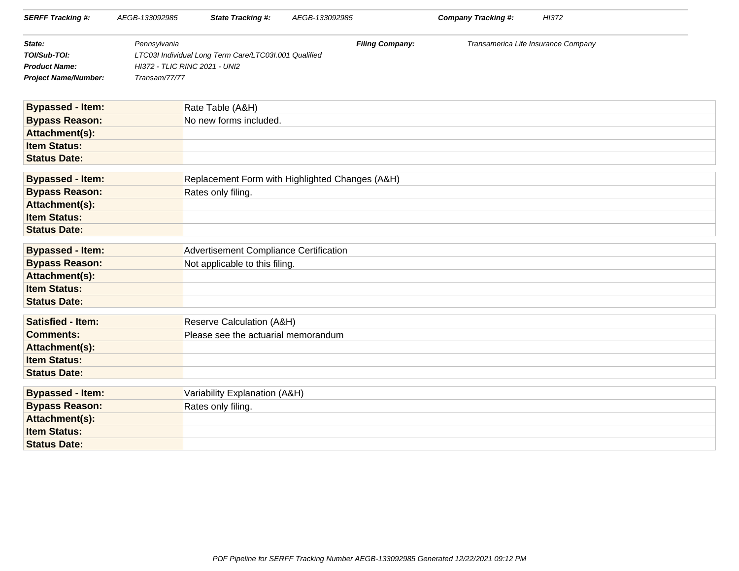| <b>SERFF Tracking #:</b>                | AEGB-133092985                | <b>State Tracking #:</b>                              | AEGB-133092985 |                        | <b>Company Tracking #:</b>          | HI372 |
|-----------------------------------------|-------------------------------|-------------------------------------------------------|----------------|------------------------|-------------------------------------|-------|
| State:                                  | Pennsylvania                  |                                                       |                | <b>Filing Company:</b> | Transamerica Life Insurance Company |       |
| TOI/Sub-TOI:                            |                               | LTC03I Individual Long Term Care/LTC03I.001 Qualified |                |                        |                                     |       |
| <b>Product Name:</b>                    | HI372 - TLIC RINC 2021 - UNI2 |                                                       |                |                        |                                     |       |
| <b>Project Name/Number:</b>             | Transam/77/77                 |                                                       |                |                        |                                     |       |
|                                         |                               |                                                       |                |                        |                                     |       |
| <b>Bypassed - Item:</b>                 |                               | Rate Table (A&H)                                      |                |                        |                                     |       |
| <b>Bypass Reason:</b>                   |                               | No new forms included.                                |                |                        |                                     |       |
| Attachment(s):                          |                               |                                                       |                |                        |                                     |       |
| <b>Item Status:</b>                     |                               |                                                       |                |                        |                                     |       |
| <b>Status Date:</b>                     |                               |                                                       |                |                        |                                     |       |
| <b>Bypassed - Item:</b>                 |                               | Replacement Form with Highlighted Changes (A&H)       |                |                        |                                     |       |
| <b>Bypass Reason:</b>                   |                               | Rates only filing.                                    |                |                        |                                     |       |
| Attachment(s):                          |                               |                                                       |                |                        |                                     |       |
| <b>Item Status:</b>                     |                               |                                                       |                |                        |                                     |       |
| <b>Status Date:</b>                     |                               |                                                       |                |                        |                                     |       |
| <b>Bypassed - Item:</b>                 |                               | Advertisement Compliance Certification                |                |                        |                                     |       |
|                                         |                               |                                                       |                |                        |                                     |       |
| <b>Bypass Reason:</b><br>Attachment(s): |                               | Not applicable to this filing.                        |                |                        |                                     |       |
| <b>Item Status:</b>                     |                               |                                                       |                |                        |                                     |       |
| <b>Status Date:</b>                     |                               |                                                       |                |                        |                                     |       |
|                                         |                               |                                                       |                |                        |                                     |       |
| <b>Satisfied - Item:</b>                |                               | Reserve Calculation (A&H)                             |                |                        |                                     |       |
| <b>Comments:</b>                        |                               | Please see the actuarial memorandum                   |                |                        |                                     |       |
| Attachment(s):                          |                               |                                                       |                |                        |                                     |       |
| <b>Item Status:</b>                     |                               |                                                       |                |                        |                                     |       |
| <b>Status Date:</b>                     |                               |                                                       |                |                        |                                     |       |
| <b>Bypassed - Item:</b>                 |                               | Variability Explanation (A&H)                         |                |                        |                                     |       |
| <b>Bypass Reason:</b>                   |                               | Rates only filing.                                    |                |                        |                                     |       |
| Attachment(s):                          |                               |                                                       |                |                        |                                     |       |
| <b>Item Status:</b>                     |                               |                                                       |                |                        |                                     |       |
| <b>Status Date:</b>                     |                               |                                                       |                |                        |                                     |       |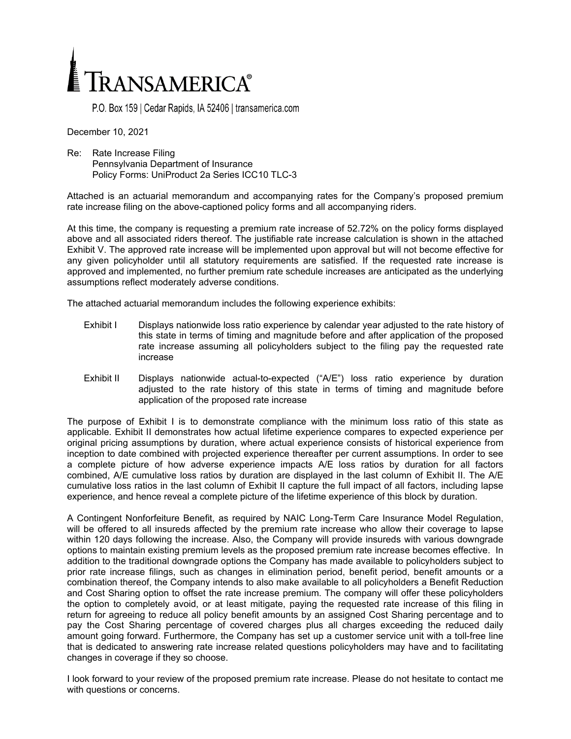

P.O. Box 159 | Cedar Rapids, IA 52406 | transamerica.com

December 10, 2021

Re: Rate Increase Filing Pennsylvania Department of Insurance Policy Forms: UniProduct 2a Series ICC10 TLC-3

Attached is an actuarial memorandum and accompanying rates for the Company's proposed premium rate increase filing on the above-captioned policy forms and all accompanying riders.

At this time, the company is requesting a premium rate increase of 52.72% on the policy forms displayed above and all associated riders thereof. The justifiable rate increase calculation is shown in the attached Exhibit V. The approved rate increase will be implemented upon approval but will not become effective for any given policyholder until all statutory requirements are satisfied. If the requested rate increase is approved and implemented, no further premium rate schedule increases are anticipated as the underlying assumptions reflect moderately adverse conditions.

The attached actuarial memorandum includes the following experience exhibits:

- Exhibit I Displays nationwide loss ratio experience by calendar year adjusted to the rate history of this state in terms of timing and magnitude before and after application of the proposed rate increase assuming all policyholders subject to the filing pay the requested rate increase
- Exhibit II Displays nationwide actual-to-expected ("A/E") loss ratio experience by duration adjusted to the rate history of this state in terms of timing and magnitude before application of the proposed rate increase

The purpose of Exhibit I is to demonstrate compliance with the minimum loss ratio of this state as applicable. Exhibit II demonstrates how actual lifetime experience compares to expected experience per original pricing assumptions by duration, where actual experience consists of historical experience from inception to date combined with projected experience thereafter per current assumptions. In order to see a complete picture of how adverse experience impacts A/E loss ratios by duration for all factors combined, A/E cumulative loss ratios by duration are displayed in the last column of Exhibit II. The A/E cumulative loss ratios in the last column of Exhibit II capture the full impact of all factors, including lapse experience, and hence reveal a complete picture of the lifetime experience of this block by duration.

A Contingent Nonforfeiture Benefit, as required by NAIC Long-Term Care Insurance Model Regulation, will be offered to all insureds affected by the premium rate increase who allow their coverage to lapse within 120 days following the increase. Also, the Company will provide insureds with various downgrade options to maintain existing premium levels as the proposed premium rate increase becomes effective. In addition to the traditional downgrade options the Company has made available to policyholders subject to prior rate increase filings, such as changes in elimination period, benefit period, benefit amounts or a combination thereof, the Company intends to also make available to all policyholders a Benefit Reduction and Cost Sharing option to offset the rate increase premium. The company will offer these policyholders the option to completely avoid, or at least mitigate, paying the requested rate increase of this filing in return for agreeing to reduce all policy benefit amounts by an assigned Cost Sharing percentage and to pay the Cost Sharing percentage of covered charges plus all charges exceeding the reduced daily amount going forward. Furthermore, the Company has set up a customer service unit with a toll-free line that is dedicated to answering rate increase related questions policyholders may have and to facilitating changes in coverage if they so choose.

I look forward to your review of the proposed premium rate increase. Please do not hesitate to contact me with questions or concerns.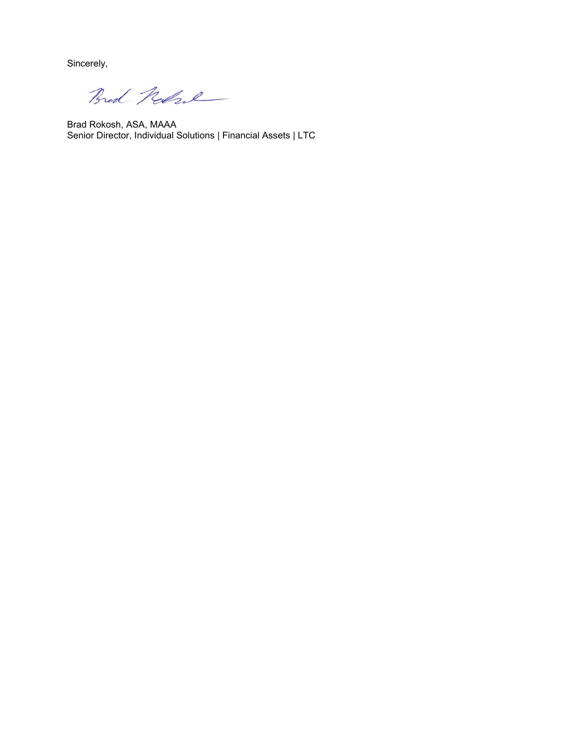Sincerely,

Bred Robert

Brad Rokosh, ASA, MAAA Senior Director, Individual Solutions | Financial Assets | LTC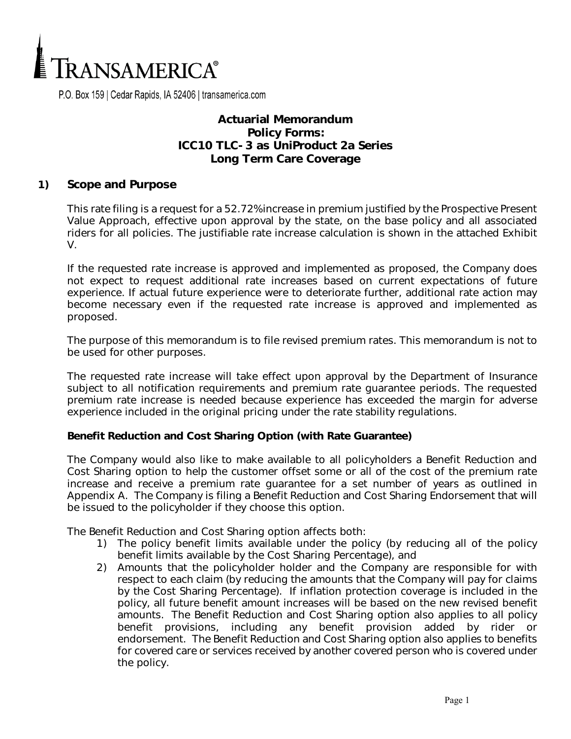

P.O. Box 159 | Cedar Rapids, IA 52406 | transamerica.com

### **Actuarial Memorandum Policy Forms: ICC10 TLC-3 as UniProduct 2a Series Long Term Care Coverage**

#### **1) Scope and Purpose**

This rate filing is a request for a 52.72% increase in premium justified by the Prospective Present Value Approach, effective upon approval by the state, on the base policy and all associated riders for all policies. The justifiable rate increase calculation is shown in the attached Exhibit V.

If the requested rate increase is approved and implemented as proposed, the Company does not expect to request additional rate increases based on current expectations of future experience. If actual future experience were to deteriorate further, additional rate action may become necessary even if the requested rate increase is approved and implemented as proposed.

The purpose of this memorandum is to file revised premium rates. This memorandum is not to be used for other purposes.

The requested rate increase will take effect upon approval by the Department of Insurance subject to all notification requirements and premium rate guarantee periods. The requested premium rate increase is needed because experience has exceeded the margin for adverse experience included in the original pricing under the rate stability regulations.

#### **Benefit Reduction and Cost Sharing Option (with Rate Guarantee)**

The Company would also like to make available to all policyholders a Benefit Reduction and Cost Sharing option to help the customer offset some or all of the cost of the premium rate increase and receive a premium rate guarantee for a set number of years as outlined in Appendix A. The Company is filing a Benefit Reduction and Cost Sharing Endorsement that will be issued to the policyholder if they choose this option.

The Benefit Reduction and Cost Sharing option affects both:

- 1) The policy benefit limits available under the policy (by reducing all of the policy benefit limits available by the Cost Sharing Percentage), and
- 2) Amounts that the policyholder holder and the Company are responsible for with respect to each claim (by reducing the amounts that the Company will pay for claims by the Cost Sharing Percentage). If inflation protection coverage is included in the policy, all future benefit amount increases will be based on the new revised benefit amounts. The Benefit Reduction and Cost Sharing option also applies to all policy benefit provisions, including any benefit provision added by rider or endorsement. The Benefit Reduction and Cost Sharing option also applies to benefits for covered care or services received by another covered person who is covered under the policy.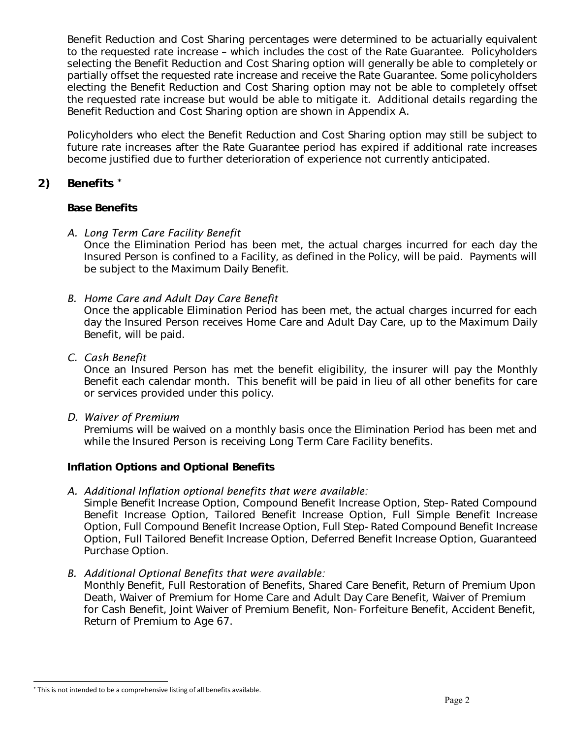Benefit Reduction and Cost Sharing percentages were determined to be actuarially equivalent to the requested rate increase – which includes the cost of the Rate Guarantee. Policyholders selecting the Benefit Reduction and Cost Sharing option will generally be able to completely or partially offset the requested rate increase and receive the Rate Guarantee. Some policyholders electing the Benefit Reduction and Cost Sharing option may not be able to completely offset the requested rate increase but would be able to mitigate it. Additional details regarding the Benefit Reduction and Cost Sharing option are shown in Appendix A.

Policyholders who elect the Benefit Reduction and Cost Sharing option may still be subject to future rate increases after the Rate Guarantee period has expired if additional rate increases become justified due to further deterioration of experience not currently anticipated.

### **2) Benefits \***

### **Base Benefits**

### *A. Long Term Care Facility Benefit*

Once the Elimination Period has been met, the actual charges incurred for each day the Insured Person is confined to a Facility, as defined in the Policy, will be paid. Payments will be subject to the Maximum Daily Benefit.

### *B. Home Care and Adult Day Care Benefit*

Once the applicable Elimination Period has been met, the actual charges incurred for each day the Insured Person receives Home Care and Adult Day Care, up to the Maximum Daily Benefit, will be paid.

### *C. Cash Benefit*

Once an Insured Person has met the benefit eligibility, the insurer will pay the Monthly Benefit each calendar month. This benefit will be paid in lieu of all other benefits for care or services provided under this policy.

### *D. Waiver of Premium*

Premiums will be waived on a monthly basis once the Elimination Period has been met and while the Insured Person is receiving Long Term Care Facility benefits.

### **Inflation Options and Optional Benefits**

### *A. Additional Inflation optional benefits that were available:*

Simple Benefit Increase Option, Compound Benefit Increase Option, Step-Rated Compound Benefit Increase Option, Tailored Benefit Increase Option, Full Simple Benefit Increase Option, Full Compound Benefit Increase Option, Full Step-Rated Compound Benefit Increase Option, Full Tailored Benefit Increase Option, Deferred Benefit Increase Option, Guaranteed Purchase Option.

### *B. Additional Optional Benefits that were available:*

Monthly Benefit, Full Restoration of Benefits, Shared Care Benefit, Return of Premium Upon Death, Waiver of Premium for Home Care and Adult Day Care Benefit, Waiver of Premium for Cash Benefit, Joint Waiver of Premium Benefit, Non-Forfeiture Benefit, Accident Benefit, Return of Premium to Age 67.

<sup>\*</sup> This is not intended to be a comprehensive listing of all benefits available.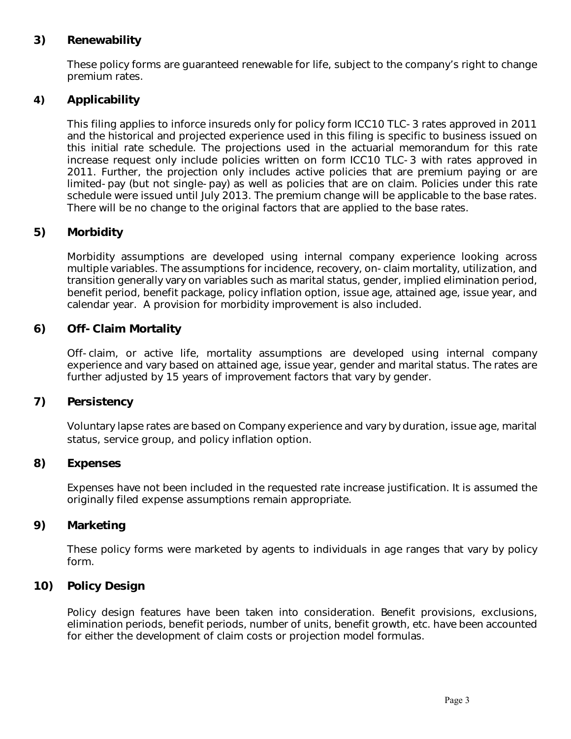### **3) Renewability**

These policy forms are guaranteed renewable for life, subject to the company's right to change premium rates.

### **4) Applicability**

This filing applies to inforce insureds only for policy form ICC10 TLC-3 rates approved in 2011 and the historical and projected experience used in this filing is specific to business issued on this initial rate schedule. The projections used in the actuarial memorandum for this rate increase request only include policies written on form ICC10 TLC-3 with rates approved in 2011. Further, the projection only includes active policies that are premium paying or are limited-pay (but not single-pay) as well as policies that are on claim. Policies under this rate schedule were issued until July 2013. The premium change will be applicable to the base rates. There will be no change to the original factors that are applied to the base rates.

### **5) Morbidity**

Morbidity assumptions are developed using internal company experience looking across multiple variables. The assumptions for incidence, recovery, on-claim mortality, utilization, and transition generally vary on variables such as marital status, gender, implied elimination period, benefit period, benefit package, policy inflation option, issue age, attained age, issue year, and calendar year. A provision for morbidity improvement is also included.

### **6) Off-Claim Mortality**

Off-claim, or active life, mortality assumptions are developed using internal company experience and vary based on attained age, issue year, gender and marital status. The rates are further adjusted by 15 years of improvement factors that vary by gender.

### **7) Persistency**

Voluntary lapse rates are based on Company experience and vary by duration, issue age, marital status, service group, and policy inflation option.

#### **8) Expenses**

Expenses have not been included in the requested rate increase justification. It is assumed the originally filed expense assumptions remain appropriate.

#### **9) Marketing**

These policy forms were marketed by agents to individuals in age ranges that vary by policy form.

### **10) Policy Design**

Policy design features have been taken into consideration. Benefit provisions, exclusions, elimination periods, benefit periods, number of units, benefit growth, etc. have been accounted for either the development of claim costs or projection model formulas.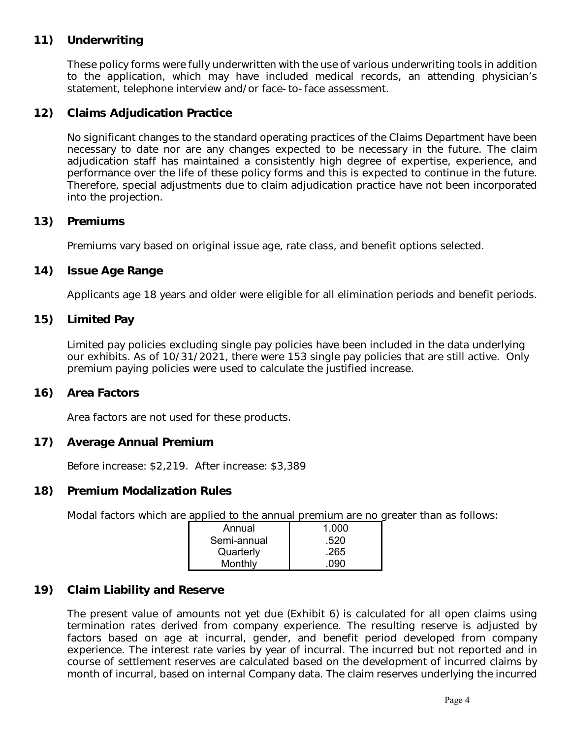### **11) Underwriting**

These policy forms were fully underwritten with the use of various underwriting tools in addition to the application, which may have included medical records, an attending physician's statement, telephone interview and/or face-to-face assessment.

### **12) Claims Adjudication Practice**

No significant changes to the standard operating practices of the Claims Department have been necessary to date nor are any changes expected to be necessary in the future. The claim adjudication staff has maintained a consistently high degree of expertise, experience, and performance over the life of these policy forms and this is expected to continue in the future. Therefore, special adjustments due to claim adjudication practice have not been incorporated into the projection.

#### **13) Premiums**

Premiums vary based on original issue age, rate class, and benefit options selected.

#### **14) Issue Age Range**

Applicants age 18 years and older were eligible for all elimination periods and benefit periods.

#### **15) Limited Pay**

Limited pay policies excluding single pay policies have been included in the data underlying our exhibits. As of 10/31/2021, there were 153 single pay policies that are still active. Only premium paying policies were used to calculate the justified increase.

#### **16) Area Factors**

Area factors are not used for these products.

#### **17) Average Annual Premium**

Before increase: \$2,219. After increase: \$3,389

#### **18) Premium Modalization Rules**

Modal factors which are applied to the annual premium are no greater than as follows:

| Annual      | 1.000 |
|-------------|-------|
| Semi-annual | .520  |
| Quarterly   | .265  |
| Monthly     | 090   |

### **19) Claim Liability and Reserve**

The present value of amounts not yet due (Exhibit 6) is calculated for all open claims using termination rates derived from company experience. The resulting reserve is adjusted by factors based on age at incurral, gender, and benefit period developed from company experience. The interest rate varies by year of incurral. The incurred but not reported and in course of settlement reserves are calculated based on the development of incurred claims by month of incurral, based on internal Company data. The claim reserves underlying the incurred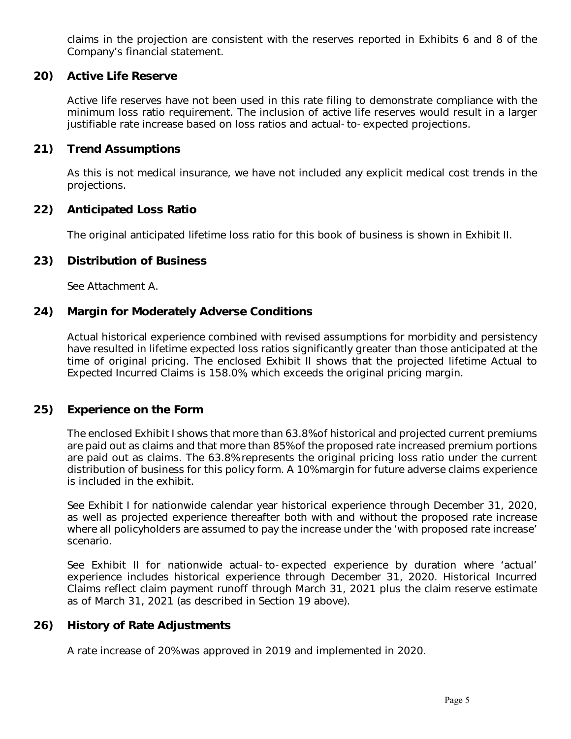claims in the projection are consistent with the reserves reported in Exhibits 6 and 8 of the Company's financial statement.

### **20) Active Life Reserve**

Active life reserves have not been used in this rate filing to demonstrate compliance with the minimum loss ratio requirement. The inclusion of active life reserves would result in a larger justifiable rate increase based on loss ratios and actual-to-expected projections.

#### **21) Trend Assumptions**

As this is not medical insurance, we have not included any explicit medical cost trends in the projections.

#### **22) Anticipated Loss Ratio**

The original anticipated lifetime loss ratio for this book of business is shown in Exhibit II.

#### **23) Distribution of Business**

See Attachment A.

#### **24) Margin for Moderately Adverse Conditions**

Actual historical experience combined with revised assumptions for morbidity and persistency have resulted in lifetime expected loss ratios significantly greater than those anticipated at the time of original pricing. The enclosed Exhibit II shows that the projected lifetime Actual to Expected Incurred Claims is 158.0%, which exceeds the original pricing margin.

#### **25) Experience on the Form**

The enclosed Exhibit I shows that more than 63.8% of historical and projected current premiums are paid out as claims and that more than 85% of the proposed rate increased premium portions are paid out as claims. The 63.8% represents the original pricing loss ratio under the current distribution of business for this policy form. A 10% margin for future adverse claims experience is included in the exhibit.

See Exhibit I for nationwide calendar year historical experience through December 31, 2020, as well as projected experience thereafter both with and without the proposed rate increase where all policyholders are assumed to pay the increase under the 'with proposed rate increase' scenario.

See Exhibit II for nationwide actual-to-expected experience by duration where 'actual' experience includes historical experience through December 31, 2020. Historical Incurred Claims reflect claim payment runoff through March 31, 2021 plus the claim reserve estimate as of March 31, 2021 (as described in Section 19 above).

### **26) History of Rate Adjustments**

A rate increase of 20% was approved in 2019 and implemented in 2020.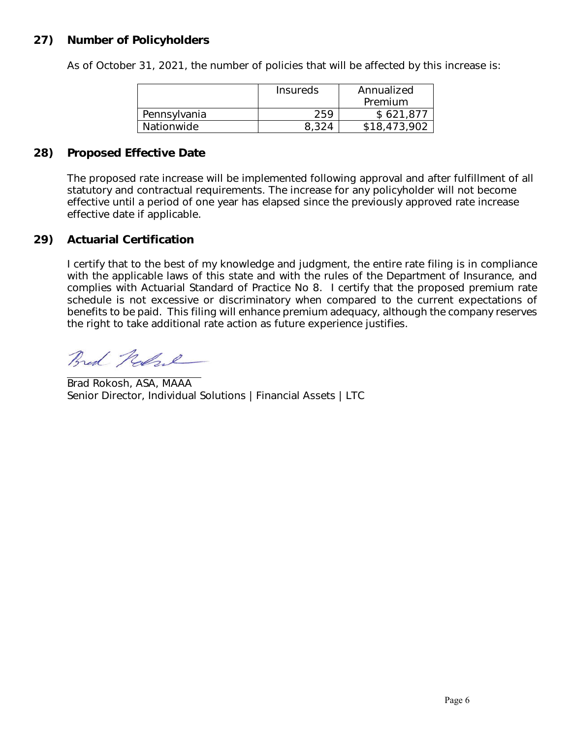### **27) Number of Policyholders**

As of October 31, 2021, the number of policies that will be affected by this increase is:

|              | Insureds | Annualized<br>Premium |
|--------------|----------|-----------------------|
| Pennsylvania | 259      | \$621,877             |
| Nationwide   | 8.324    | \$18,473,902          |

### **28) Proposed Effective Date**

The proposed rate increase will be implemented following approval and after fulfillment of all statutory and contractual requirements. The increase for any policyholder will not become effective until a period of one year has elapsed since the previously approved rate increase effective date if applicable.

### **29) Actuarial Certification**

I certify that to the best of my knowledge and judgment, the entire rate filing is in compliance with the applicable laws of this state and with the rules of the Department of Insurance, and complies with Actuarial Standard of Practice No 8. I certify that the proposed premium rate schedule is not excessive or discriminatory when compared to the current expectations of benefits to be paid. This filing will enhance premium adequacy, although the company reserves the right to take additional rate action as future experience justifies.

Bred Kolze

Brad Rokosh, ASA, MAAA Senior Director, Individual Solutions | Financial Assets | LTC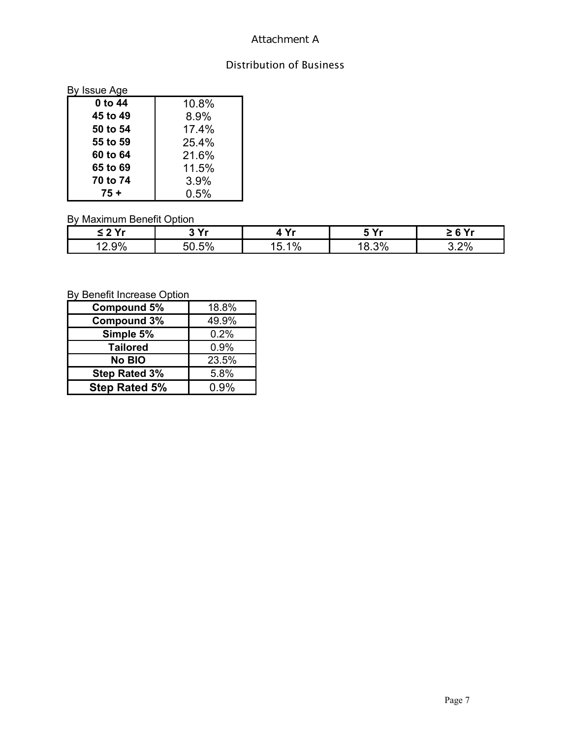### Attachment A

## Distribution of Business

| By Issue Age |       |
|--------------|-------|
| 0 to 44      | 10.8% |
| 45 to 49     | 8.9%  |
| 50 to 54     | 17.4% |
| 55 to 59     | 25.4% |
| 60 to 64     | 21.6% |
| 65 to 69     | 11.5% |
| 70 to 74     | 3.9%  |
| 75 +         | 0.5%  |

### By Maximum Benefit Option

| $\sim$ 2 $\sim$ | <u>າ v.</u> | v.<br>,       | : v.                 | CV. |
|-----------------|-------------|---------------|----------------------|-----|
| 9%<br>. L . J   | 5%<br>50    | $\frac{0}{0}$ | 3%<br>$\circ$<br>∪.∪ | .2% |

## By Benefit Increase Option

| <b>Compound 5%</b>   | 18.8%   |
|----------------------|---------|
| <b>Compound 3%</b>   | 49.9%   |
| Simple 5%            | 0.2%    |
| <b>Tailored</b>      | 0.9%    |
| No BIO               | 23.5%   |
| <b>Step Rated 3%</b> | 5.8%    |
| <b>Step Rated 5%</b> | $0.9\%$ |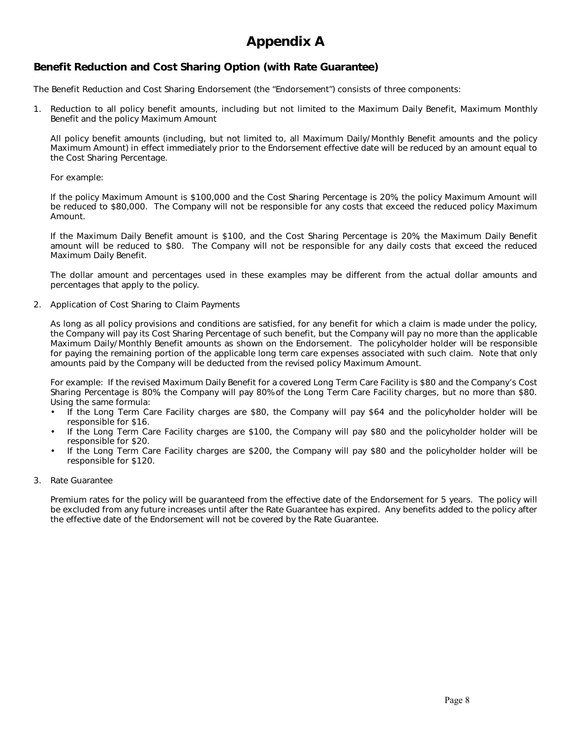# **Appendix A**

#### **Benefit Reduction and Cost Sharing Option (with Rate Guarantee)**

The Benefit Reduction and Cost Sharing Endorsement (the "Endorsement") consists of three components:

1. Reduction to all policy benefit amounts, including but not limited to the Maximum Daily Benefit, Maximum Monthly Benefit and the policy Maximum Amount

All policy benefit amounts (including, but not limited to, all Maximum Daily/Monthly Benefit amounts and the policy Maximum Amount) in effect immediately prior to the Endorsement effective date will be reduced by an amount equal to the Cost Sharing Percentage.

#### For example:

If the policy Maximum Amount is \$100,000 and the Cost Sharing Percentage is 20%, the policy Maximum Amount will be reduced to \$80,000. The Company will not be responsible for any costs that exceed the reduced policy Maximum Amount.

If the Maximum Daily Benefit amount is \$100, and the Cost Sharing Percentage is 20%, the Maximum Daily Benefit amount will be reduced to \$80. The Company will not be responsible for any daily costs that exceed the reduced Maximum Daily Benefit.

The dollar amount and percentages used in these examples may be different from the actual dollar amounts and percentages that apply to the policy.

2. Application of Cost Sharing to Claim Payments

As long as all policy provisions and conditions are satisfied, for any benefit for which a claim is made under the policy, the Company will pay its Cost Sharing Percentage of such benefit, but the Company will pay no more than the applicable Maximum Daily/Monthly Benefit amounts as shown on the Endorsement. The policyholder holder will be responsible for paying the remaining portion of the applicable long term care expenses associated with such claim. Note that only amounts paid by the Company will be deducted from the revised policy Maximum Amount.

For example: If the revised Maximum Daily Benefit for a covered Long Term Care Facility is \$80 and the Company's Cost Sharing Percentage is 80%, the Company will pay 80% of the Long Term Care Facility charges, but no more than \$80. Using the same formula:

- If the Long Term Care Facility charges are \$80, the Company will pay \$64 and the policyholder holder will be responsible for \$16.
- If the Long Term Care Facility charges are \$100, the Company will pay \$80 and the policyholder holder will be responsible for \$20.
- If the Long Term Care Facility charges are \$200, the Company will pay \$80 and the policyholder holder will be responsible for \$120.
- 3. Rate Guarantee

Premium rates for the policy will be guaranteed from the effective date of the Endorsement for 5 years. The policy will be excluded from any future increases until after the Rate Guarantee has expired. Any benefits added to the policy after the effective date of the Endorsement will not be covered by the Rate Guarantee.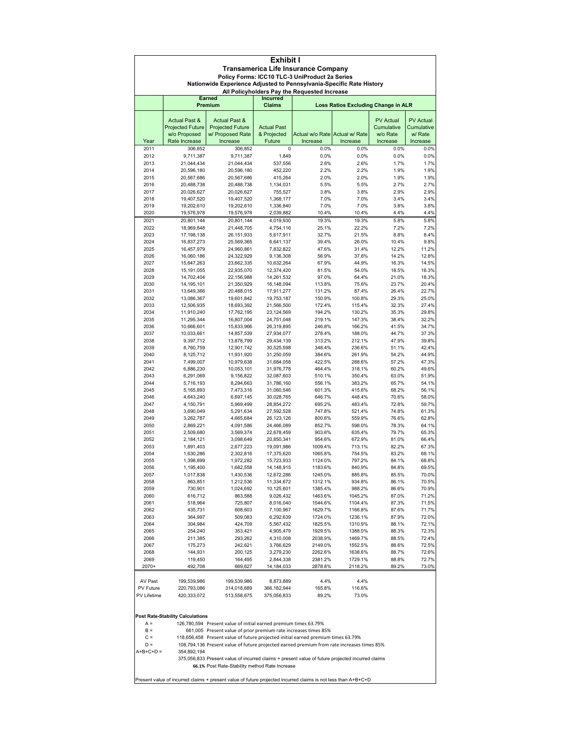| Exhibit I    |                                                                                                                        |                                                                                                               |                          |                                |                                     |                  |                  |  |
|--------------|------------------------------------------------------------------------------------------------------------------------|---------------------------------------------------------------------------------------------------------------|--------------------------|--------------------------------|-------------------------------------|------------------|------------------|--|
|              | <b>Transamerica Life Insurance Company</b>                                                                             |                                                                                                               |                          |                                |                                     |                  |                  |  |
|              | Policy Forms: ICC10 TLC-3 UniProduct 2a Series<br>Nationwide Experience Adjusted to Pennsylvania-Specific Rate History |                                                                                                               |                          |                                |                                     |                  |                  |  |
|              | All Policyholders Pay the Requested Increase                                                                           |                                                                                                               |                          |                                |                                     |                  |                  |  |
|              |                                                                                                                        | <b>Earned</b>                                                                                                 | <b>Incurred</b>          |                                |                                     |                  |                  |  |
|              |                                                                                                                        | Premium                                                                                                       | Claims                   |                                | Loss Ratios Excluding Change in ALR |                  |                  |  |
|              | <b>Actual Past &amp;</b>                                                                                               | <b>Actual Past &amp;</b>                                                                                      |                          |                                |                                     | <b>PV Actual</b> | <b>PV Actual</b> |  |
|              | <b>Projected Future</b>                                                                                                | <b>Projected Future</b>                                                                                       | <b>Actual Past</b>       |                                |                                     | Cumulative       | Cumulative       |  |
|              | w/o Proposed                                                                                                           | w/ Proposed Rate                                                                                              | & Projected              | Actual w/o Rate Actual w/ Rate |                                     | w/o Rate         | w/ Rate          |  |
| Year<br>2011 | Rate Increase<br>306,852                                                                                               | Increase<br>306,852                                                                                           | Future<br>0              | Increase<br>0.0%               | Increase<br>0.0%                    | Increase<br>0.0% | Increase<br>0.0% |  |
| 2012         | 9,711,387                                                                                                              | 9,711,387                                                                                                     | 1,849                    | 0.0%                           | 0.0%                                | 0.0%             | 0.0%             |  |
| 2013         | 21,044,434                                                                                                             | 21,044,434                                                                                                    | 537,556                  | 2.6%                           | 2.6%                                | 1.7%             | 1.7%             |  |
| 2014         | 20,596,180                                                                                                             | 20,596,180                                                                                                    | 452,220                  | 2.2%                           | 2.2%                                | 1.9%             | 1.9%             |  |
| 2015<br>2016 | 20,567,686<br>20,488,738                                                                                               | 20,567,686<br>20,488,738                                                                                      | 415,264<br>1,134,031     | 2.0%<br>5.5%                   | 2.0%<br>5.5%                        | 1.9%<br>2.7%     | 1.9%<br>2.7%     |  |
| 2017         | 20,026,627                                                                                                             | 20,026,627                                                                                                    | 755,527                  | 3.8%                           | 3.8%                                | 2.9%             | 2.9%             |  |
| 2018         | 19,407,520                                                                                                             | 19,407,520                                                                                                    | 1,368,177                | 7.0%                           | 7.0%                                | 3.4%             | 3.4%             |  |
| 2019         | 19,202,610                                                                                                             | 19,202,610                                                                                                    | 1,336,840                | 7.0%                           | 7.0%                                | 3.8%             | 3.8%             |  |
| 2020<br>2021 | 19,576,978                                                                                                             | 19,576,978                                                                                                    | 2,039,882                | 10.4%                          | 10.4%                               | 4.4%             | 4.4%<br>5.8%     |  |
| 2022         | 20,801,144<br>18,969,848                                                                                               | 20,801,144<br>21,448,705                                                                                      | 4,019,930<br>4,754,116   | 19.3%<br>25.1%                 | 19.3%<br>22.2%                      | 5.8%<br>7.2%     | 7.2%             |  |
| 2023         | 17,198,138                                                                                                             | 26,151,933                                                                                                    | 5,617,911                | 32.7%                          | 21.5%                               | 8.8%             | 8.4%             |  |
| 2024         | 16,837,273                                                                                                             | 25,569,365                                                                                                    | 6,641,137                | 39.4%                          | 26.0%                               | 10.4%            | 9.8%             |  |
| 2025<br>2026 | 16,457,979<br>16,060,186                                                                                               | 24,960,861<br>24,322,929                                                                                      | 7,832,822<br>9,136,308   | 47.6%<br>56.9%                 | 31.4%<br>37.6%                      | 12.2%<br>14.2%   | 11.2%<br>12.8%   |  |
| 2027         | 15,647,263                                                                                                             | 23,662,335                                                                                                    | 10,632,264               | 67.9%                          | 44.9%                               | 16.3%            | 14.5%            |  |
| 2028         | 15,191,055                                                                                                             | 22,935,070                                                                                                    | 12,374,420               | 81.5%                          | 54.0%                               | 18.5%            | 16.3%            |  |
| 2029         | 14,702,404                                                                                                             | 22,156,988                                                                                                    | 14,261,532               | 97.0%                          | 64.4%                               | 21.0%            | 18.3%            |  |
| 2030         | 14,195,101                                                                                                             | 21,350,929                                                                                                    | 16,148,094               | 113.8%                         | 75.6%                               | 23.7%            | 20.4%            |  |
| 2031<br>2032 | 13,649,366<br>13,086,367                                                                                               | 20,488,015<br>19,601,842                                                                                      | 17,911,277<br>19,753,187 | 131.2%<br>150.9%               | 87.4%<br>100.8%                     | 26.4%<br>29.3%   | 22.7%<br>25.0%   |  |
| 2033         | 12,506,935                                                                                                             | 18,693,392                                                                                                    | 21,566,500               | 172.4%                         | 115.4%                              | 32.3%            | 27.4%            |  |
| 2034         | 11,910,240                                                                                                             | 17,762,195                                                                                                    | 23,124,569               | 194.2%                         | 130.2%                              | 35.3%            | 29.8%            |  |
| 2035         | 11,295,344                                                                                                             | 16,807,004                                                                                                    | 24,751,048               | 219.1%                         | 147.3%                              | 38.4%            | 32.2%            |  |
| 2036<br>2037 | 10,666,601<br>10,033,661                                                                                               | 15,833,966<br>14,857,539                                                                                      | 26,319,895<br>27,934,077 | 246.8%<br>278.4%               | 166.2%<br>188.0%                    | 41.5%<br>44.7%   | 34.7%<br>37.3%   |  |
| 2038         | 9,397,712                                                                                                              | 13,878,799                                                                                                    | 29,434,139               | 313.2%                         | 212.1%                              | 47.9%            | 39.8%            |  |
| 2039         | 8,760,759                                                                                                              | 12,901,742                                                                                                    | 30,525,598               | 348.4%                         | 236.6%                              | 51.1%            | 42.4%            |  |
| 2040         | 8,125,712                                                                                                              | 11,931,920                                                                                                    | 31,250,059               | 384.6%                         | 261.9%                              | 54.2%            | 44.9%            |  |
| 2041<br>2042 | 7,499,007<br>6,886,230                                                                                                 | 10,979,638<br>10,053,101                                                                                      | 31,684,058<br>31,976,778 | 422.5%<br>464.4%               | 288.6%<br>318.1%                    | 57.2%<br>60.2%   | 47.3%<br>49.6%   |  |
| 2043         | 6,291,069                                                                                                              | 9,156,822                                                                                                     | 32,087,603               | 510.1%                         | 350.4%                              | 63.0%            | 51.9%            |  |
| 2044         | 5,716,193                                                                                                              | 8,294,663                                                                                                     | 31,786,160               | 556.1%                         | 383.2%                              | 65.7%            | 54.1%            |  |
| 2045         | 5,165,893                                                                                                              | 7,473,316                                                                                                     | 31,060,546               | 601.3%                         | 415.6%                              | 68.2%            | 56.1%            |  |
| 2046<br>2047 | 4,643,240<br>4,150,791                                                                                                 | 6,697,145<br>5,969,499                                                                                        | 30,028,765<br>28,854,272 | 646.7%<br>695.2%               | 448.4%<br>483.4%                    | 70.6%<br>72.8%   | 58.0%<br>59.7%   |  |
| 2048         | 3,690,049                                                                                                              | 5,291,634                                                                                                     | 27,592,528               | 747.8%                         | 521.4%                              | 74.8%            | 61.3%            |  |
| 2049         | 3,262,787                                                                                                              | 4,665,684                                                                                                     | 26,123,126               | 800.6%                         | 559.9%                              | 76.6%            | 62.8%            |  |
| 2050         | 2,869,221                                                                                                              | 4,091,586                                                                                                     | 24,466,089               | 852.7%                         | 598.0%                              | 78.3%            | 64.1%            |  |
| 2051<br>2052 | 2,509,680<br>2,184,121                                                                                                 | 3,569,374<br>3,098,649                                                                                        | 22,678,459<br>20,850,341 | 903.6%<br>954.6%               | 635.4%<br>672.9%                    | 79.7%<br>81.0%   | 65.3%<br>66.4%   |  |
| 2053         | 1,891,403                                                                                                              | 2,677,223                                                                                                     | 19,091,986               | 1009.4%                        | 713.1%                              | 82.2%            | 67.3%            |  |
| 2054         | 1,630,286                                                                                                              | 2,302,816                                                                                                     | 17,375,620               | 1065.8%                        | 754.5%                              | 83.2%            | 68.1%            |  |
| 2055         | 1,398,899                                                                                                              | 1,972,282                                                                                                     | 15,723,933               | 1124.0%                        | 797.2%                              | 84.1%            | 68.8%            |  |
| 2056<br>2057 | 1,195,400<br>1,017,838                                                                                                 | 1,682,558<br>1,430,536                                                                                        | 14,148,915<br>12,672,286 | 1183.6%<br>1245.0%             | 840.9%<br>885.8%                    | 84.8%<br>85.5%   | 69.5%<br>70.0%   |  |
| 2058         | 863,851                                                                                                                | 1,212,536                                                                                                     | 11,334,672               | 1312.1%                        | 934.8%                              | 86.1%            | 70.5%            |  |
| 2059         | 730,901                                                                                                                | 1,024,692                                                                                                     | 10,125,601               | 1385.4%                        | 988.2%                              | 86.6%            | 70.9%            |  |
| 2060         | 616,712                                                                                                                | 863,588                                                                                                       | 9,026,432                | 1463.6%                        | 1045.2%                             | 87.0%            | 71.2%            |  |
| 2061<br>2062 | 518,964<br>435,731                                                                                                     | 725,807<br>608,603                                                                                            | 8,016,040<br>7,100,967   | 1544.6%<br>1629.7%             | 1104.4%<br>1166.8%                  | 87.3%<br>87.6%   | 71.5%<br>71.7%   |  |
| 2063         | 364,997                                                                                                                | 509,083                                                                                                       | 6,292,639                | 1724.0%                        | 1236.1%                             | 87.9%            | 72.0%            |  |
| 2064         | 304,984                                                                                                                | 424,709                                                                                                       | 5,567,432                | 1825.5%                        | 1310.9%                             | 88.1%            | 72.1%            |  |
| 2065         | 254,240                                                                                                                | 353,421                                                                                                       | 4,905,479                | 1929.5%                        | 1388.0%                             | 88.3%            | 72.3%            |  |
| 2066<br>2067 | 211,385<br>175,273                                                                                                     | 293,262<br>242,621                                                                                            | 4,310,008<br>3,766,629   | 2038.9%<br>2149.0%             | 1469.7%<br>1552.5%                  | 88.5%<br>88.6%   | 72.4%<br>72.5%   |  |
| 2068         | 144,931                                                                                                                | 200,125                                                                                                       | 3,279,230                | 2262.6%                        | 1638.6%                             | 88.7%            | 72.6%            |  |
| 2069         | 119,450                                                                                                                | 164,495                                                                                                       | 2,844,338                | 2381.2%                        | 1729.1%                             | 88.8%            | 72.7%            |  |
| 2070+        | 492,708                                                                                                                | 669,627                                                                                                       | 14,184,033               | 2878.8%                        | 2118.2%                             | 89.2%            | 73.0%            |  |
| AV Past      | 199,539,986                                                                                                            |                                                                                                               |                          |                                | 4.4%                                |                  |                  |  |
| PV Future    | 220,793,086                                                                                                            | 199,539,986<br>314,018,689                                                                                    | 8,873,889<br>366,182,944 | 4.4%<br>165.8%                 | 116.6%                              |                  |                  |  |
| PV Lifetime  | 420,333,072                                                                                                            | 513,558,675                                                                                                   | 375,056,833              | 89.2%                          | 73.0%                               |                  |                  |  |
|              |                                                                                                                        |                                                                                                               |                          |                                |                                     |                  |                  |  |
|              |                                                                                                                        |                                                                                                               |                          |                                |                                     |                  |                  |  |
| $A =$        | <b>Post Rate-Stability Calculations</b>                                                                                | 126,780,594 Present value of initial earned premium times 63.79%                                              |                          |                                |                                     |                  |                  |  |
| $B =$        |                                                                                                                        | 661,005 Present value of prior premium rate increases times 85%                                               |                          |                                |                                     |                  |                  |  |
| $C =$        |                                                                                                                        | 118,656,458 Present value of future projected initial earned premium times 63.79%                             |                          |                                |                                     |                  |                  |  |
| $D =$        |                                                                                                                        | 108,794,136 Present value of future projected earned premium from rate increases times 85%                    |                          |                                |                                     |                  |                  |  |
| A+B+C+D =    | 354,892,194                                                                                                            | 375,056,833 Present value of incurred claims + present value of future projected incurred claims              |                          |                                |                                     |                  |                  |  |
|              |                                                                                                                        | 66.1% Post Rate-Stability method Rate Increase                                                                |                          |                                |                                     |                  |                  |  |
|              |                                                                                                                        |                                                                                                               |                          |                                |                                     |                  |                  |  |
|              |                                                                                                                        | Present value of incurred claims + present value of future projected incurred claims is not less than A+B+C+D |                          |                                |                                     |                  |                  |  |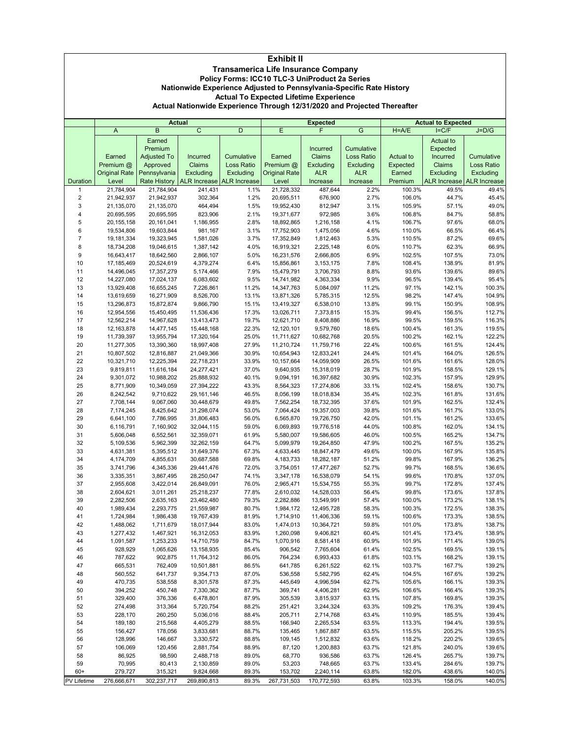|                                                                          | <b>Exhibit II</b>                                                    |                                   |                                |                             |                          |                          |                   |                   |                              |                              |
|--------------------------------------------------------------------------|----------------------------------------------------------------------|-----------------------------------|--------------------------------|-----------------------------|--------------------------|--------------------------|-------------------|-------------------|------------------------------|------------------------------|
|                                                                          | <b>Transamerica Life Insurance Company</b>                           |                                   |                                |                             |                          |                          |                   |                   |                              |                              |
|                                                                          | Policy Forms: ICC10 TLC-3 UniProduct 2a Series                       |                                   |                                |                             |                          |                          |                   |                   |                              |                              |
|                                                                          | Nationwide Experience Adjusted to Pennsylvania-Specific Rate History |                                   |                                |                             |                          |                          |                   |                   |                              |                              |
| <b>Actual To Expected Lifetime Experience</b>                            |                                                                      |                                   |                                |                             |                          |                          |                   |                   |                              |                              |
| Actual Nationwide Experience Through 12/31/2020 and Projected Thereafter |                                                                      |                                   |                                |                             |                          |                          |                   |                   |                              |                              |
|                                                                          |                                                                      |                                   | <b>Actual</b>                  |                             |                          | <b>Expected</b>          |                   |                   | <b>Actual to Expected</b>    |                              |
|                                                                          | A                                                                    | $\overline{B}$                    | $\overline{C}$                 | D                           | Ε                        | F                        | G                 | $H = A/E$         | $I = C/F$                    | $J=D/G$                      |
|                                                                          |                                                                      | Earned                            |                                |                             |                          |                          |                   |                   | Actual to                    |                              |
|                                                                          |                                                                      | Premium                           |                                |                             |                          | Incurred                 | Cumulative        |                   | Expected                     |                              |
|                                                                          | Earned                                                               | <b>Adjusted To</b>                | Incurred                       | Cumulative                  | Earned                   | Claims                   | <b>Loss Ratio</b> | Actual to         | Incurred                     | Cumulative                   |
|                                                                          | Premium @                                                            | Approved                          | Claims                         | <b>Loss Ratio</b>           | Premium @                | Excluding                | Excluding         | Expected          | Claims                       | Loss Ratio                   |
|                                                                          | <b>Original Rate</b>                                                 | Pennsylvania                      | Excluding                      | Excluding                   | <b>Original Rate</b>     | <b>ALR</b>               | <b>ALR</b>        | Earned            | Excluding                    | Excluding                    |
| Duration<br>1                                                            | Level<br>21,784,904                                                  | <b>Rate History</b><br>21,784,904 | <b>ALR Increase</b><br>241,431 | <b>ALR Increase</b><br>1.1% | Level<br>21,728,332      | Increase<br>487,644      | Increase<br>2.2%  | Premium<br>100.3% | <b>ALR Increase</b><br>49.5% | <b>ALR Increase</b><br>49.4% |
| $\overline{2}$                                                           | 21,942,937                                                           | 21,942,937                        | 302,364                        | 1.2%                        | 20,695,511               | 676,900                  | 2.7%              | 106.0%            | 44.7%                        | 45.4%                        |
| 3                                                                        | 21,135,070                                                           | 21,135,070                        | 464,494                        | 1.5%                        | 19,952,430               | 812,947                  | 3.1%              | 105.9%            | 57.1%                        | 49.0%                        |
| 4                                                                        | 20,695,595                                                           | 20,695,595                        | 823,906                        | 2.1%                        | 19,371,677               | 972,985                  | 3.6%              | 106.8%            | 84.7%                        | 58.8%                        |
| 5                                                                        | 20, 155, 158                                                         | 20, 161, 041                      | 1,186,955                      | 2.8%                        | 18,892,865               | 1,216,158                | 4.1%              | 106.7%            | 97.6%                        | 68.0%                        |
| 6                                                                        | 19,534,806                                                           | 19,603,844                        | 981,167                        | 3.1%                        | 17,752,903               | 1,475,056                | 4.6%              | 110.0%            | 66.5%                        | 66.4%                        |
| 7                                                                        | 19,181,334                                                           | 19,323,945                        | 1,581,026                      | 3.7%                        | 17,352,849               | 1,812,463                | 5.3%              | 110.5%            | 87.2%                        | 69.6%                        |
| 8                                                                        | 18,734,208                                                           | 19,046,615<br>18,642,560          | 1,387,142<br>2,866,107         | 4.0%                        | 16,919,321               | 2,225,148                | 6.0%              | 110.7%            | 62.3%                        | 66.9%                        |
| 9<br>10                                                                  | 16,643,417<br>17, 185, 469                                           | 20,524,619                        | 4,379,274                      | 5.0%<br>6.4%                | 16,231,576<br>15,856,861 | 2,666,805<br>3,153,175   | 6.9%<br>7.8%      | 102.5%<br>108.4%  | 107.5%<br>138.9%             | 73.0%<br>81.9%               |
| 11                                                                       | 14,496,045                                                           | 17,357,279                        | 5,174,466                      | 7.9%                        | 15,479,791               | 3,706,793                | 8.8%              | 93.6%             | 139.6%                       | 89.6%                        |
| 12                                                                       | 14,227,080                                                           | 17,024,137                        | 6,083,602                      | 9.5%                        | 14,741,982               | 4,363,334                | 9.9%              | 96.5%             | 139.4%                       | 95.4%                        |
| 13                                                                       | 13,929,408                                                           | 16,655,245                        | 7,226,861                      | 11.2%                       | 14,347,763               | 5,084,097                | 11.2%             | 97.1%             | 142.1%                       | 100.3%                       |
| 14                                                                       | 13,619,659                                                           | 16,271,909                        | 8,526,700                      | 13.1%                       | 13,871,326               | 5,785,315                | 12.5%             | 98.2%             | 147.4%                       | 104.9%                       |
| 15                                                                       | 13,296,873                                                           | 15,872,874                        | 9,866,790                      | 15.1%                       | 13,419,327               | 6,538,010                | 13.8%             | 99.1%             | 150.9%                       | 108.9%                       |
| 16                                                                       | 12,954,556                                                           | 15,450,495                        | 11,536,436                     | 17.3%                       | 13,026,711               | 7,373,815                | 15.3%             | 99.4%             | 156.5%                       | 112.7%                       |
| 17                                                                       | 12,562,214                                                           | 14,967,628                        | 13,413,473                     | 19.7%                       | 12,621,710               | 8,408,886                | 16.9%             | 99.5%             | 159.5%                       | 116.3%                       |
| 18<br>19                                                                 | 12, 163, 878                                                         | 14,477,145                        | 15,448,168                     | 22.3%                       | 12,120,101               | 9,579,760                | 18.6%             | 100.4%            | 161.3%                       | 119.5%<br>122.2%             |
| 20                                                                       | 11,739,397<br>11,277,305                                             | 13,955,794<br>13,390,360          | 17,320,164<br>18,997,408       | 25.0%<br>27.9%              | 11,711,627<br>11,210,724 | 10,682,768<br>11,759,716 | 20.5%<br>22.4%    | 100.2%<br>100.6%  | 162.1%<br>161.5%             | 124.4%                       |
| 21                                                                       | 10,807,502                                                           | 12,816,887                        | 21,049,366                     | 30.9%                       | 10,654,943               | 12,833,241               | 24.4%             | 101.4%            | 164.0%                       | 126.5%                       |
| 22                                                                       | 10,321,710                                                           | 12,225,394                        | 22,718,231                     | 33.9%                       | 10,157,664               | 14,059,909               | 26.5%             | 101.6%            | 161.6%                       | 128.0%                       |
| 23                                                                       | 9,819,811                                                            | 11,616,184                        | 24,277,421                     | 37.0%                       | 9,640,935                | 15,318,019               | 28.7%             | 101.9%            | 158.5%                       | 129.1%                       |
| 24                                                                       | 9,301,072                                                            | 10,988,202                        | 25,888,932                     | 40.1%                       | 9,094,191                | 16,397,682               | 30.9%             | 102.3%            | 157.9%                       | 129.9%                       |
| 25                                                                       | 8,771,909                                                            | 10,349,059                        | 27,394,222                     | 43.3%                       | 8,564,323                | 17,274,806               | 33.1%             | 102.4%            | 158.6%                       | 130.7%                       |
| 26                                                                       | 8,242,542                                                            | 9,710,622                         | 29, 161, 146                   | 46.5%                       | 8,056,199                | 18,018,834               | 35.4%             | 102.3%            | 161.8%                       | 131.6%                       |
| 27                                                                       | 7,708,144                                                            | 9,067,060                         | 30,448,679                     | 49.8%                       | 7,562,254                | 18,732,395               | 37.6%             | 101.9%            | 162.5%                       | 132.4%                       |
| 28<br>29                                                                 | 7,174,245<br>6,641,100                                               | 8,425,642<br>7,786,995            | 31,298,074<br>31,806,483       | 53.0%<br>56.0%              | 7,064,424<br>6,565,870   | 19,357,003<br>19,726,750 | 39.8%<br>42.0%    | 101.6%<br>101.1%  | 161.7%<br>161.2%             | 133.0%<br>133.6%             |
| 30                                                                       | 6,116,791                                                            | 7,160,902                         | 32,044,115                     | 59.0%                       | 6,069,893                | 19,776,518               | 44.0%             | 100.8%            | 162.0%                       | 134.1%                       |
| 31                                                                       | 5,606,048                                                            | 6,552,561                         | 32,359,071                     | 61.9%                       | 5,580,007                | 19,586,605               | 46.0%             | 100.5%            | 165.2%                       | 134.7%                       |
| 32                                                                       | 5,109,536                                                            | 5,962,399                         | 32,262,159                     | 64.7%                       | 5,099,979                | 19,264,850               | 47.9%             | 100.2%            | 167.5%                       | 135.2%                       |
| 33                                                                       | 4,631,381                                                            | 5,395,512                         | 31,649,376                     | 67.3%                       | 4,633,445                | 18,847,479               | 49.6%             | 100.0%            | 167.9%                       | 135.8%                       |
| 34                                                                       | 4,174,709                                                            | 4,855,631                         | 30,687,588                     | 69.8%                       | 4,183,733                | 18,282,187               | 51.2%             | 99.8%             | 167.9%                       | 136.2%                       |
| 35                                                                       | 3,741,796                                                            | 4,345,336                         | 29,441,476                     | 72.0%                       | 3,754,051                | 17,477,267               | 52.7%             | 99.7%             | 168.5%                       | 136.6%                       |
| 36                                                                       | 3,335,351                                                            | 3,867,495                         | 28,250,047                     | 74.1%                       | 3,347,178                | 16,538,079               | 54.1%             | 99.6%             | 170.8%                       | 137.0%                       |
| 37<br>38                                                                 | 2,955,608                                                            | 3,422,014                         | 26,849,091<br>25,218,237       | 76.0%                       | 2,965,471                | 15,534,755               | 55.3%             | 99.7%             | 172.8%                       | 137.4%<br>137.8%             |
| 39                                                                       | 2,604,621<br>2,282,506                                               | 3,011,261<br>2,635,163            | 23,462,480                     | 77.8%<br>79.3%              | 2,610,032<br>2,282,886   | 14,528,033<br>13,549,991 | 56.4%<br>57.4%    | 99.8%<br>100.0%   | 173.6%<br>173.2%             | 138.1%                       |
| 40                                                                       | 1,989,434                                                            | 2,293,775                         | 21,559,987                     | 80.7%                       | 1,984,172                | 12,495,728               | 58.3%             | 100.3%            | 172.5%                       | 138.3%                       |
| 41                                                                       | 1,724,984                                                            | 1,986,438                         | 19,767,439                     | 81.9%                       | 1,714,910                | 11,406,336               | 59.1%             | 100.6%            | 173.3%                       | 138.5%                       |
| 42                                                                       | 1,488,062                                                            | 1,711,679                         | 18,017,944                     | 83.0%                       | 1,474,013                | 10,364,721               | 59.8%             | 101.0%            | 173.8%                       | 138.7%                       |
| 43                                                                       | 1,277,432                                                            | 1,467,921                         | 16,312,053                     | 83.9%                       | 1,260,098                | 9,406,821                | 60.4%             | 101.4%            | 173.4%                       | 138.9%                       |
| 44                                                                       | 1,091,587                                                            | 1,253,233                         | 14,710,759                     | 84.7%                       | 1,070,916                | 8,581,418                | 60.9%             | 101.9%            | 171.4%                       | 139.0%                       |
| 45                                                                       | 928,929                                                              | 1,065,626                         | 13,158,935                     | 85.4%                       | 906,542                  | 7,765,604                | 61.4%             | 102.5%            | 169.5%                       | 139.1%                       |
| 46                                                                       | 787,622                                                              | 902,875                           | 11,764,312                     | 86.0%                       | 764,234                  | 6,993,433                | 61.8%             | 103.1%            | 168.2%                       | 139.1%                       |
| 47<br>48                                                                 | 665,531<br>560,552                                                   | 762,409<br>641,737                | 10,501,881                     | 86.5%                       | 641,785                  | 6,261,522                | 62.1%             | 103.7%            | 167.7%                       | 139.2%<br>139.2%             |
| 49                                                                       | 470,735                                                              | 538,558                           | 9,354,713<br>8,301,578         | 87.0%<br>87.3%              | 536,558<br>445,649       | 5,582,795<br>4,996,594   | 62.4%<br>62.7%    | 104.5%<br>105.6%  | 167.6%<br>166.1%             | 139.3%                       |
| 50                                                                       | 394,252                                                              | 450,748                           | 7,330,362                      | 87.7%                       | 369,741                  | 4,406,281                | 62.9%             | 106.6%            | 166.4%                       | 139.3%                       |
| 51                                                                       | 329,400                                                              | 376,336                           | 6,478,801                      | 87.9%                       | 305,539                  | 3,815,937                | 63.1%             | 107.8%            | 169.8%                       | 139.3%                       |
| 52                                                                       | 274,498                                                              | 313,364                           | 5,720,754                      | 88.2%                       | 251,421                  | 3,244,324                | 63.3%             | 109.2%            | 176.3%                       | 139.4%                       |
| 53                                                                       | 228,170                                                              | 260,250                           | 5,036,016                      | 88.4%                       | 205,711                  | 2,714,768                | 63.4%             | 110.9%            | 185.5%                       | 139.4%                       |
| 54                                                                       | 189,180                                                              | 215,568                           | 4,405,279                      | 88.5%                       | 166,940                  | 2,265,534                | 63.5%             | 113.3%            | 194.4%                       | 139.5%                       |
| 55                                                                       | 156,427                                                              | 178,056                           | 3,833,681                      | 88.7%                       | 135,465                  | 1,867,887                | 63.5%             | 115.5%            | 205.2%                       | 139.5%                       |

 128,996 146,667 3,330,572 88.8% 109,145 1,512,832 63.6% 118.2% 220.2% 139.6% 106,069 120,456 2,881,754 88.9% 87,120 1,200,883 63.7% 121.8% 240.0% 139.6% 86,925 98,590 2,488,718 89.0% 68,770 936,586 63.7% 126.4% 265.7% 139.7% 70,995 80,413 2,130,859 89.0% 53,203 748,665 63.7% 133.4% 284.6% 139.7% 60+ 279,727 315,321 9,824,668 89.3% 153,702 2,240,114 63.8% 182.0% 438.6% 140.0% PV Lifetime 276,666,671 302,237,717 269,890,813 89.3% 267,731,503 170,772,593 63.8% 103.3% 158.0% 140.0%

 $\frac{3}{8}$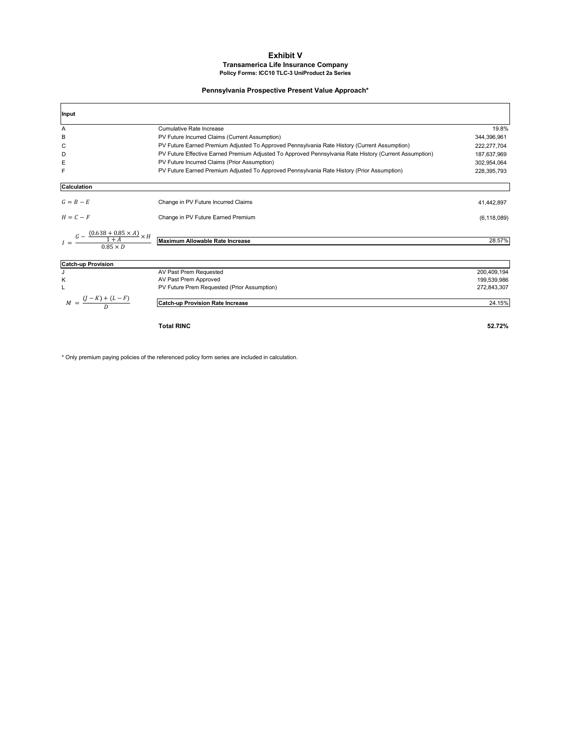#### **Exhibit V Transamerica Life Insurance Company Policy Forms: ICC10 TLC-3 UniProduct 2a Series**

#### **Pennsylvania Prospective Present Value Approach\***

| Input                                                                      |                                                                                                        |               |
|----------------------------------------------------------------------------|--------------------------------------------------------------------------------------------------------|---------------|
| Α                                                                          | Cumulative Rate Increase                                                                               | 19.8%         |
| B                                                                          | PV Future Incurred Claims (Current Assumption)                                                         | 344,396,961   |
| С                                                                          | PV Future Earned Premium Adjusted To Approved Pennsylvania Rate History (Current Assumption)           | 222,277,704   |
| D                                                                          | PV Future Effective Earned Premium Adjusted To Approved Pennsylvania Rate History (Current Assumption) | 187,637,969   |
| Ε                                                                          | PV Future Incurred Claims (Prior Assumption)                                                           | 302,954,064   |
| F                                                                          | PV Future Earned Premium Adjusted To Approved Pennsylvania Rate History (Prior Assumption)             | 228,395,793   |
| Calculation                                                                |                                                                                                        |               |
| $G = B - E$                                                                | Change in PV Future Incurred Claims                                                                    | 41,442,897    |
| $H = C - F$                                                                | Change in PV Future Earned Premium                                                                     | (6, 118, 089) |
| $\frac{G - \frac{(0.638 + 0.85 \times A)}{1 + A} \times H}{0.85 \times D}$ | Maximum Allowable Rate Increase                                                                        | 28.57%        |
| <b>Catch-up Provision</b>                                                  |                                                                                                        |               |
| J                                                                          | AV Past Prem Requested                                                                                 | 200,409,194   |
| Κ                                                                          | AV Past Prem Approved                                                                                  | 199,539,986   |
|                                                                            | PV Future Prem Requested (Prior Assumption)                                                            | 272,843,307   |
| $M = \frac{(J-K) + (L-F)}{D}$                                              | <b>Catch-up Provision Rate Increase</b>                                                                | 24.15%        |
|                                                                            | <b>Total RINC</b>                                                                                      | 52.72%        |

\* Only premium paying policies of the referenced policy form series are included in calculation.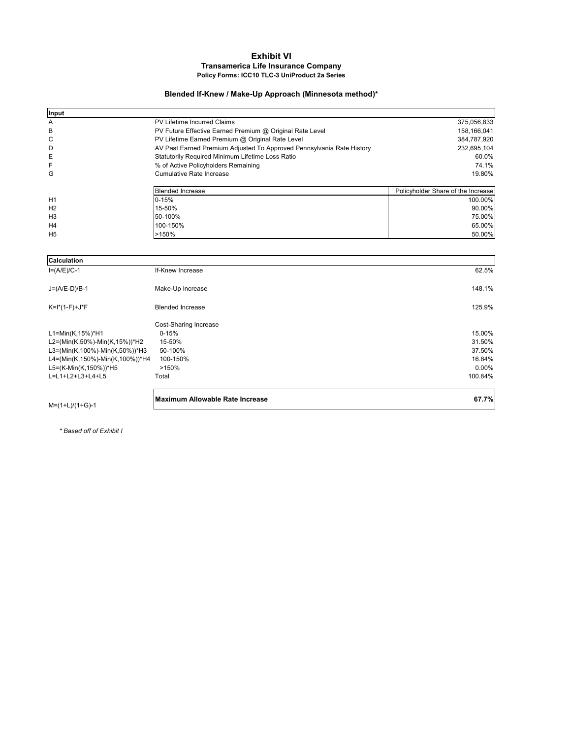#### **Exhibit VI Transamerica Life Insurance Company Policy Forms: ICC10 TLC-3 UniProduct 2a Series**

#### **Blended If-Knew / Make-Up Approach (Minnesota method)\***

| $M=(1+L)/(1+G)-1$               | Maximum Allowable Rate Increase                                       | 67.7%                              |
|---------------------------------|-----------------------------------------------------------------------|------------------------------------|
| L=L1+L2+L3+L4+L5                | Total                                                                 | 100.84%                            |
| L5=(K-Min(K,150%))*H5           | >150%                                                                 | 0.00%                              |
| L4=(Min(K,150%)-Min(K,100%))*H4 | 100-150%                                                              | 16.84%                             |
| L3=(Min(K,100%)-Min(K,50%))*H3  | 50-100%                                                               | 37.50%                             |
| L2=(Min(K,50%)-Min(K,15%))*H2   | 15-50%                                                                | 31.50%                             |
| L1=Min(K,15%)*H1                | $0 - 15%$                                                             | 15.00%                             |
|                                 | Cost-Sharing Increase                                                 |                                    |
| $K=I^*(1-F)+J^*F$               | <b>Blended Increase</b>                                               | 125.9%                             |
| $J=(A/E-D)/B-1$                 | Make-Up Increase                                                      | 148.1%                             |
| $I=(A/E)/C-1$                   | If-Knew Increase                                                      | 62.5%                              |
| Calculation                     |                                                                       |                                    |
|                                 |                                                                       |                                    |
| H <sub>5</sub>                  | >150%                                                                 | 50.00%                             |
| H4                              | 100-150%                                                              | 65.00%                             |
| H <sub>3</sub>                  | 50-100%                                                               | 75.00%                             |
| H <sub>2</sub>                  | 15-50%                                                                | 90.00%                             |
| H1                              | $0 - 15%$                                                             | 100.00%                            |
|                                 | <b>Blended Increase</b>                                               | Policyholder Share of the Increase |
| G                               | Cumulative Rate Increase                                              | 19.80%                             |
| F                               | % of Active Policyholders Remaining                                   | 74.1%                              |
| Ε                               | Statutorily Required Minimum Lifetime Loss Ratio                      | 60.0%                              |
| D                               | AV Past Earned Premium Adjusted To Approved Pennsylvania Rate History | 232,695,104                        |
| C                               | PV Lifetime Earned Premium @ Original Rate Level                      | 384,787,920                        |
| В                               | PV Future Effective Earned Premium @ Original Rate Level              | 158,166,041                        |
| Α                               | PV Lifetime Incurred Claims                                           | 375,056,833                        |
| Input                           |                                                                       |                                    |

 *\* Based off of Exhibit I*